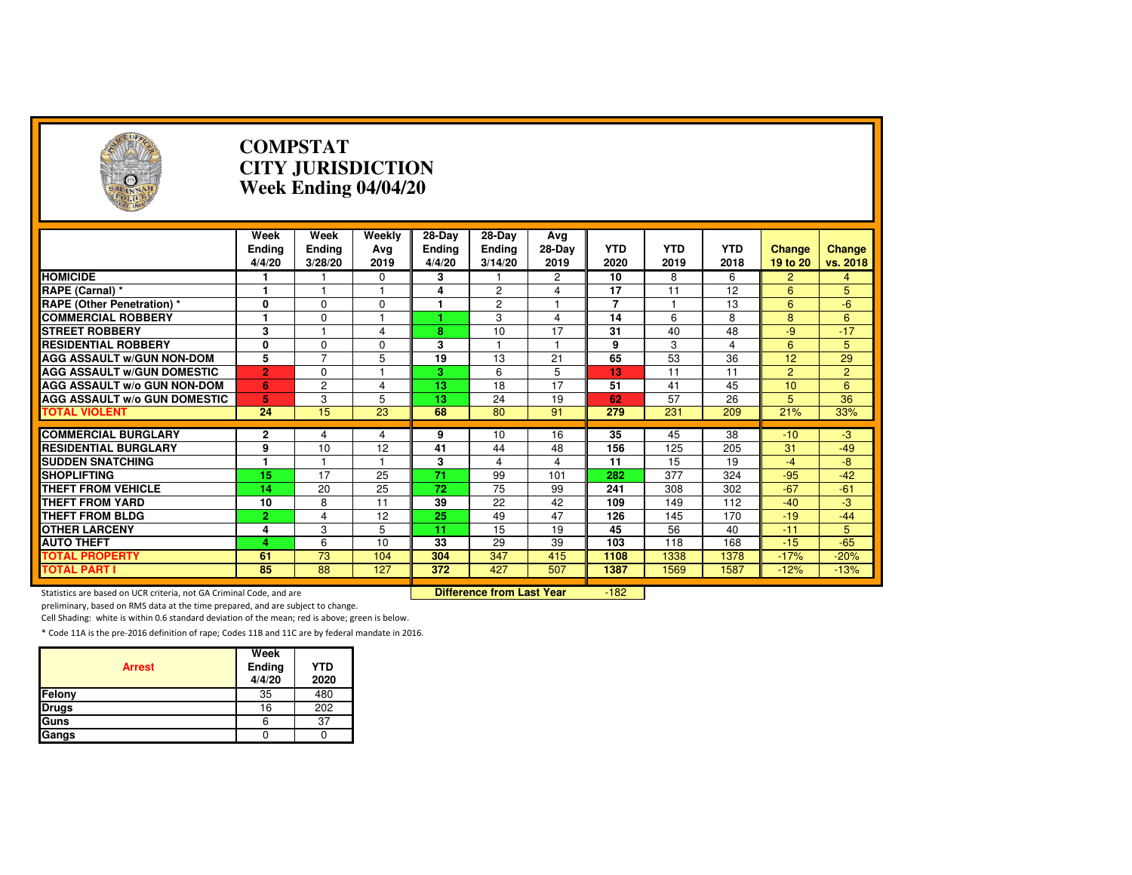| A                                                                   | <b>COMPSTAT</b><br><b>CITY JURISDICTION</b><br>Week Ending 04/04/20 |                           |                       |                                   |                                  |                       |                    |                    |                    |                           |                    |  |
|---------------------------------------------------------------------|---------------------------------------------------------------------|---------------------------|-----------------------|-----------------------------------|----------------------------------|-----------------------|--------------------|--------------------|--------------------|---------------------------|--------------------|--|
|                                                                     | Week<br><b>Ending</b><br>4/4/20                                     | Week<br>Ending<br>3/28/20 | Weekly<br>Avg<br>2019 | 28-Day<br><b>Ending</b><br>4/4/20 | 28-Day<br>Ending<br>3/14/20      | Avg<br>28-Day<br>2019 | <b>YTD</b><br>2020 | <b>YTD</b><br>2019 | <b>YTD</b><br>2018 | <b>Change</b><br>19 to 20 | Change<br>vs. 2018 |  |
| <b>HOMICIDE</b>                                                     |                                                                     |                           | 0                     | 3                                 |                                  | 2                     | 10                 | 8                  | 6                  | $\overline{2}$            | 4                  |  |
| RAPE (Carnal) *                                                     | 1                                                                   |                           |                       | 4                                 | 2                                | 4                     | 17                 | 11                 | 12                 | 6                         | 5                  |  |
| <b>RAPE (Other Penetration) *</b>                                   | 0                                                                   | $\Omega$                  | $\Omega$              | 1                                 | $\overline{2}$                   | $\mathbf{1}$          | $\overline{7}$     | 1                  | 13                 | 6                         | $-6$               |  |
| <b>COMMERCIAL ROBBERY</b>                                           | $\blacksquare$                                                      | $\Omega$                  | $\overline{1}$        |                                   | 3                                | $\overline{4}$        | 14                 | 6                  | 8                  | 8                         | 6                  |  |
| <b>STREET ROBBERY</b>                                               | 3                                                                   |                           | 4                     | 8                                 | 10                               | 17                    | 31                 | 40                 | 48                 | $-9$                      | $-17$              |  |
| <b>RESIDENTIAL ROBBERY</b>                                          | 0                                                                   | $\Omega$                  | $\Omega$              | 3                                 |                                  | 1                     | 9                  | 3                  | 4                  | 6                         | 5                  |  |
| <b>AGG ASSAULT W/GUN NON-DOM</b>                                    | 5                                                                   | $\overline{7}$            | 5                     | 19                                | 13                               | $\overline{21}$       | 65                 | 53                 | 36                 | 12                        | 29                 |  |
| <b>AGG ASSAULT W/GUN DOMESTIC</b>                                   | $\overline{2}$                                                      | $\Omega$                  |                       | 3.                                | 6                                | 5                     | 13                 | 11                 | 11                 | $\overline{2}$            | $\overline{2}$     |  |
| <b>AGG ASSAULT w/o GUN NON-DOM</b>                                  | 6                                                                   | $\overline{c}$            | 4                     | 13                                | 18                               | 17                    | 51                 | 41                 | 45                 | 10                        | 6                  |  |
| <b>AGG ASSAULT W/o GUN DOMESTIC</b>                                 | 5                                                                   | 3                         | 5                     | 13                                | 24                               | 19                    | 62                 | 57                 | 26                 | 5                         | $\overline{36}$    |  |
| <b>TOTAL VIOLENT</b>                                                | 24                                                                  | 15                        | 23                    | 68                                | 80                               | 91                    | 279                | 231                | 209                | 21%                       | 33%                |  |
|                                                                     |                                                                     |                           |                       |                                   |                                  |                       |                    |                    |                    |                           |                    |  |
| <b>COMMERCIAL BURGLARY</b>                                          | $\overline{2}$                                                      | 4                         | 4                     | 9                                 | 10                               | 16                    | 35                 | 45                 | 38                 | $-10$                     | $-3$               |  |
| <b>RESIDENTIAL BURGLARY</b>                                         | 9                                                                   | 10                        | 12                    | 41                                | 44                               | 48                    | 156                | 125                | 205                | 31                        | $-49$              |  |
| <b>SUDDEN SNATCHING</b>                                             | 1.                                                                  | 1                         |                       | 3                                 | 4                                | $\overline{4}$        | 11                 | 15                 | 19                 | $-4$                      | $-8$               |  |
| <b>SHOPLIFTING</b>                                                  | $\overline{15}$                                                     | $\overline{17}$           | 25                    | $\overline{71}$                   | 99                               | 101                   | 282                | $\overline{377}$   | 324                | $-95$                     | $-42$              |  |
| <b>THEFT FROM VEHICLE</b>                                           | 14                                                                  | 20                        | 25                    | 72                                | 75                               | 99                    | 241                | 308                | 302                | $-67$                     | $-61$              |  |
| <b>THEFT FROM YARD</b>                                              | 10                                                                  | 8                         | 11                    | 39                                | 22                               | 42                    | 109                | 149                | 112                | $-40$                     | $-3$               |  |
| <b>THEFT FROM BLDG</b>                                              | $\overline{2}$                                                      | 4                         | 12                    | $\overline{25}$                   | 49                               | 47                    | 126                | 145                | 170                | $-19$                     | $-44$              |  |
| <b>OTHER LARCENY</b>                                                | 4                                                                   | 3                         | 5                     | 11                                | 15                               | 19                    | 45                 | 56                 | 40                 | $-11$                     | 5                  |  |
| <b>AUTO THEFT</b>                                                   | 4                                                                   | 6                         | 10                    | 33                                | 29                               | 39                    | 103                | 118                | 168                | $-15$                     | $-65$              |  |
| <b>TOTAL PROPERTY</b>                                               | 61                                                                  | $\overline{73}$           | 104                   | 304                               | 347                              | 415                   | 1108               | 1338               | 1378               | $-17%$                    | $-20%$             |  |
| <b>TOTAL PART I</b>                                                 | 85                                                                  | 88                        | 127                   | 372                               | 427                              | 507                   | 1387               | 1569               | 1587               | $-12%$                    | $-13%$             |  |
| Statistics are based on UCR criteria, not GA Criminal Code, and are |                                                                     |                           |                       |                                   | <b>Difference from Last Year</b> |                       | $-182$             |                    |                    |                           |                    |  |

Statistics are based on UCR criteria, not GA Criminal Code, and are **Difference from Last Year** 

preliminary, based on RMS data at the time prepared, and are subject to change.

Cell Shading: white is within 0.6 standard deviation of the mean; red is above; green is below.

| <b>Arrest</b> | Week<br>Ending<br>4/4/20 | <b>YTD</b><br>2020 |
|---------------|--------------------------|--------------------|
| Felony        | 35                       | 480                |
| <b>Drugs</b>  | 16                       | 202                |
| Guns          | 6                        | 37                 |
| Gangs         |                          |                    |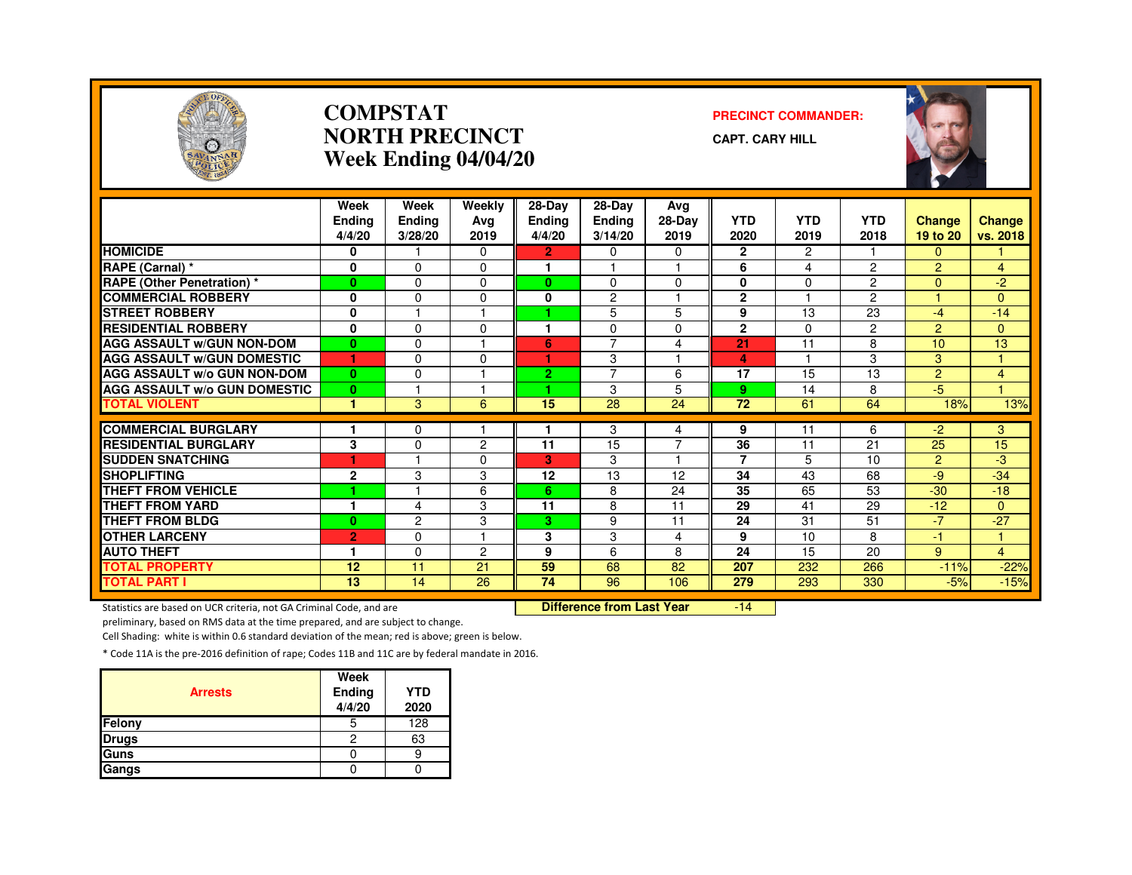

#### **COMPSTATNORTH PRECINCTWeek Ending 04/04/20**

#### **PRECINCT COMMANDER:**

**CAPT. CARY HILL**



|                                     | Week<br><b>Ending</b><br>4/4/20 | Week<br>Ending<br>3/28/20 | Weekly<br>Ava<br>2019 | 28-Day<br><b>Ending</b><br>4/4/20 | 28-Day<br><b>Ending</b><br>3/14/20 | Avg<br>28-Day<br>2019   | <b>YTD</b><br>2020 | <b>YTD</b><br>2019 | <b>YTD</b><br>2018 | <b>Change</b><br>19 to 20 | <b>Change</b><br>vs. 2018 |
|-------------------------------------|---------------------------------|---------------------------|-----------------------|-----------------------------------|------------------------------------|-------------------------|--------------------|--------------------|--------------------|---------------------------|---------------------------|
| <b>HOMICIDE</b>                     | 0                               |                           | 0                     | $\overline{2}$                    | $\Omega$                           | $\Omega$                | $\overline{2}$     | $\overline{c}$     |                    | $\Omega$                  |                           |
| RAPE (Carnal) *                     | 0                               | $\Omega$                  | 0                     | ٠                                 |                                    | $\overline{1}$          | 6                  | 4                  | $\overline{2}$     | $\overline{2}$            | $\overline{4}$            |
| <b>RAPE (Other Penetration)</b> *   | $\mathbf{0}$                    | $\Omega$                  | 0                     | 0                                 | $\Omega$                           | $\Omega$                | 0                  | $\Omega$           | $\overline{2}$     | $\Omega$                  | $-2$                      |
| <b>COMMERCIAL ROBBERY</b>           | 0                               | 0                         | 0                     | 0                                 | $\overline{c}$                     |                         | $\mathbf{2}$       |                    | $\overline{2}$     |                           | $\Omega$                  |
| <b>STREET ROBBERY</b>               | 0                               |                           |                       |                                   | 5                                  | 5                       | 9                  | 13                 | 23                 | $-4$                      | $-14$                     |
| <b>RESIDENTIAL ROBBERY</b>          | $\mathbf{0}$                    | $\Omega$                  | <sup>0</sup>          | ٠                                 | $\Omega$                           | 0                       | $\overline{2}$     | $\Omega$           | $\overline{2}$     | $\overline{2}$            | $\Omega$                  |
| <b>AGG ASSAULT W/GUN NON-DOM</b>    | $\bf{0}$                        | $\mathbf 0$               |                       | 6                                 | $\overline{7}$                     | 4                       | 21                 | 11                 | 8                  | 10                        | 13                        |
| <b>AGG ASSAULT W/GUN DOMESTIC</b>   | 1                               | $\Omega$                  | $\Omega$              | ٠                                 | 3                                  | $\overline{\mathbf{1}}$ | 4                  | м                  | 3                  | 3                         | $\blacktriangleleft$      |
| <b>AGG ASSAULT W/o GUN NON-DOM</b>  | $\mathbf{0}$                    | $\Omega$                  |                       | 2.                                | $\overline{7}$                     | 6                       | 17                 | 15                 | 13                 | $\overline{2}$            | 4                         |
| <b>AGG ASSAULT W/o GUN DOMESTIC</b> | $\bf{0}$                        |                           |                       | ٠                                 | 3                                  | 5                       | 9                  | 14                 | 8                  | $-5$                      |                           |
| <b>TOTAL VIOLENT</b>                | н                               | 3                         | 6                     | 15                                | 28                                 | 24                      | 72                 | 61                 | 64                 | 18%                       | 13%                       |
|                                     |                                 |                           |                       |                                   |                                    |                         |                    |                    |                    |                           |                           |
| <b>COMMERCIAL BURGLARY</b>          |                                 | 0                         |                       |                                   | 3                                  | 4                       | 9                  | 11                 | 6                  | $-2$                      | 3                         |
| <b>RESIDENTIAL BURGLARY</b>         | 3                               | $\Omega$                  | $\overline{c}$        | 11                                | 15                                 | $\overline{7}$          | 36                 | 11                 | 21                 | 25                        | 15                        |
| <b>SUDDEN SNATCHING</b>             |                                 |                           | 0                     | 3                                 | 3                                  |                         | $\overline{7}$     | 5                  | 10                 | $\overline{2}$            | $-3$                      |
| <b>SHOPLIFTING</b>                  | $\overline{2}$                  | 3                         | 3                     | 12                                | 13                                 | 12                      | 34                 | 43                 | 68                 | $-9$                      | $-34$                     |
| <b>THEFT FROM VEHICLE</b>           | 4                               |                           | 6                     | 6.                                | 8                                  | 24                      | 35                 | 65                 | 53                 | $-30$                     | $-18$                     |
| <b>THEFT FROM YARD</b>              |                                 | $\overline{4}$            | 3                     | 11                                | 8                                  | 11                      | 29                 | 41                 | 29                 | $-12$                     | $\mathbf{0}$              |
| <b>THEFT FROM BLDG</b>              | $\bf{0}$                        | $\overline{2}$            | 3                     | 3                                 | 9                                  | 11                      | 24                 | 31                 | 51                 | $-7$                      | $-27$                     |
| <b>OTHER LARCENY</b>                | $\overline{2}$                  | $\Omega$                  |                       | 3                                 | 3                                  | 4                       | 9                  | 10                 | 8                  | $-1$                      | 1.                        |
| <b>AUTO THEFT</b>                   |                                 | $\Omega$                  | 2                     | 9                                 | 6                                  | 8                       | 24                 | 15                 | 20                 | 9                         | $\overline{4}$            |
| <b>TOTAL PROPERTY</b>               | 12                              | 11                        | 21                    | 59                                | 68                                 | 82                      | 207                | 232                | 266                | $-11%$                    | $-22%$                    |
| <b>TOTAL PART I</b>                 | $\overline{13}$                 | 14                        | $\overline{26}$       | $\overline{74}$                   | 96                                 | 106                     | 279                | 293                | 330                | $-5%$                     | $-15%$                    |

Statistics are based on UCR criteria, not GA Criminal Code, and are **Difference from Last Year** 

-14

preliminary, based on RMS data at the time prepared, and are subject to change.

Cell Shading: white is within 0.6 standard deviation of the mean; red is above; green is below.

| <b>Arrests</b> | Week<br>Ending<br>4/4/20 | <b>YTD</b><br>2020 |
|----------------|--------------------------|--------------------|
| Felony         | 5                        | 128                |
| <b>Drugs</b>   | 2                        | 63                 |
| Guns           |                          |                    |
| Gangs          |                          |                    |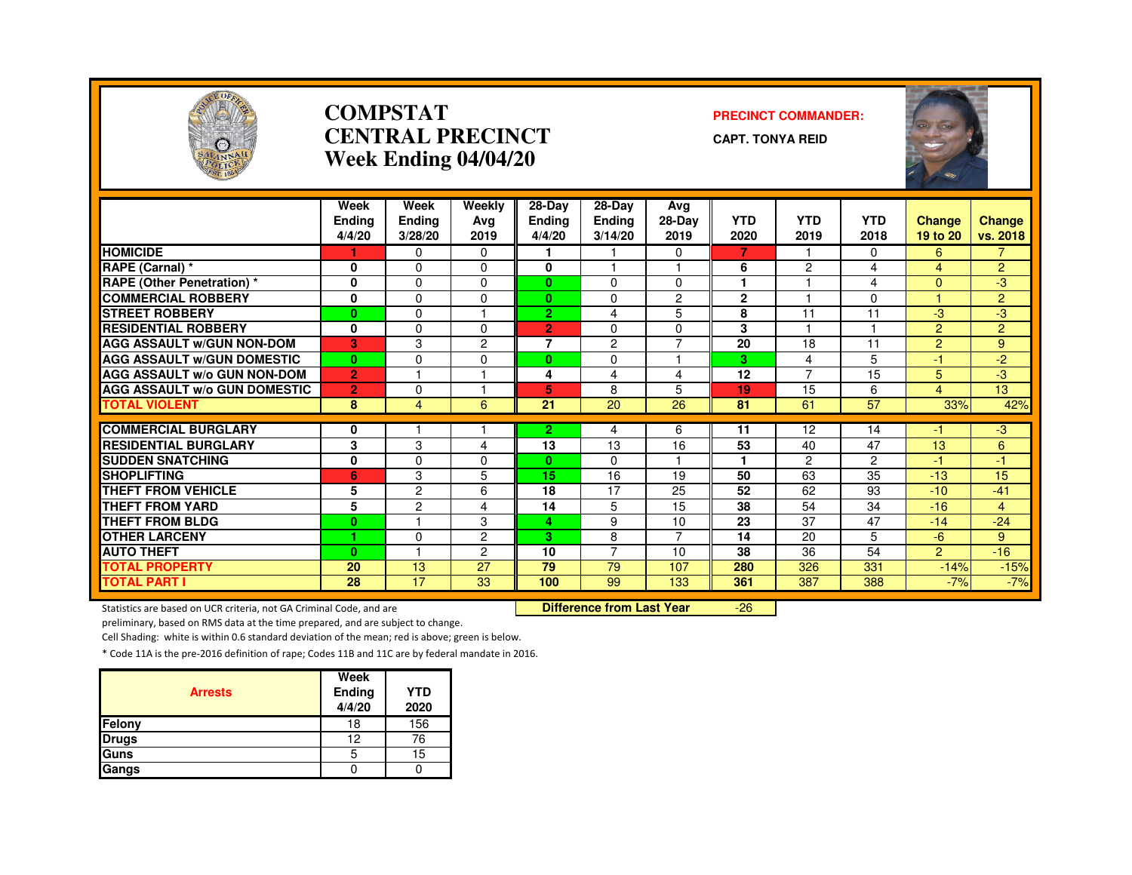

#### **COMPSTAT PRECINCT COMMANDER: CENTRAL PRECINCTWeek Ending 04/04/20**

**CAPT. TONYA REID**

| POLICE                              |                          |                                  | Week Ending 04/04/20  |                                   |                                      |                       |                    |                    |                    |                           |                    |
|-------------------------------------|--------------------------|----------------------------------|-----------------------|-----------------------------------|--------------------------------------|-----------------------|--------------------|--------------------|--------------------|---------------------------|--------------------|
|                                     | Week<br>Ending<br>4/4/20 | Week<br><b>Ending</b><br>3/28/20 | Weekly<br>Ava<br>2019 | 28-Day<br><b>Endina</b><br>4/4/20 | $28-Dav$<br><b>Ending</b><br>3/14/20 | Ava<br>28-Day<br>2019 | <b>YTD</b><br>2020 | <b>YTD</b><br>2019 | <b>YTD</b><br>2018 | <b>Change</b><br>19 to 20 | Change<br>vs. 2018 |
| <b>HOMICIDE</b>                     |                          | $\Omega$                         | $\mathbf{0}$          |                                   |                                      | $\Omega$              | 7                  |                    | $\mathbf{0}$       | 6                         | $\overline{7}$     |
| RAPE (Carnal) *                     | 0                        | $\Omega$                         | $\Omega$              | $\mathbf{0}$                      |                                      |                       | 6                  | $\overline{c}$     | 4                  | 4                         | $\overline{2}$     |
| <b>RAPE (Other Penetration)*</b>    | 0                        | $\Omega$                         | $\Omega$              | $\mathbf{0}$                      | $\Omega$                             | $\Omega$              | ٠                  |                    | 4                  | $\overline{0}$            | $-3$               |
| <b>COMMERCIAL ROBBERY</b>           | 0                        | 0                                | 0                     | $\mathbf{0}$                      | 0                                    | $\overline{c}$        | $\mathbf{2}$       |                    | 0                  | 1                         | $\overline{2}$     |
| <b>STREET ROBBERY</b>               | $\bf{0}$                 | $\Omega$                         |                       | $\overline{2}$                    | 4                                    | 5                     | 8                  | 11                 | 11                 | $-3$                      | $-3$               |
| <b>RESIDENTIAL ROBBERY</b>          | 0                        | $\Omega$                         | $\Omega$              | $\overline{2}$                    | $\Omega$                             | $\Omega$              | 3                  |                    | 1                  | $\overline{2}$            | $\overline{2}$     |
| <b>AGG ASSAULT w/GUN NON-DOM</b>    | 3                        | 3                                | $\overline{c}$        | $\overline{7}$                    | 2                                    | $\overline{7}$        | 20                 | 18                 | 11                 | $\overline{2}$            | 9                  |
| <b>AGG ASSAULT W/GUN DOMESTIC</b>   | $\mathbf{0}$             | $\Omega$                         | $\Omega$              | $\mathbf{0}$                      | $\Omega$                             | $\overline{1}$        | 3                  | 4                  | 5                  | $-1$                      | $-2$               |
| <b>AGG ASSAULT w/o GUN NON-DOM</b>  | $\overline{2}$           |                                  |                       | 4                                 | 4                                    | 4                     | $\overline{12}$    | 7                  | 15                 | 5                         | $-3$               |
| <b>AGG ASSAULT w/o GUN DOMESTIC</b> | $\overline{2}$           | $\mathbf 0$                      |                       | 5                                 | 8                                    | 5                     | 19                 | 15                 | 6                  | $\overline{4}$            | 13                 |
| <b>TOTAL VIOLENT</b>                | 8                        | $\overline{4}$                   | 6                     | 21                                | 20                                   | 26                    | 81                 | 61                 | 57                 | 33%                       | 42%                |
| <b>COMMERCIAL BURGLARY</b>          |                          |                                  |                       |                                   |                                      |                       |                    | 12                 | 14                 | $-1$                      | $-3$               |
| <b>RESIDENTIAL BURGLARY</b>         | 0<br>3                   | 3                                | 4                     | $\overline{2}$<br>13              | 4<br>13                              | 6<br>16               | 11<br>53           | 40                 | 47                 | 13                        | 6                  |
| <b>SUDDEN SNATCHING</b>             | $\bf{0}$                 | $\Omega$                         | $\Omega$              | $\mathbf{0}$                      | $\Omega$                             |                       |                    | $\overline{2}$     | $\overline{2}$     | $-1$                      | $-1$               |
| <b>SHOPLIFTING</b>                  | 6                        | 3                                | 5                     | 15                                | 16                                   | 19                    | 50                 | 63                 | 35                 | $-13$                     | 15                 |
| THEFT FROM VEHICLE                  | 5                        | $\overline{c}$                   | 6                     | 18                                | 17                                   | 25                    | 52                 | 62                 | 93                 | $-10$                     | $-41$              |
| <b>THEFT FROM YARD</b>              | 5                        | $\overline{c}$                   | 4                     | 14                                | 5                                    | 15                    | 38                 | 54                 | 34                 | $-16$                     | $\overline{4}$     |
| THEFT FROM BLDG                     | $\bf{0}$                 |                                  | 3                     | 4                                 | 9                                    | 10                    | 23                 | 37                 | 47                 | $-14$                     | $-24$              |
| <b>OTHER LARCENY</b>                |                          | $\Omega$                         | $\overline{c}$        | 3.                                | 8                                    | $\overline{7}$        | 14                 | 20                 | 5                  | $-6$                      | 9                  |
| <b>AUTO THEFT</b>                   | $\bf{0}$                 |                                  | $\overline{2}$        | 10                                | 7                                    | 10                    | 38                 | 36                 | 54                 | $\mathcal{P}$             | $-16$              |
| <b>TOTAL PROPERTY</b>               | 20                       | 13                               | $\overline{27}$       | 79                                | $\overline{79}$                      | 107                   | 280                | 326                | 331                | $-14%$                    | $-15%$             |
| <b>TOTAL PART I</b>                 | 28                       | 17                               | 33                    | 100                               | 99                                   | 133                   | 361                | 387                | 388                | $-7%$                     | $-7%$              |

Statistics are based on UCR criteria, not GA Criminal Code, and are **Difference from Last Year** 

-26

preliminary, based on RMS data at the time prepared, and are subject to change.

Cell Shading: white is within 0.6 standard deviation of the mean; red is above; green is below.

| <b>Arrests</b> | Week<br>Ending<br>4/4/20 | <b>YTD</b><br>2020 |
|----------------|--------------------------|--------------------|
| Felony         | 18                       | 156                |
| <b>Drugs</b>   | 12                       | 76                 |
| Guns           | 5                        | 15                 |
| Gangs          |                          |                    |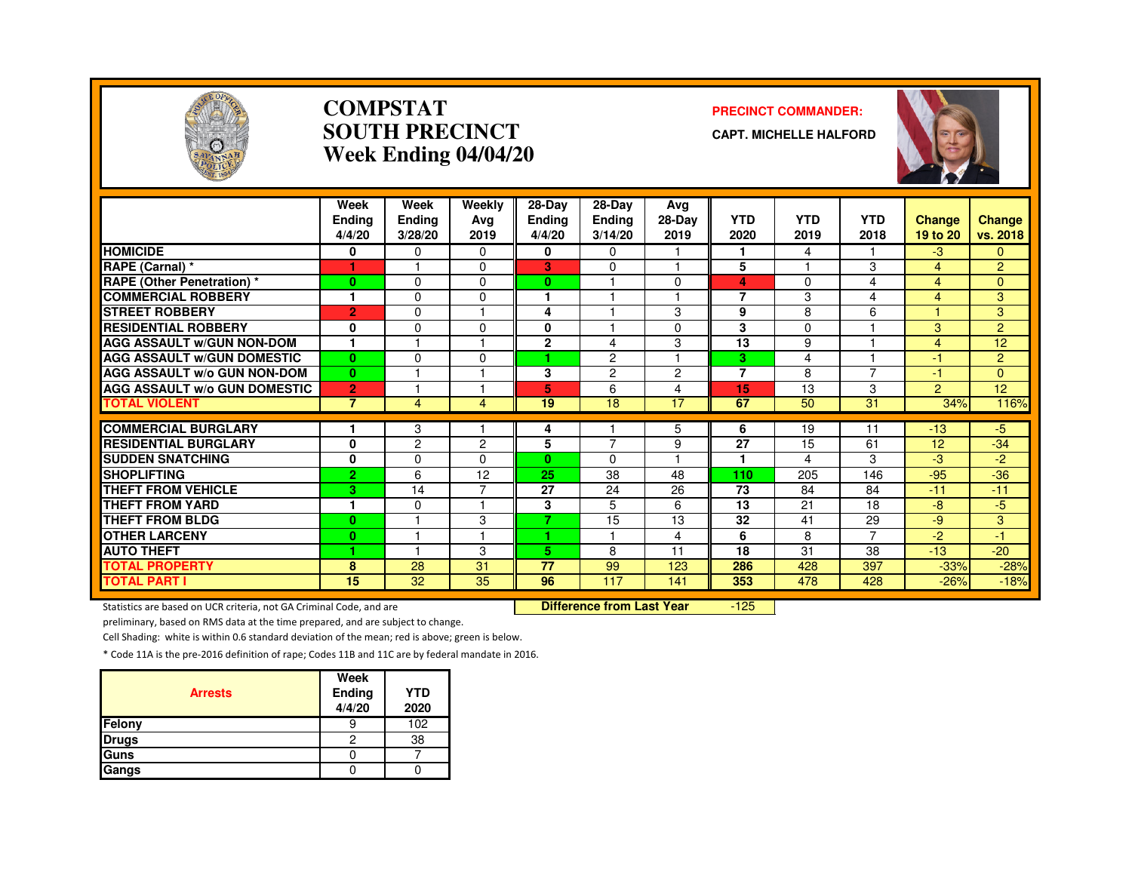

#### **COMPSTATSOUTH PRECINCTWeek Ending 04/04/20**

#### **PRECINCT COMMANDER:**

**CAPT. MICHELLE HALFORD**



|                                     | Week<br><b>Ending</b><br>4/4/20 | Week<br>Ending<br>3/28/20 | Weekly<br>Avg<br>2019 | 28-Day<br><b>Ending</b><br>4/4/20 | $28-Dav$<br><b>Ending</b><br>3/14/20 | Ava<br>28-Day<br>2019 | <b>YTD</b><br>2020 | <b>YTD</b><br>2019 | <b>YTD</b><br>2018 | <b>Change</b><br>19 to 20 | Change<br>vs. 2018 |
|-------------------------------------|---------------------------------|---------------------------|-----------------------|-----------------------------------|--------------------------------------|-----------------------|--------------------|--------------------|--------------------|---------------------------|--------------------|
| <b>HOMICIDE</b>                     | 0                               | 0                         | $\Omega$              | 0                                 | $\Omega$                             |                       | 1                  | 4                  |                    | $-3$                      | $\mathbf{0}$       |
| RAPE (Carnal) *                     |                                 |                           | $\Omega$              | 3                                 | $\Omega$                             |                       | 5                  |                    | 3                  | $\overline{4}$            | $\overline{2}$     |
| <b>RAPE (Other Penetration)</b> *   | $\mathbf{0}$                    | $\Omega$                  | $\Omega$              | 0                                 |                                      | $\Omega$              | 4                  | 0                  | 4                  | 4                         | $\mathbf{0}$       |
| <b>COMMERCIAL ROBBERY</b>           |                                 | $\Omega$                  | $\Omega$              |                                   |                                      |                       | 7                  | 3                  | 4                  | 4                         | 3                  |
| <b>STREET ROBBERY</b>               | $\overline{2}$                  | $\mathbf{0}$              |                       | 4                                 |                                      | 3                     | 9                  | 8                  | 6                  |                           | 3                  |
| <b>RESIDENTIAL ROBBERY</b>          | 0                               | $\mathbf{0}$              | $\Omega$              | 0                                 |                                      | $\Omega$              | 3                  | $\Omega$           |                    | 3                         | $\overline{2}$     |
| <b>AGG ASSAULT W/GUN NON-DOM</b>    |                                 |                           |                       | $\overline{2}$                    | 4                                    | 3                     | 13                 | 9                  |                    | $\overline{4}$            | 12                 |
| <b>AGG ASSAULT W/GUN DOMESTIC</b>   | $\bf{0}$                        | $\Omega$                  | $\Omega$              | ٠                                 | 2                                    |                       | 3                  | 4                  |                    | $-1$                      | $\overline{2}$     |
| <b>AGG ASSAULT w/o GUN NON-DOM</b>  | $\bf{0}$                        |                           |                       | 3                                 | $\overline{2}$                       | $\overline{2}$        | 7                  | 8                  | 7                  | -1                        | $\Omega$           |
| <b>AGG ASSAULT w/o GUN DOMESTIC</b> | $\overline{2}$                  |                           |                       | 5                                 | 6                                    | $\overline{4}$        | 15                 | 13                 | 3                  | $\overline{2}$            | 12                 |
| <b>TOTAL VIOLENT</b>                | $\overline{7}$                  | 4                         | 4                     | 19                                | 18                                   | 17                    | 67                 | 50                 | 31                 | 34%                       | 116%               |
|                                     |                                 |                           |                       |                                   |                                      |                       |                    |                    |                    |                           |                    |
| <b>COMMERCIAL BURGLARY</b>          |                                 | 3                         |                       | 4                                 | 7                                    | 5                     | 6                  | 19                 | 11                 | $-13$                     | $-5$               |
| <b>RESIDENTIAL BURGLARY</b>         | $\mathbf{0}$                    | $\overline{2}$            | $\overline{2}$        | 5                                 |                                      | 9                     | 27<br>1            | 15                 | 61                 | 12                        | $-34$              |
| <b>SUDDEN SNATCHING</b>             | 0                               | $\Omega$                  | 0                     | $\mathbf{0}$                      | $\Omega$                             |                       |                    | 4                  | 3                  | -3                        | -2                 |
| <b>SHOPLIFTING</b>                  | $\overline{2}$                  | 6                         | 12<br>⇁               | 25                                | 38                                   | 48                    | 110                | 205                | 146                | $-95$                     | $-36$              |
| THEFT FROM VEHICLE                  | 3                               | 14                        |                       | 27                                | 24                                   | 26                    | 73                 | 84                 | 84                 | $-11$                     | $-11$              |
| <b>THEFT FROM YARD</b>              | $\mathbf{1}$                    | 0                         |                       | 3                                 | 5                                    | 6                     | 13                 | 21                 | 18                 | -8                        | $-5$               |
| <b>THEFT FROM BLDG</b>              | $\bf{0}$                        |                           | 3                     | 7                                 | 15                                   | 13                    | 32                 | 41                 | 29                 | -9                        | 3                  |
| <b>OTHER LARCENY</b>                | $\bf{0}$                        |                           |                       |                                   |                                      | 4                     | 6                  | 8                  | $\overline{7}$     | $-2$                      | $-1$               |
| <b>AUTO THEFT</b>                   | 1                               |                           | 3                     | 5.                                | 8                                    | 11                    | 18                 | 31                 | 38                 | $-13$                     | $-20$              |
| <b>TOTAL PROPERTY</b>               | 8                               | 28                        | 31                    | 77                                | 99                                   | 123                   | 286                | 428                | 397                | $-33%$                    | $-28%$             |
| <b>TOTAL PART I</b>                 | 15                              | 32                        | 35                    | 96                                | 117                                  | 141                   | 353                | 478                | 428                | $-26%$                    | $-18%$             |

Statistics are based on UCR criteria, not GA Criminal Code, and are **Difference from Last Year** 

 $-125$ 

preliminary, based on RMS data at the time prepared, and are subject to change.

Cell Shading: white is within 0.6 standard deviation of the mean; red is above; green is below.

| <b>Arrests</b> | Week<br>Ending<br>4/4/20 | <b>YTD</b><br>2020 |
|----------------|--------------------------|--------------------|
| Felony         |                          | 102                |
| <b>Drugs</b>   | 2                        | 38                 |
| Guns           |                          |                    |
| Gangs          |                          |                    |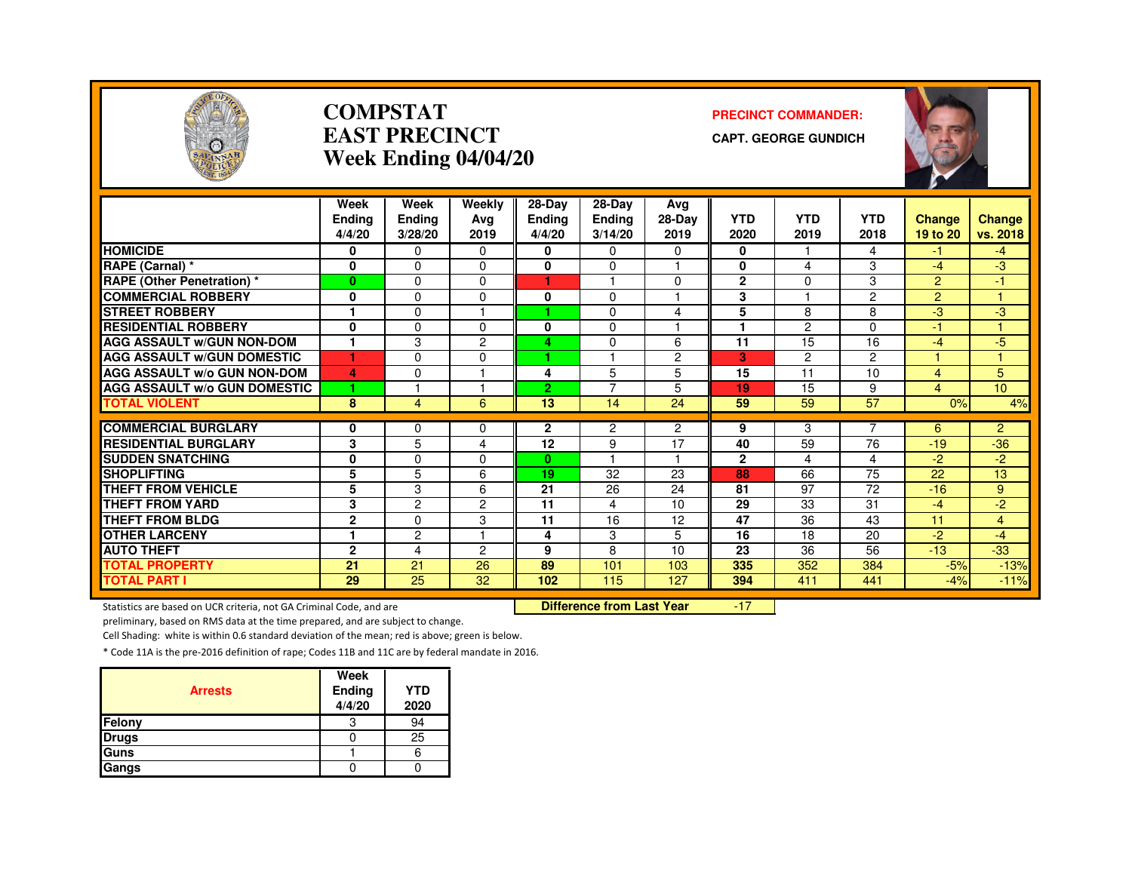

#### **COMPSTATEAST PRECINCTWeek Ending 04/04/20**

#### **PRECINCT COMMANDER:**

**CAPT. GEORGE GUNDICH**



|                                     | Week           | Week           | Weekly         | 28-Day         | $28-Dav$                  | Avg                  |                 |                |                |                |                  |
|-------------------------------------|----------------|----------------|----------------|----------------|---------------------------|----------------------|-----------------|----------------|----------------|----------------|------------------|
|                                     | <b>Endina</b>  | Ending         | Ava            | <b>Ending</b>  | Ending                    | 28-Day               | <b>YTD</b>      | <b>YTD</b>     | <b>YTD</b>     | <b>Change</b>  | <b>Change</b>    |
|                                     | 4/4/20         | 3/28/20        | 2019           | 4/4/20         | 3/14/20                   | 2019                 | 2020            | 2019           | 2018           | 19 to 20       | vs. 2018         |
| <b>HOMICIDE</b>                     | 0              | $\Omega$       | $\Omega$       | 0              | 0                         | 0                    | 0               |                | 4              | -1             | $-4$             |
| RAPE (Carnal) *                     | 0              | $\Omega$       | $\Omega$       | 0              | 0                         | ٠                    | 0               | 4              | 3              | $-4$           | -3               |
| <b>RAPE (Other Penetration) *</b>   | $\mathbf{0}$   | $\Omega$       | $\Omega$       | 1              |                           | $\Omega$             | $\mathbf{2}$    | $\Omega$       | 3              | $\overline{2}$ | $-1$             |
| <b>COMMERCIAL ROBBERY</b>           | 0              | $\Omega$       | $\Omega$       | 0              | 0                         | ٠                    | 3               |                | $\overline{2}$ | $\overline{2}$ |                  |
| <b>STREET ROBBERY</b>               |                | $\Omega$       |                |                | 0                         | 4                    | 5               | 8              | 8              | -3             | -3               |
| <b>RESIDENTIAL ROBBERY</b>          | 0              | $\Omega$       | $\Omega$       | $\bf{0}$       | 0                         |                      |                 | 2              | $\Omega$       | $-1$           |                  |
| <b>AGG ASSAULT W/GUN NON-DOM</b>    |                | 3              | 2              | 4              | 0                         | 6                    | $\overline{11}$ | 15             | 16             | $-4$           | $-5$             |
| <b>AGG ASSAULT W/GUN DOMESTIC</b>   | 1              | $\Omega$       | $\Omega$       |                |                           | $\overline{c}$       | 3               | $\overline{c}$ | $\overline{2}$ |                |                  |
| <b>AGG ASSAULT w/o GUN NON-DOM</b>  | 4              | $\Omega$       | ٠              | 4              | 5                         | 5                    | 15              | 11             | 10             | 4              | 5                |
| <b>AGG ASSAULT W/o GUN DOMESTIC</b> | 1              |                |                | $\overline{2}$ | 7                         | 5                    | 19              | 15             | 9              | 4              | 10 <sup>10</sup> |
| <b>TOTAL VIOLENT</b>                | 8              | $\overline{4}$ | 6              | 13             | 14                        | 24                   | 59              | 59             | 57             | 0%             | 4%               |
|                                     |                |                |                |                |                           |                      |                 |                | 7              |                |                  |
| <b>COMMERCIAL BURGLARY</b>          | 0              | $\Omega$       | $\Omega$       | $\mathbf{2}$   | 2                         | $\overline{2}$       | 9               | 3              |                | 6              | $\overline{2}$   |
| <b>RESIDENTIAL BURGLARY</b>         | 3              | 5              | 4              | 12             | 9<br>$\blacktriangleleft$ | 17<br>$\overline{1}$ | 40              | 59             | 76             | $-19$          | $-36$            |
| <b>SUDDEN SNATCHING</b>             | 0              | $\Omega$       | $\Omega$       | $\mathbf{0}$   |                           |                      | $\mathbf{2}$    | 4              | 4              | $-2$           | $-2$             |
| <b>SHOPLIFTING</b>                  | 5              | 5              | 6              | 19             | 32                        | 23                   | 88              | 66             | 75             | 22             | 13               |
| <b>THEFT FROM VEHICLE</b>           | 5              | 3              | 6              | 21             | 26                        | 24                   | 81              | 97             | 72             | $-16$          | 9                |
| <b>THEFT FROM YARD</b>              | 3              | $\overline{c}$ | $\overline{c}$ | 11             | 4                         | 10                   | $\overline{29}$ | 33             | 31             | $-4$           | $-2$             |
| <b>THEFT FROM BLDG</b>              | $\overline{2}$ | $\Omega$       | 3              | 11             | 16                        | 12                   | 47              | 36             | 43             | 11             | 4                |
| <b>OTHER LARCENY</b>                | $\mathbf{1}$   | $\overline{c}$ | и              | 4              | 3                         | 5                    | 16              | 18             | 20             | $-2$           | $-4$             |
| <b>AUTO THEFT</b>                   | $\overline{2}$ | 4              | 2              | 9              | 8                         | 10                   | 23              | 36             | 56             | $-13$          | $-33$            |
| <b>TOTAL PROPERTY</b>               | 21             | 21             | 26             | 89             | 101                       | 103                  | 335             | 352            | 384            | $-5%$          | $-13%$           |
| <b>TOTAL PART I</b>                 | 29             | 25             | 32             | 102            | 115                       | 127                  | 394             | 411            | 441            | $-4%$          | $-11%$           |

Statistics are based on UCR criteria, not GA Criminal Code, and are **Difference from Last Year** 

-17

preliminary, based on RMS data at the time prepared, and are subject to change.

Cell Shading: white is within 0.6 standard deviation of the mean; red is above; green is below.

| <b>Arrests</b> | Week<br>Ending<br>4/4/20 | <b>YTD</b><br>2020 |
|----------------|--------------------------|--------------------|
| Felony         | 3                        | 94                 |
| <b>Drugs</b>   |                          | 25                 |
| Guns           |                          | 6                  |
| Gangs          |                          |                    |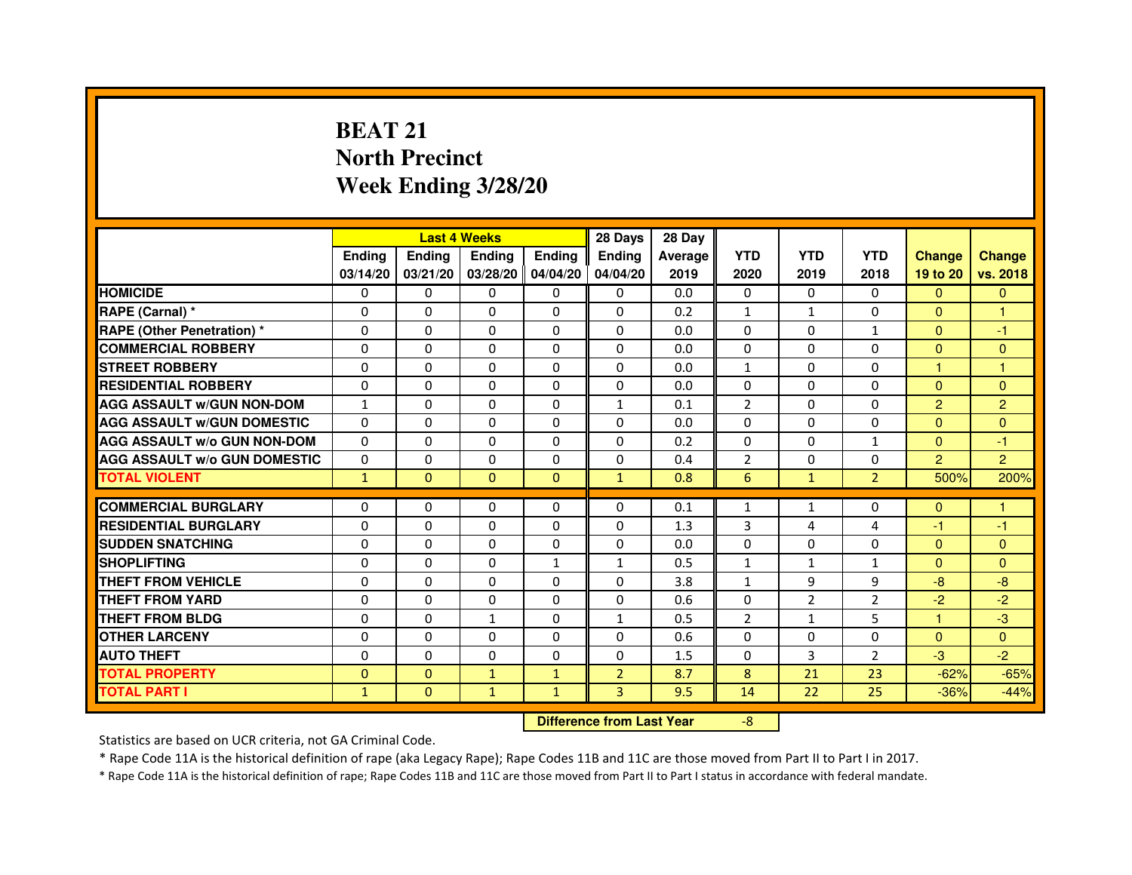# **BEAT 21 North PrecinctWeek Ending 3/28/20**

|                                     |               | <b>Last 4 Weeks</b>              |                   |               | 28 Days        | 28 Day  |                |                |                |                |                |
|-------------------------------------|---------------|----------------------------------|-------------------|---------------|----------------|---------|----------------|----------------|----------------|----------------|----------------|
|                                     | <b>Ending</b> | <b>Endina</b>                    | <b>Ending</b>     | <b>Ending</b> | <b>Endina</b>  | Average | <b>YTD</b>     | <b>YTD</b>     | <b>YTD</b>     | <b>Change</b>  | <b>Change</b>  |
|                                     | 03/14/20      | 03/21/20                         | 03/28/20 04/04/20 |               | 04/04/20       | 2019    | 2020           | 2019           | 2018           | 19 to 20       | vs. 2018       |
| <b>HOMICIDE</b>                     | $\mathbf{0}$  | $\Omega$                         | $\mathbf{0}$      | $\Omega$      | $\mathbf{0}$   | 0.0     | $\Omega$       | $\Omega$       | $\Omega$       | $\Omega$       | $\mathbf{0}$   |
| RAPE (Carnal) *                     | 0             | $\mathbf{0}$                     | 0                 | $\mathbf{0}$  | $\mathbf{0}$   | 0.2     | 1              | $\mathbf{1}$   | $\Omega$       | $\mathbf{0}$   | 1              |
| <b>RAPE (Other Penetration) *</b>   | 0             | 0                                | $\Omega$          | $\mathbf{0}$  | $\mathbf{0}$   | 0.0     | $\Omega$       | $\Omega$       | $\mathbf{1}$   | $\Omega$       | $-1$           |
| <b>COMMERCIAL ROBBERY</b>           | $\mathbf 0$   | $\Omega$                         | $\Omega$          | $\mathbf{0}$  | $\mathbf{0}$   | 0.0     | $\Omega$       | $\Omega$       | $\Omega$       | $\Omega$       | $\Omega$       |
| <b>STREET ROBBERY</b>               | 0             | 0                                | 0                 | $\Omega$      | $\Omega$       | 0.0     | $\mathbf{1}$   | $\Omega$       | $\Omega$       | $\mathbf{1}$   | $\mathbf{1}$   |
| <b>RESIDENTIAL ROBBERY</b>          | 0             | 0                                | 0                 | $\mathbf{0}$  | $\Omega$       | 0.0     | 0              | 0              | 0              | $\mathbf{0}$   | $\Omega$       |
| <b>AGG ASSAULT W/GUN NON-DOM</b>    | $\mathbf{1}$  | 0                                | $\Omega$          | $\Omega$      | $\mathbf{1}$   | 0.1     | $\overline{2}$ | $\Omega$       | $\Omega$       | $\overline{2}$ | $\overline{c}$ |
| <b>AGG ASSAULT W/GUN DOMESTIC</b>   | $\Omega$      | $\Omega$                         | $\Omega$          | $\Omega$      | $\Omega$       | 0.0     | $\Omega$       | $\Omega$       | $\Omega$       | $\Omega$       | $\Omega$       |
| <b>AGG ASSAULT w/o GUN NON-DOM</b>  | 0             | 0                                | 0                 | 0             | $\Omega$       | 0.2     | 0              | 0              | 1              | $\mathbf{0}$   | $-1$           |
| <b>AGG ASSAULT W/o GUN DOMESTIC</b> | $\mathbf 0$   | 0                                | 0                 | $\Omega$      | $\Omega$       | 0.4     | $\overline{2}$ | 0              | 0              | $\overline{2}$ | $\overline{2}$ |
| <b>TOTAL VIOLENT</b>                | $\mathbf{1}$  | $\mathbf{0}$                     | $\mathbf{0}$      | $\mathbf{0}$  | $\mathbf{1}$   | 0.8     | 6              | $\mathbf{1}$   | $\overline{2}$ | 500%           | 200%           |
| <b>COMMERCIAL BURGLARY</b>          | 0             | 0                                | 0                 | 0             | 0              | 0.1     | 1              | $\mathbf{1}$   | 0              | $\mathbf{0}$   | 1              |
| <b>RESIDENTIAL BURGLARY</b>         | $\mathbf 0$   | $\Omega$                         | $\Omega$          | $\Omega$      | $\mathbf{0}$   | 1.3     | 3              | 4              | 4              | $-1$           | $-1$           |
| <b>SUDDEN SNATCHING</b>             | 0             | 0                                | $\Omega$          | $\Omega$      | $\Omega$       | 0.0     | $\Omega$       | $\Omega$       | $\Omega$       | $\Omega$       | $\mathbf{0}$   |
| <b>SHOPLIFTING</b>                  | 0             | $\Omega$                         | 0                 | 1             | $\mathbf{1}$   | 0.5     | $\mathbf{1}$   | $\mathbf{1}$   | $\mathbf{1}$   | $\Omega$       | $\Omega$       |
| THEFT FROM VEHICLE                  | 0             | $\Omega$                         | $\Omega$          | $\Omega$      | $\Omega$       | 3.8     | $\mathbf{1}$   | 9              | 9              | $-8$           | $-8$           |
| <b>THEFT FROM YARD</b>              | $\Omega$      | $\Omega$                         | $\Omega$          | $\mathbf{0}$  | $\mathbf{0}$   | 0.6     | $\Omega$       | $\overline{2}$ | $\overline{2}$ | $-2$           | $-2$           |
| <b>THEFT FROM BLDG</b>              | 0             | $\Omega$                         | $\mathbf{1}$      | $\mathbf{0}$  | $\mathbf{1}$   | 0.5     | 2              | $\mathbf{1}$   | 5              | $\mathbf{1}$   | $-3$           |
| <b>OTHER LARCENY</b>                | 0             | 0                                | 0                 | $\mathbf{0}$  | $\Omega$       | 0.6     | $\Omega$       | $\Omega$       | $\Omega$       | $\Omega$       | $\Omega$       |
| <b>AUTO THEFT</b>                   | $\mathbf 0$   | 0                                | 0                 | 0             | $\Omega$       | 1.5     | $\Omega$       | 3              | $\overline{2}$ | $-3$           | $-2$           |
| <b>TOTAL PROPERTY</b>               | $\Omega$      | $\mathbf{0}$                     |                   |               | $\overline{2}$ | 8.7     | 8              | 21             | 23             | $-62%$         | $-65%$         |
|                                     |               |                                  | $\mathbf{1}$      | $\mathbf{1}$  |                |         |                |                |                |                |                |
| <b>TOTAL PART I</b>                 | $\mathbf{1}$  | $\overline{0}$                   | $\mathbf{1}$      | $\mathbf{1}$  | 3              | 9.5     | 14             | 22             | 25             | $-36%$         | $-44%$         |
|                                     |               | <b>Difference from Last Year</b> |                   | $-8$          |                |         |                |                |                |                |                |

 **Difference from Last Year**

Statistics are based on UCR criteria, not GA Criminal Code.

\* Rape Code 11A is the historical definition of rape (aka Legacy Rape); Rape Codes 11B and 11C are those moved from Part II to Part I in 2017.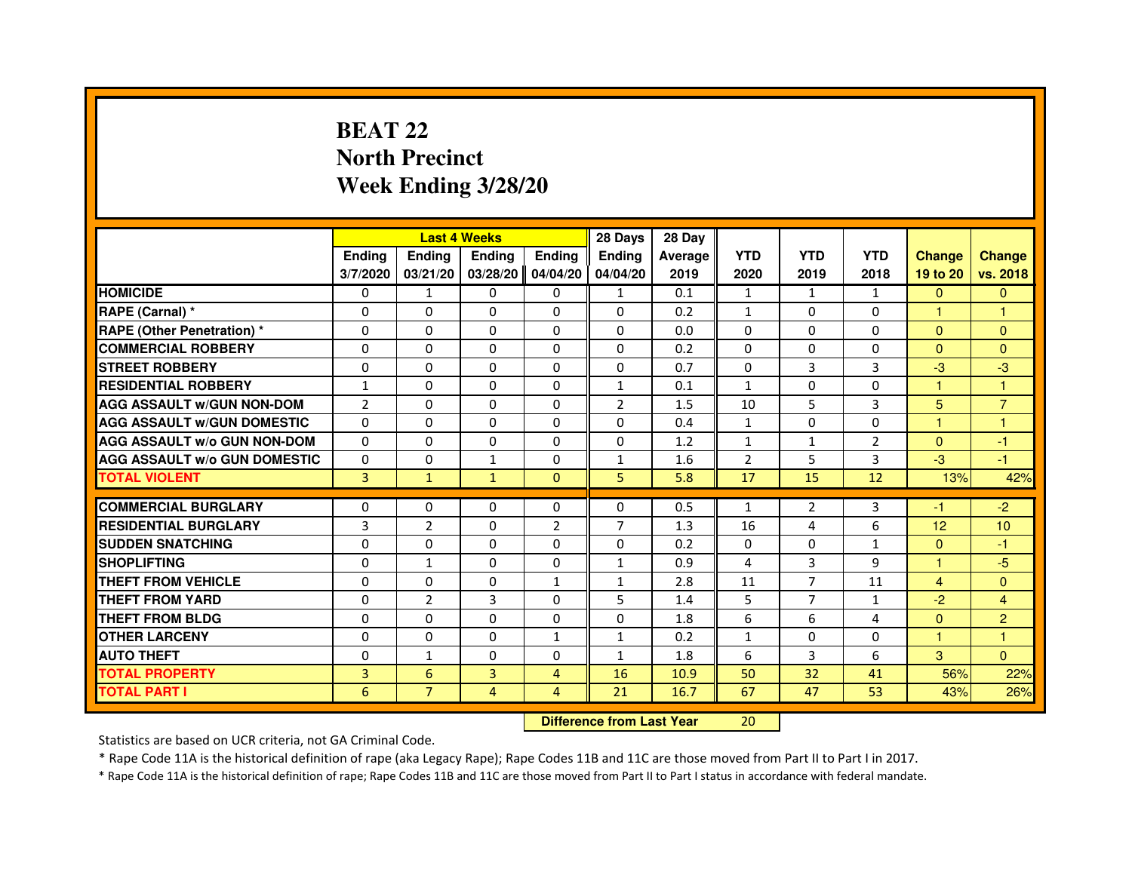# **BEAT 22 North PrecinctWeek Ending 3/28/20**

|                                     |                | <b>Last 4 Weeks</b>              |                |                | 28 Days        | 28 Day  |                |                |                |                      |                |
|-------------------------------------|----------------|----------------------------------|----------------|----------------|----------------|---------|----------------|----------------|----------------|----------------------|----------------|
|                                     | <b>Ending</b>  | <b>Ending</b>                    | <b>Ending</b>  | <b>Ending</b>  | Ending         | Average | <b>YTD</b>     | <b>YTD</b>     | <b>YTD</b>     | <b>Change</b>        | <b>Change</b>  |
|                                     | 3/7/2020       | 03/21/20                         | 03/28/20       | 04/04/20       | 04/04/20       | 2019    | 2020           | 2019           | 2018           | 19 to 20             | vs. 2018       |
| <b>HOMICIDE</b>                     | $\Omega$       | $\mathbf{1}$                     | $\Omega$       | $\mathbf{0}$   | 1              | 0.1     | $\mathbf{1}$   | 1              | $\mathbf{1}$   | $\Omega$             | $\mathbf{0}$   |
| RAPE (Carnal) *                     | 0              | $\Omega$                         | $\Omega$       | $\Omega$       | $\Omega$       | 0.2     | $\mathbf{1}$   | $\mathbf{0}$   | $\Omega$       | $\mathbf{1}$         | 1              |
| <b>RAPE (Other Penetration) *</b>   | $\Omega$       | $\Omega$                         | $\Omega$       | $\Omega$       | $\Omega$       | 0.0     | $\Omega$       | $\Omega$       | $\Omega$       | $\Omega$             | $\mathbf{0}$   |
| <b>COMMERCIAL ROBBERY</b>           | $\Omega$       | $\Omega$                         | $\Omega$       | $\Omega$       | $\Omega$       | 0.2     | $\Omega$       | $\Omega$       | $\Omega$       | $\Omega$             | $\mathbf{0}$   |
| <b>STREET ROBBERY</b>               | $\Omega$       | $\Omega$                         | $\Omega$       | $\Omega$       | $\Omega$       | 0.7     | $\Omega$       | 3              | 3              | $-3$                 | $-3$           |
| <b>RESIDENTIAL ROBBERY</b>          | $\mathbf{1}$   | $\Omega$                         | $\Omega$       | $\Omega$       | $\mathbf{1}$   | 0.1     | $\mathbf{1}$   | $\Omega$       | $\Omega$       | $\blacktriangleleft$ | $\mathbf{1}$   |
| <b>AGG ASSAULT w/GUN NON-DOM</b>    | $\overline{2}$ | $\Omega$                         | $\Omega$       | $\Omega$       | $\overline{2}$ | 1.5     | 10             | 5              | 3              | 5                    | $\overline{7}$ |
| <b>AGG ASSAULT w/GUN DOMESTIC</b>   | $\Omega$       | $\Omega$                         | $\Omega$       | $\Omega$       | $\Omega$       | 0.4     | $\mathbf{1}$   | $\Omega$       | $\Omega$       | $\mathbf{1}$         | $\mathbf{1}$   |
| <b>AGG ASSAULT W/o GUN NON-DOM</b>  | $\Omega$       | $\Omega$                         | $\Omega$       | 0              | 0              | 1.2     | $\mathbf{1}$   | $\mathbf{1}$   | $\overline{2}$ | $\Omega$             | -1             |
| <b>AGG ASSAULT W/o GUN DOMESTIC</b> | $\Omega$       | 0                                | $\mathbf{1}$   | $\Omega$       | $\mathbf{1}$   | 1.6     | $\overline{2}$ | 5              | 3              | $-3$                 | -1             |
| <b>TOTAL VIOLENT</b>                | 3              | $\mathbf{1}$                     | $\mathbf{1}$   | $\overline{0}$ | 5              | 5.8     | 17             | 15             | 12             | 13%                  | 42%            |
| <b>COMMERCIAL BURGLARY</b>          | $\Omega$       | 0                                | 0              | 0              | $\Omega$       | 0.5     | $\mathbf{1}$   | $\overline{2}$ | 3              | -1                   | $-2$           |
| <b>RESIDENTIAL BURGLARY</b>         | 3              | $\overline{2}$                   | $\Omega$       | $\overline{2}$ | $\overline{7}$ | 1.3     | 16             | 4              | 6              | 12                   | 10             |
| <b>SUDDEN SNATCHING</b>             | $\Omega$       | $\Omega$                         | $\Omega$       | $\Omega$       | $\Omega$       | 0.2     | $\Omega$       | $\Omega$       | $\mathbf{1}$   | $\Omega$             | $-1$           |
| <b>SHOPLIFTING</b>                  | 0              | 1                                | 0              | 0              | $\mathbf{1}$   | 0.9     | 4              | 3              | 9              | $\mathbf{1}$         | $-5$           |
| <b>THEFT FROM VEHICLE</b>           | $\Omega$       | $\Omega$                         | $\Omega$       | $\mathbf{1}$   | $\mathbf{1}$   | 2.8     | 11             | $\overline{7}$ | 11             | 4                    | $\overline{0}$ |
| <b>THEFT FROM YARD</b>              | 0              | $\overline{2}$                   | 3              | 0              | 5              | 1.4     | 5              | $\overline{7}$ | $\mathbf{1}$   | $-2$                 | $\overline{4}$ |
| <b>THEFT FROM BLDG</b>              | $\Omega$       | $\Omega$                         | $\Omega$       | $\Omega$       | $\Omega$       | 1.8     | 6              | 6              | 4              | $\Omega$             | $\overline{2}$ |
| <b>OTHER LARCENY</b>                | $\Omega$       | $\Omega$                         | $\Omega$       | $\mathbf{1}$   | $\mathbf{1}$   | 0.2     | $\mathbf{1}$   | $\Omega$       | $\Omega$       | $\mathbf{1}$         | $\mathbf{1}$   |
| <b>AUTO THEFT</b>                   | $\Omega$       | $\mathbf{1}$                     | $\Omega$       | $\Omega$       | $\mathbf{1}$   | 1.8     | 6              | 3              | 6              | 3                    | $\Omega$       |
| <b>TOTAL PROPERTY</b>               | $\overline{3}$ | 6                                | $\overline{3}$ | 4              | 16             | 10.9    | 50             | 32             | 41             | 56%                  | 22%            |
| <b>TOTAL PART I</b>                 | 6              | $\overline{7}$                   | $\overline{4}$ | 4              | 21             | 16.7    | 67             | 47             | 53             | 43%                  | 26%            |
|                                     |                | <b>Difference from Last Year</b> |                | 20             |                |         |                |                |                |                      |                |

 **Difference from Last Year**

Statistics are based on UCR criteria, not GA Criminal Code.

\* Rape Code 11A is the historical definition of rape (aka Legacy Rape); Rape Codes 11B and 11C are those moved from Part II to Part I in 2017.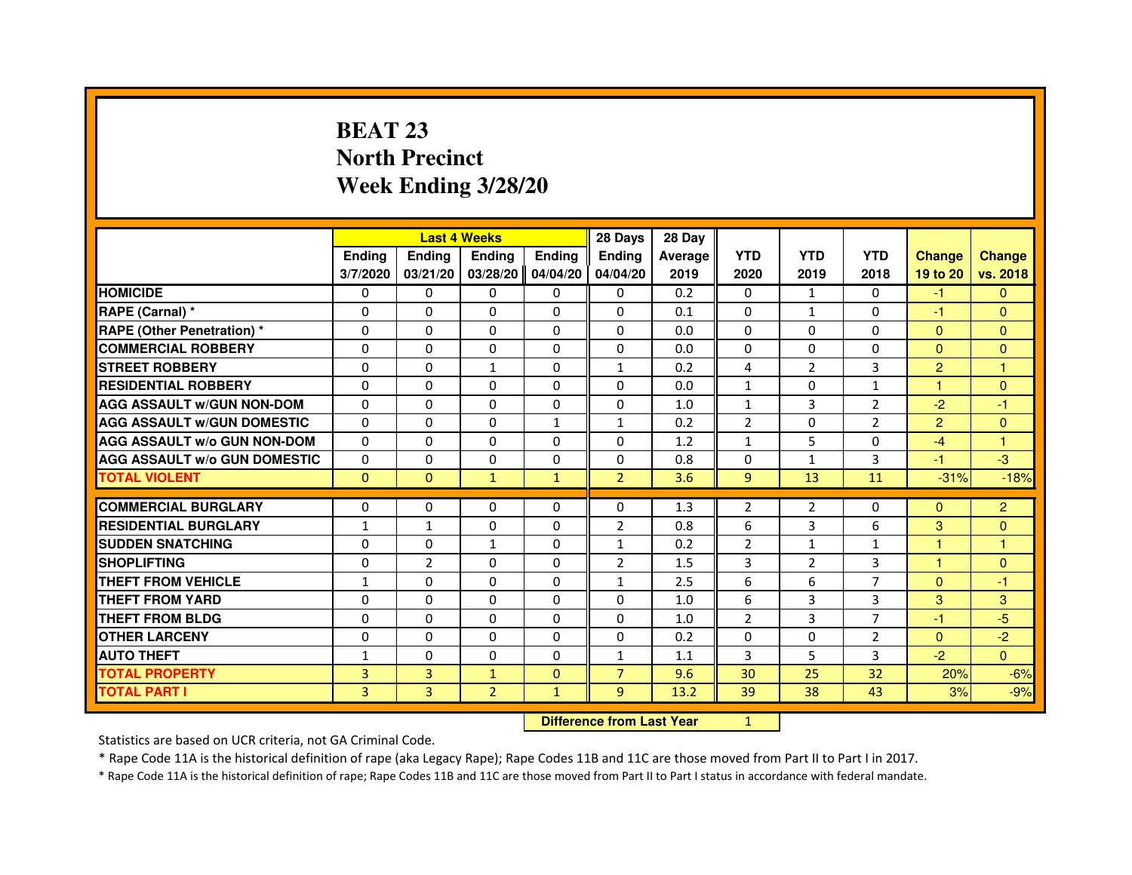# **BEAT 23 North PrecinctWeek Ending 3/28/20**

|                                     |               |                | <b>Last 4 Weeks</b> |               | 28 Days        | 28 Day  |                |                |                |                      |                |
|-------------------------------------|---------------|----------------|---------------------|---------------|----------------|---------|----------------|----------------|----------------|----------------------|----------------|
|                                     | <b>Ending</b> | <b>Ending</b>  | <b>Ending</b>       | <b>Ending</b> | <b>Endina</b>  | Average | <b>YTD</b>     | <b>YTD</b>     | <b>YTD</b>     | <b>Change</b>        | <b>Change</b>  |
|                                     | 3/7/2020      | 03/21/20       | 03/28/20            | 04/04/20      | 04/04/20       | 2019    | 2020           | 2019           | 2018           | 19 to 20             | vs. 2018       |
| <b>HOMICIDE</b>                     | 0             | $\mathbf{0}$   | 0                   | 0             | 0              | 0.2     | $\mathbf{0}$   | $\mathbf{1}$   | $\mathbf{0}$   | -1                   | $\mathbf{0}$   |
| RAPE (Carnal) *                     | $\Omega$      | $\Omega$       | $\Omega$            | $\Omega$      | $\Omega$       | 0.1     | $\Omega$       | $\mathbf{1}$   | $\Omega$       | $-1$                 | $\mathbf{0}$   |
| <b>RAPE (Other Penetration)*</b>    | 0             | $\mathbf{0}$   | 0                   | $\mathbf{0}$  | 0              | 0.0     | $\Omega$       | $\mathbf{0}$   | 0              | $\mathbf{0}$         | $\mathbf{0}$   |
| <b>COMMERCIAL ROBBERY</b>           | 0             | 0              | $\Omega$            | $\Omega$      | $\Omega$       | 0.0     | $\Omega$       | $\Omega$       | $\Omega$       | $\Omega$             | $\mathbf{0}$   |
| <b>STREET ROBBERY</b>               | $\Omega$      | $\Omega$       | $\mathbf{1}$        | $\Omega$      | $\mathbf{1}$   | 0.2     | 4              | 2              | 3              | $\overline{2}$       | $\mathbf{1}$   |
| <b>RESIDENTIAL ROBBERY</b>          | $\Omega$      | $\Omega$       | $\Omega$            | $\Omega$      | $\Omega$       | 0.0     | $\mathbf{1}$   | $\Omega$       | $\mathbf{1}$   | $\mathbf{1}$         | $\mathbf{0}$   |
| <b>AGG ASSAULT W/GUN NON-DOM</b>    | $\Omega$      | $\Omega$       | $\Omega$            | $\Omega$      | $\Omega$       | 1.0     | $\mathbf{1}$   | $\overline{3}$ | $\overline{2}$ | $-2$                 | $-1$           |
| <b>AGG ASSAULT W/GUN DOMESTIC</b>   | $\Omega$      | $\Omega$       | $\Omega$            | $\mathbf{1}$  | $\mathbf{1}$   | 0.2     | $\overline{2}$ | $\Omega$       | $\overline{2}$ | $\overline{2}$       | $\mathbf{0}$   |
| <b>AGG ASSAULT W/o GUN NON-DOM</b>  | $\Omega$      | $\Omega$       | $\Omega$            | $\Omega$      | $\Omega$       | 1.2     | $\mathbf{1}$   | 5              | 0              | $-4$                 | 1              |
| <b>AGG ASSAULT W/o GUN DOMESTIC</b> | $\Omega$      | 0              | $\Omega$            | 0             | 0              | 0.8     | $\mathbf 0$    | $\mathbf{1}$   | 3              | -1                   | $-3$           |
| <b>TOTAL VIOLENT</b>                | $\mathbf{0}$  | $\mathbf{0}$   | $\mathbf{1}$        | $\mathbf{1}$  | $\overline{2}$ | 3.6     | 9              | 13             | 11             | $-31%$               | $-18%$         |
|                                     |               |                |                     |               |                |         |                |                |                |                      |                |
| <b>COMMERCIAL BURGLARY</b>          | 0             | 0              | 0                   | 0             | $\Omega$       | 1.3     | $\overline{2}$ | 2              | 0              | $\mathbf{0}$         | $\overline{c}$ |
| <b>RESIDENTIAL BURGLARY</b>         | $\mathbf{1}$  | $\mathbf{1}$   | $\Omega$            | $\Omega$      | $\overline{2}$ | 0.8     | 6              | $\overline{3}$ | 6              | 3                    | $\overline{0}$ |
| <b>SUDDEN SNATCHING</b>             | 0             | 0              | $\mathbf{1}$        | 0             | $\mathbf{1}$   | 0.2     | $\overline{2}$ | $\mathbf{1}$   | $\mathbf{1}$   | $\blacktriangleleft$ | 1              |
| <b>SHOPLIFTING</b>                  | $\mathbf 0$   | $\overline{2}$ | $\Omega$            | $\Omega$      | $\overline{2}$ | 1.5     | 3              | $\overline{2}$ | 3              | $\mathbf{1}$         | $\mathbf{0}$   |
| <b>THEFT FROM VEHICLE</b>           | $\mathbf{1}$  | $\Omega$       | $\Omega$            | $\Omega$      | $\mathbf{1}$   | 2.5     | 6              | 6              | $\overline{7}$ | $\Omega$             | $-1$           |
| <b>THEFT FROM YARD</b>              | 0             | $\Omega$       | $\Omega$            | $\Omega$      | $\Omega$       | 1.0     | 6              | 3              | 3              | 3                    | 3              |
| THEFT FROM BLDG                     | $\Omega$      | $\Omega$       | $\Omega$            | $\Omega$      | $\Omega$       | 1.0     | 2              | 3              | $\overline{7}$ | $-1$                 | $-5$           |
| <b>OTHER LARCENY</b>                | $\Omega$      | $\Omega$       | $\Omega$            | $\Omega$      | $\Omega$       | 0.2     | $\Omega$       | $\Omega$       | $\overline{2}$ | $\mathbf{0}$         | $-2$           |
| <b>AUTO THEFT</b>                   | $\mathbf{1}$  | $\Omega$       | $\Omega$            | $\Omega$      | $\mathbf{1}$   | 1.1     | 3              | 5              | 3              | $-2$                 | $\Omega$       |
| <b>TOTAL PROPERTY</b>               | 3             | 3              | $\mathbf{1}$        | $\mathbf{0}$  | $\overline{7}$ | 9.6     | 30             | 25             | 32             | 20%                  | $-6%$          |
| TOTAL PART I                        | 3             | 3              | $\overline{2}$      | $\mathbf{1}$  | 9 <sup>°</sup> | 13.2    | 39             | 38             | 43             | 3%                   | $-9%$          |

 **Difference from Last Year**

<sup>1</sup>

Statistics are based on UCR criteria, not GA Criminal Code.

\* Rape Code 11A is the historical definition of rape (aka Legacy Rape); Rape Codes 11B and 11C are those moved from Part II to Part I in 2017.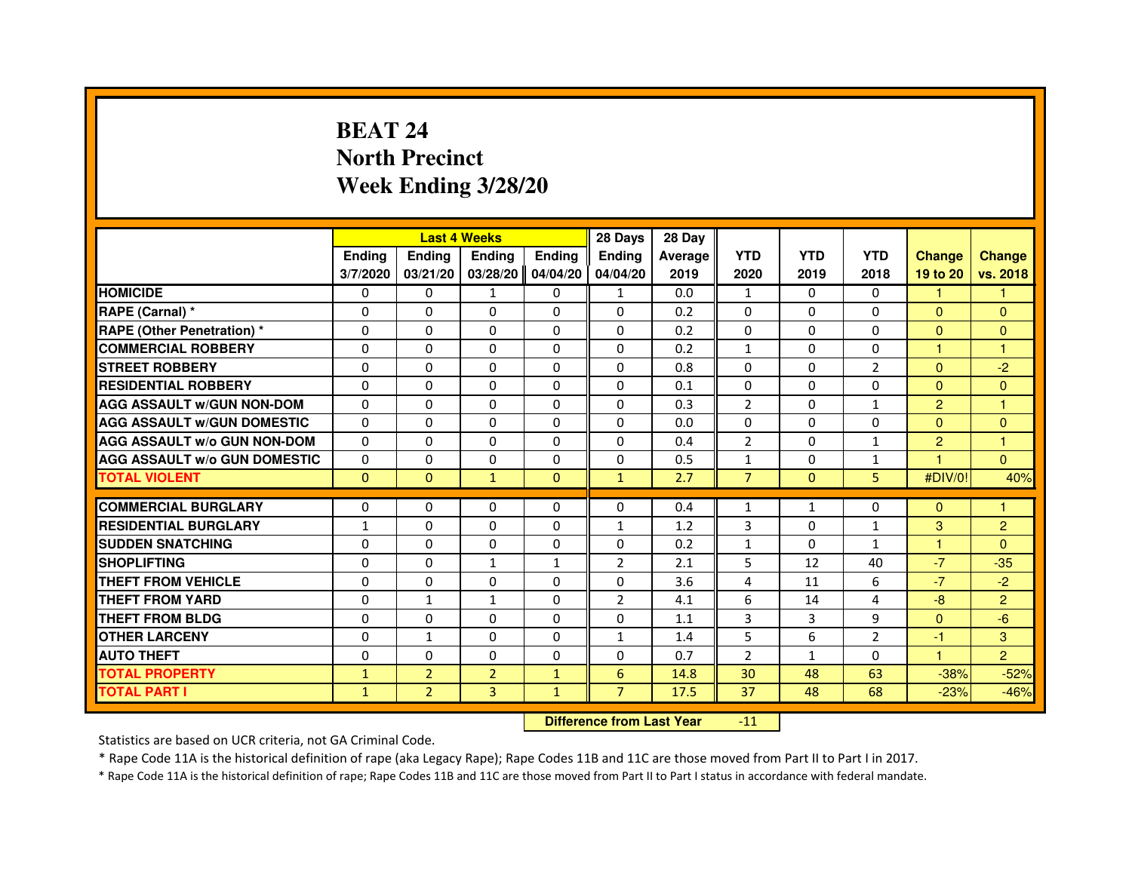# **BEAT 24 North PrecinctWeek Ending 3/28/20**

|                                     |               |                | <b>Last 4 Weeks</b>              |               | 28 Days        | 28 Day         |                |              |                |                |                |
|-------------------------------------|---------------|----------------|----------------------------------|---------------|----------------|----------------|----------------|--------------|----------------|----------------|----------------|
|                                     | <b>Ending</b> | <b>Ending</b>  | <b>Ending</b>                    | <b>Ending</b> | <b>Ending</b>  | <b>Average</b> | <b>YTD</b>     | <b>YTD</b>   | <b>YTD</b>     | <b>Change</b>  | <b>Change</b>  |
|                                     | 3/7/2020      | 03/21/20       | 03/28/20                         | 04/04/20      | 04/04/20       | 2019           | 2020           | 2019         | 2018           | 19 to 20       | vs. 2018       |
| <b>HOMICIDE</b>                     | 0             | $\mathbf{0}$   | $\mathbf{1}$                     | 0             | $\mathbf{1}$   | 0.0            | $\mathbf{1}$   | $\Omega$     | $\Omega$       | 1.             | $\mathbf{1}$   |
| RAPE (Carnal) *                     | 0             | $\Omega$       | $\Omega$                         | $\Omega$      | $\Omega$       | 0.2            | $\Omega$       | $\Omega$     | $\Omega$       | $\mathbf{0}$   | $\Omega$       |
| RAPE (Other Penetration) *          | $\Omega$      | $\Omega$       | $\Omega$                         | $\Omega$      | $\Omega$       | 0.2            | $\Omega$       | $\Omega$     | $\Omega$       | $\Omega$       | $\overline{0}$ |
| <b>COMMERCIAL ROBBERY</b>           | 0             | $\Omega$       | $\Omega$                         | $\Omega$      | $\Omega$       | 0.2            | $\mathbf{1}$   | $\mathbf{0}$ | $\Omega$       | $\mathbf{1}$   | $\mathbf{1}$   |
| <b>STREET ROBBERY</b>               | 0             | $\Omega$       | 0                                | $\Omega$      | $\Omega$       | 0.8            | $\Omega$       | $\Omega$     | $\overline{2}$ | $\Omega$       | $-2$           |
| <b>RESIDENTIAL ROBBERY</b>          | 0             | $\Omega$       | 0                                | $\Omega$      | $\Omega$       | 0.1            | $\Omega$       | $\Omega$     | 0              | $\mathbf{0}$   | $\overline{0}$ |
| <b>AGG ASSAULT w/GUN NON-DOM</b>    | $\Omega$      | $\Omega$       | $\Omega$                         | $\Omega$      | $\Omega$       | 0.3            | $\overline{2}$ | $\Omega$     | $\mathbf{1}$   | $\overline{2}$ | 1              |
| <b>AGG ASSAULT W/GUN DOMESTIC</b>   | $\Omega$      | $\Omega$       | $\Omega$                         | $\Omega$      | $\Omega$       | 0.0            | $\Omega$       | $\Omega$     | $\Omega$       | $\Omega$       | $\Omega$       |
| <b>AGG ASSAULT W/o GUN NON-DOM</b>  | 0             | $\mathbf{0}$   | $\mathbf{0}$                     | 0             | 0              | 0.4            | $\overline{2}$ | 0            | $\mathbf{1}$   | $\overline{2}$ | 1              |
| <b>AGG ASSAULT W/o GUN DOMESTIC</b> | $\Omega$      | 0              | 0                                | 0             | $\Omega$       | 0.5            | $\mathbf{1}$   | 0            | $\mathbf{1}$   |                | $\Omega$       |
| <b>TOTAL VIOLENT</b>                | $\mathbf 0$   | $\mathbf{0}$   | $\mathbf{1}$                     | $\mathbf{0}$  | $\mathbf{1}$   | 2.7            | $\overline{7}$ | $\mathbf{0}$ | 5              | #DIV/0!        | 40%            |
| <b>COMMERCIAL BURGLARY</b>          | 0             | 0              | 0                                | $\Omega$      | $\Omega$       | 0.4            | $\mathbf{1}$   | $\mathbf{1}$ | 0              | $\Omega$       | 1              |
| <b>RESIDENTIAL BURGLARY</b>         | 1             | $\Omega$       | $\Omega$                         | $\Omega$      | $\mathbf{1}$   | 1.2            | 3              | $\Omega$     | $\mathbf{1}$   | 3              | $\overline{2}$ |
| <b>SUDDEN SNATCHING</b>             | $\Omega$      | $\Omega$       | $\Omega$                         | $\Omega$      | $\Omega$       | 0.2            | $\mathbf{1}$   | $\Omega$     | $\mathbf{1}$   | $\mathbf{1}$   | $\overline{0}$ |
| <b>SHOPLIFTING</b>                  | 0             | 0              | 1                                | 1             | 2              | 2.1            | 5              | 12           | 40             | $-7$           | $-35$          |
| <b>THEFT FROM VEHICLE</b>           | $\Omega$      | $\Omega$       | 0                                | $\Omega$      | $\Omega$       | 3.6            | 4              | 11           | 6              | $-7$           | $-2$           |
| <b>THEFT FROM YARD</b>              | 0             | $\mathbf{1}$   | $\mathbf{1}$                     | 0             | $\overline{2}$ | 4.1            | 6              | 14           | 4              | $-8$           | $\overline{2}$ |
| <b>THEFT FROM BLDG</b>              | $\Omega$      | $\Omega$       | $\Omega$                         | $\Omega$      | $\Omega$       | 1.1            | 3              | 3            | 9              | $\Omega$       | $-6$           |
| <b>OTHER LARCENY</b>                | 0             | $\mathbf{1}$   | 0                                | $\Omega$      | $\mathbf{1}$   | 1.4            | 5              | 6            | $\overline{2}$ | $-1$           | 3              |
| <b>AUTO THEFT</b>                   | $\Omega$      | $\Omega$       | $\Omega$                         | $\Omega$      | $\Omega$       | 0.7            | $\overline{2}$ | $\mathbf{1}$ | 0              | $\mathbf{1}$   | $\overline{2}$ |
| <b>TOTAL PROPERTY</b>               | $\mathbf{1}$  | $\overline{2}$ | $\overline{2}$                   | $\mathbf{1}$  | $6\phantom{1}$ | 14.8           | 30             | 48           | 63             | $-38%$         | $-52%$         |
| <b>TOTAL PART I</b>                 | $\mathbf{1}$  | $\overline{2}$ | 3                                | $\mathbf{1}$  | $\overline{7}$ | 17.5           | 37             | 48           | 68             | $-23%$         | $-46%$         |
|                                     |               |                | <b>Difference from Last Year</b> |               | $-11$          |                |                |              |                |                |                |

 **Difference from Last Year**

Statistics are based on UCR criteria, not GA Criminal Code.

\* Rape Code 11A is the historical definition of rape (aka Legacy Rape); Rape Codes 11B and 11C are those moved from Part II to Part I in 2017.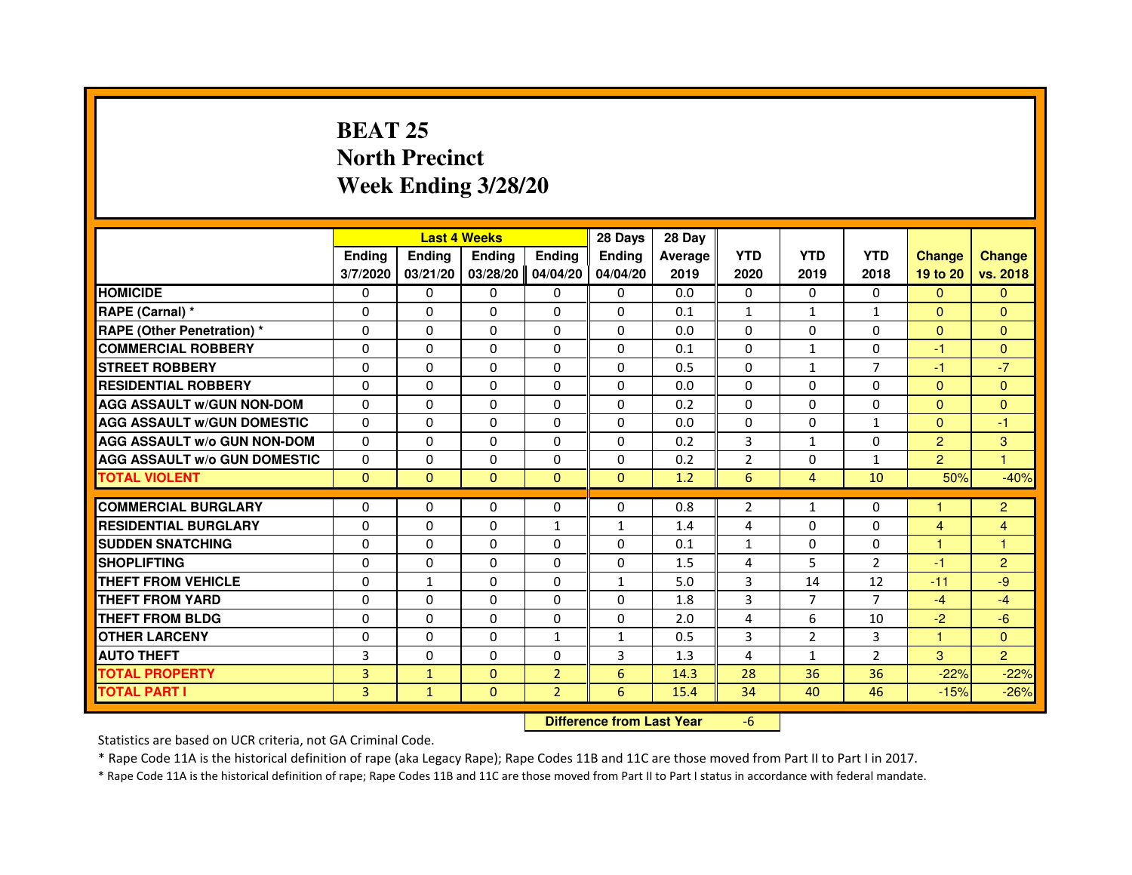# **BEAT 25 North PrecinctWeek Ending 3/28/20**

|                                     |                |               | <b>Last 4 Weeks</b> |                | 28 Days                          | 28 Day  |                |                |                |                |                |
|-------------------------------------|----------------|---------------|---------------------|----------------|----------------------------------|---------|----------------|----------------|----------------|----------------|----------------|
|                                     | <b>Ending</b>  | <b>Ending</b> | <b>Ending</b>       | <b>Ending</b>  | <b>Endina</b>                    | Average | <b>YTD</b>     | <b>YTD</b>     | <b>YTD</b>     | <b>Change</b>  | <b>Change</b>  |
|                                     | 3/7/2020       | 03/21/20      | 03/28/20            | 04/04/20       | 04/04/20                         | 2019    | 2020           | 2019           | 2018           | 19 to 20       | vs. 2018       |
| <b>HOMICIDE</b>                     | 0              | $\mathbf{0}$  | $\Omega$            | 0              | 0                                | 0.0     | 0              | $\Omega$       | $\Omega$       | $\Omega$       | $\Omega$       |
| RAPE (Carnal) *                     | 0              | $\Omega$      | $\Omega$            | $\Omega$       | 0                                | 0.1     | $\mathbf{1}$   | $\mathbf{1}$   | $\mathbf{1}$   | $\mathbf{0}$   | $\Omega$       |
| <b>RAPE (Other Penetration) *</b>   | $\Omega$       | $\Omega$      | $\Omega$            | $\Omega$       | $\Omega$                         | 0.0     | $\Omega$       | $\Omega$       | $\Omega$       | $\Omega$       | $\overline{0}$ |
| <b>COMMERCIAL ROBBERY</b>           | 0              | $\Omega$      | $\Omega$            | $\Omega$       | $\Omega$                         | 0.1     | $\Omega$       | $\mathbf{1}$   | $\Omega$       | $-1$           | $\overline{0}$ |
| <b>STREET ROBBERY</b>               | 0              | $\Omega$      | $\Omega$            | $\Omega$       | $\Omega$                         | 0.5     | $\Omega$       | $\mathbf{1}$   | $\overline{7}$ | $-1$           | $-7$           |
| <b>RESIDENTIAL ROBBERY</b>          | 0              | $\Omega$      | 0                   | $\Omega$       | $\Omega$                         | 0.0     | $\Omega$       | $\mathbf{0}$   | 0              | $\mathbf{0}$   | $\Omega$       |
| <b>AGG ASSAULT W/GUN NON-DOM</b>    | $\Omega$       | $\Omega$      | $\Omega$            | $\Omega$       | $\Omega$                         | 0.2     | $\Omega$       | $\Omega$       | $\Omega$       | $\Omega$       | $\overline{0}$ |
| <b>AGG ASSAULT W/GUN DOMESTIC</b>   | $\Omega$       | $\Omega$      | $\Omega$            | $\Omega$       | $\Omega$                         | 0.0     | $\Omega$       | $\Omega$       | $\mathbf{1}$   | $\Omega$       | $-1$           |
| <b>AGG ASSAULT W/o GUN NON-DOM</b>  | 0              | $\mathbf{0}$  | $\mathbf{0}$        | 0              | 0                                | 0.2     | 3              | $\mathbf{1}$   | 0              | $\overline{2}$ | 3              |
| <b>AGG ASSAULT W/o GUN DOMESTIC</b> | $\Omega$       | 0             | 0                   | 0              | $\Omega$                         | 0.2     | $\overline{2}$ | 0              | $\mathbf{1}$   | $\overline{2}$ | 1              |
| <b>TOTAL VIOLENT</b>                | $\mathbf 0$    | $\mathbf{0}$  | $\mathbf{0}$        | $\mathbf{0}$   | $\mathbf{0}$                     | 1.2     | $6\phantom{1}$ | $\overline{4}$ | 10             | 50%            | $-40%$         |
| <b>COMMERCIAL BURGLARY</b>          | 0              | $\Omega$      | 0                   | $\Omega$       | 0                                | 0.8     | $\overline{2}$ | $\mathbf{1}$   | 0              |                | $\overline{c}$ |
| <b>RESIDENTIAL BURGLARY</b>         | $\Omega$       | $\Omega$      | $\Omega$            | $\mathbf{1}$   | 1                                | 1.4     | 4              | $\Omega$       | $\Omega$       | $\overline{4}$ | 4              |
| <b>SUDDEN SNATCHING</b>             | $\Omega$       | $\Omega$      | $\Omega$            | $\Omega$       | $\Omega$                         | 0.1     | $\mathbf{1}$   | $\Omega$       | $\Omega$       | 1              | 1              |
| <b>SHOPLIFTING</b>                  | 0              | 0             | 0                   | 0              | 0                                | 1.5     | 4              | 5              | 2              | $-1$           | $\overline{c}$ |
| <b>THEFT FROM VEHICLE</b>           | $\Omega$       | $\mathbf{1}$  | 0                   | $\Omega$       | 1                                | 5.0     | 3              | 14             | 12             | $-11$          | $-9$           |
| <b>THEFT FROM YARD</b>              | 0              | 0             | $\Omega$            | $\Omega$       | 0                                | 1.8     | 3              | $\overline{7}$ | $\overline{7}$ | $-4$           | $-4$           |
| <b>THEFT FROM BLDG</b>              | $\Omega$       | $\Omega$      | $\Omega$            | $\Omega$       | $\Omega$                         | 2.0     | 4              | 6              | 10             | $-2$           | $-6$           |
| <b>OTHER LARCENY</b>                | 0              | $\Omega$      | $\Omega$            | $\mathbf{1}$   | $\mathbf{1}$                     | 0.5     | 3              | $\overline{2}$ | 3              | $\mathbf{1}$   | $\Omega$       |
| <b>AUTO THEFT</b>                   | 3              | $\Omega$      | $\Omega$            | $\Omega$       | 3                                | 1.3     | 4              | $\mathbf{1}$   | $\overline{2}$ | 3              | $\overline{2}$ |
| <b>TOTAL PROPERTY</b>               | $\overline{3}$ | $\mathbf{1}$  | $\Omega$            | $\overline{2}$ | 6                                | 14.3    | 28             | 36             | 36             | $-22%$         | $-22%$         |
| <b>TOTAL PART I</b>                 | 3              | $\mathbf{1}$  | $\mathbf{0}$        | $\overline{2}$ | 6                                | 15.4    | 34             | 40             | 46             | $-15%$         | $-26%$         |
|                                     |                |               |                     |                | <b>Difference from Last Year</b> |         | $-6$           |                |                |                |                |

 **Difference from Last Year**

Statistics are based on UCR criteria, not GA Criminal Code.

\* Rape Code 11A is the historical definition of rape (aka Legacy Rape); Rape Codes 11B and 11C are those moved from Part II to Part I in 2017.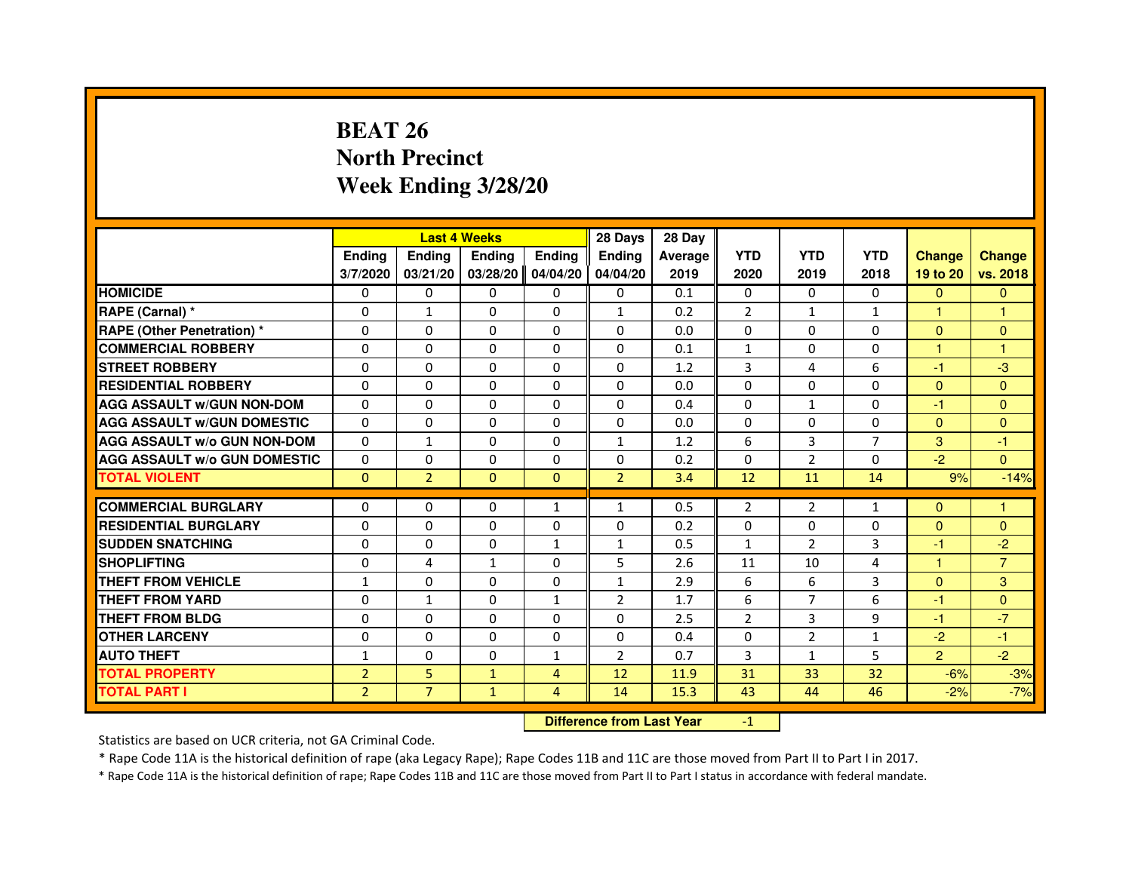# **BEAT 26 North PrecinctWeek Ending 3/28/20**

|                                     |                |                                  | <b>Last 4 Weeks</b> |               | 28 Days        | 28 Day  |                |                |                |                |                |
|-------------------------------------|----------------|----------------------------------|---------------------|---------------|----------------|---------|----------------|----------------|----------------|----------------|----------------|
|                                     | <b>Ending</b>  | <b>Ending</b>                    | <b>Ending</b>       | <b>Ending</b> | Ending         | Average | <b>YTD</b>     | <b>YTD</b>     | <b>YTD</b>     | <b>Change</b>  | <b>Change</b>  |
|                                     | 3/7/2020       | 03/21/20                         | 03/28/20            | 04/04/20      | 04/04/20       | 2019    | 2020           | 2019           | 2018           | 19 to 20       | vs. 2018       |
| <b>HOMICIDE</b>                     | $\Omega$       | $\Omega$                         | $\Omega$            | $\Omega$      | $\Omega$       | 0.1     | $\Omega$       | $\Omega$       | $\Omega$       | $\Omega$       | $\mathbf{0}$   |
| RAPE (Carnal) *                     | 0              | $\mathbf{1}$                     | 0                   | $\Omega$      | $\mathbf{1}$   | 0.2     | $\overline{2}$ | $\mathbf{1}$   | $\mathbf{1}$   | $\mathbf{1}$   | 1              |
| <b>RAPE (Other Penetration) *</b>   | $\Omega$       | $\Omega$                         | $\Omega$            | $\Omega$      | $\Omega$       | 0.0     | $\Omega$       | $\Omega$       | $\Omega$       | $\Omega$       | $\mathbf{0}$   |
| <b>COMMERCIAL ROBBERY</b>           | 0              | $\Omega$                         | $\Omega$            | $\Omega$      | $\Omega$       | 0.1     | $\mathbf{1}$   | $\Omega$       | $\Omega$       | $\mathbf{1}$   | $\mathbf{1}$   |
| <b>STREET ROBBERY</b>               | $\Omega$       | $\Omega$                         | $\Omega$            | $\Omega$      | $\Omega$       | 1.2     | 3              | 4              | 6              | $-1$           | $-3$           |
| <b>RESIDENTIAL ROBBERY</b>          | $\Omega$       | $\Omega$                         | $\Omega$            | $\Omega$      | $\Omega$       | 0.0     | $\Omega$       | $\Omega$       | $\Omega$       | $\Omega$       | $\Omega$       |
| <b>AGG ASSAULT w/GUN NON-DOM</b>    | $\Omega$       | $\Omega$                         | $\Omega$            | $\Omega$      | $\Omega$       | 0.4     | $\Omega$       | $\mathbf{1}$   | $\Omega$       | -1             | $\mathbf{0}$   |
| <b>AGG ASSAULT w/GUN DOMESTIC</b>   | $\Omega$       | $\Omega$                         | $\Omega$            | $\Omega$      | $\Omega$       | 0.0     | $\Omega$       | $\Omega$       | $\Omega$       | $\Omega$       | $\mathbf{0}$   |
| <b>AGG ASSAULT W/o GUN NON-DOM</b>  | $\Omega$       | $\mathbf{1}$                     | 0                   | 0             | $\mathbf{1}$   | 1.2     | 6              | 3              | $\overline{7}$ | 3              | -1             |
| <b>AGG ASSAULT W/o GUN DOMESTIC</b> | $\Omega$       | 0                                | $\Omega$            | $\Omega$      | $\Omega$       | 0.2     | $\Omega$       | 2              | $\Omega$       | $-2$           | $\Omega$       |
| <b>TOTAL VIOLENT</b>                | $\mathbf{0}$   | $\overline{2}$                   | $\mathbf{0}$        | $\mathbf{0}$  | $\overline{2}$ | 3.4     | 12             | 11             | 14             | 9%             | $-14%$         |
| <b>COMMERCIAL BURGLARY</b>          | $\Omega$       | 0                                | 0                   | $\mathbf{1}$  | $\mathbf{1}$   | 0.5     | 2              | 2              | $\mathbf{1}$   | $\Omega$       | 1              |
| <b>RESIDENTIAL BURGLARY</b>         | $\Omega$       | $\Omega$                         | $\Omega$            | $\Omega$      | $\Omega$       | 0.2     | $\mathbf 0$    | $\Omega$       | $\Omega$       | $\Omega$       | $\overline{0}$ |
| <b>SUDDEN SNATCHING</b>             | $\Omega$       | $\Omega$                         | $\Omega$            | $\mathbf{1}$  | $\mathbf{1}$   | 0.5     | $\mathbf{1}$   | $\overline{2}$ | 3              | $-1$           | $-2$           |
| <b>SHOPLIFTING</b>                  | 0              | 4                                | 1                   | 0             | 5              | 2.6     | 11             | 10             | 4              | $\mathbf{1}$   | $\overline{7}$ |
| <b>THEFT FROM VEHICLE</b>           | $\mathbf{1}$   | $\Omega$                         | $\Omega$            | $\Omega$      | $\mathbf{1}$   | 2.9     | 6              | 6              | 3              | $\mathbf{0}$   | 3              |
| <b>THEFT FROM YARD</b>              | 0              | $\mathbf{1}$                     | $\Omega$            | $\mathbf{1}$  | $\overline{2}$ | 1.7     | 6              | $\overline{7}$ | 6              | $-1$           | $\overline{0}$ |
| <b>THEFT FROM BLDG</b>              | $\Omega$       | $\Omega$                         | $\Omega$            | $\Omega$      | $\Omega$       | 2.5     | $\overline{2}$ | 3              | 9              | $-1$           | $-7$           |
| <b>OTHER LARCENY</b>                | $\Omega$       | $\Omega$                         | $\Omega$            | $\Omega$      | $\Omega$       | 0.4     | $\Omega$       | $\overline{2}$ | $\mathbf{1}$   | $-2$           | $-1$           |
| <b>AUTO THEFT</b>                   | $\mathbf{1}$   | $\Omega$                         | $\Omega$            | $\mathbf{1}$  | $\overline{2}$ | 0.7     | 3              | $\mathbf{1}$   | 5              | $\overline{2}$ | $-2$           |
| <b>TOTAL PROPERTY</b>               | $\overline{2}$ | 5                                | $\mathbf{1}$        | 4             | 12             | 11.9    | 31             | 33             | 32             | $-6%$          | $-3%$          |
| <b>TOTAL PART I</b>                 | $\overline{2}$ | $\overline{7}$                   | $\mathbf{1}$        | 4             | 14             | 15.3    | 43             | 44             | 46             | $-2%$          | $-7%$          |
|                                     |                | <b>Difference from Last Year</b> |                     | $-1$          |                |         |                |                |                |                |                |

 **Difference from Last Year**

Statistics are based on UCR criteria, not GA Criminal Code.

\* Rape Code 11A is the historical definition of rape (aka Legacy Rape); Rape Codes 11B and 11C are those moved from Part II to Part I in 2017.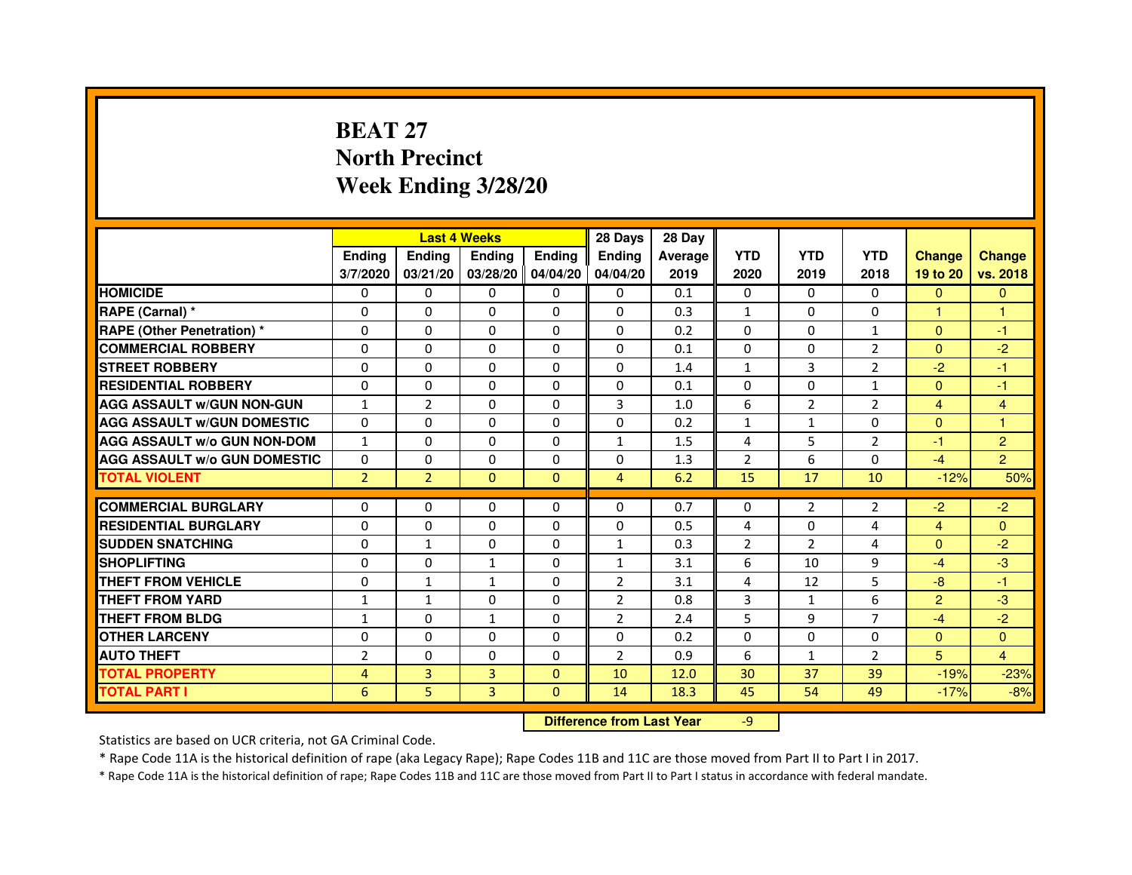# **BEAT 27 North PrecinctWeek Ending 3/28/20**

|                                     |                | <b>Last 4 Weeks</b> |                                  |                | 28 Days        | 28 Day  |                |                |                |                |                         |
|-------------------------------------|----------------|---------------------|----------------------------------|----------------|----------------|---------|----------------|----------------|----------------|----------------|-------------------------|
|                                     | <b>Ending</b>  | Ending              | <b>Ending</b>                    | <b>Ending</b>  | <b>Ending</b>  | Average | <b>YTD</b>     | <b>YTD</b>     | <b>YTD</b>     | <b>Change</b>  | <b>Change</b>           |
|                                     | 3/7/2020       | 03/21/20            | 03/28/20 04/04/20                |                | 04/04/20       | 2019    | 2020           | 2019           | 2018           | 19 to 20       | vs. 2018                |
| <b>HOMICIDE</b>                     | 0              | $\Omega$            | $\Omega$                         | $\Omega$       | 0              | 0.1     | $\Omega$       | $\Omega$       | $\Omega$       | $\Omega$       | $\Omega$                |
| RAPE (Carnal) *                     | 0              | 0                   | 0                                | 0              | 0              | 0.3     | $\mathbf{1}$   | $\Omega$       | 0              | 1.             | 1                       |
| <b>RAPE (Other Penetration)*</b>    | 0              | 0                   | $\Omega$                         | 0              | $\Omega$       | 0.2     | $\Omega$       | $\mathbf{0}$   | $\mathbf{1}$   | $\Omega$       | $-1$                    |
| <b>COMMERCIAL ROBBERY</b>           | $\Omega$       | $\Omega$            | $\Omega$                         | $\Omega$       | $\Omega$       | 0.1     | $\Omega$       | $\mathbf{0}$   | $\overline{2}$ | $\Omega$       | $-2$                    |
| <b>STREET ROBBERY</b>               | $\Omega$       | $\Omega$            | $\Omega$                         | $\Omega$       | $\Omega$       | 1.4     | $\mathbf{1}$   | 3              | $\overline{2}$ | $-2$           | $-1$                    |
| <b>RESIDENTIAL ROBBERY</b>          | $\Omega$       | $\Omega$            | $\Omega$                         | $\Omega$       | 0              | 0.1     | $\Omega$       | $\Omega$       | $\mathbf{1}$   | $\Omega$       | $-1$                    |
| <b>AGG ASSAULT w/GUN NON-GUN</b>    | $\mathbf{1}$   | $\overline{2}$      | $\mathbf 0$                      | $\Omega$       | 3              | 1.0     | 6              | $\overline{2}$ | $\overline{2}$ | $\overline{4}$ | $\overline{\mathbf{4}}$ |
| <b>AGG ASSAULT w/GUN DOMESTIC</b>   | $\Omega$       | $\Omega$            | $\Omega$                         | $\Omega$       | $\Omega$       | 0.2     | $\mathbf{1}$   | $\mathbf{1}$   | $\Omega$       | $\Omega$       | $\mathbf{1}$            |
| <b>AGG ASSAULT W/o GUN NON-DOM</b>  | $\mathbf{1}$   | 0                   | 0                                | 0              | 1              | 1.5     | 4              | 5              | $\overline{2}$ | $-1$           | $\overline{c}$          |
| <b>AGG ASSAULT w/o GUN DOMESTIC</b> | $\Omega$       | $\mathbf 0$         | $\Omega$                         | 0              | 0              | 1.3     | $\overline{2}$ | 6              | $\Omega$       | $-4$           | $\overline{2}$          |
| <b>TOTAL VIOLENT</b>                | $\overline{2}$ | $\overline{2}$      | $\mathbf 0$                      | $\mathbf{0}$   | $\overline{4}$ | 6.2     | 15             | 17             | 10             | $-12%$         | 50%                     |
| <b>COMMERCIAL BURGLARY</b>          | $\Omega$       | $\Omega$            | 0                                | $\Omega$       | 0              | 0.7     | 0              | $\overline{2}$ | $\overline{2}$ | $-2$           | $-2$                    |
| <b>RESIDENTIAL BURGLARY</b>         | $\Omega$       | $\Omega$            | $\Omega$                         | $\Omega$       | $\Omega$       | 0.5     | 4              | $\Omega$       | 4              | $\overline{4}$ | $\Omega$                |
| <b>SUDDEN SNATCHING</b>             | $\Omega$       | $\mathbf{1}$        | $\Omega$                         | $\Omega$       | $\mathbf{1}$   | 0.3     | $\overline{2}$ | $\mathcal{P}$  | $\overline{4}$ | $\Omega$       | $-2$                    |
| <b>SHOPLIFTING</b>                  | 0              | 0                   | $\mathbf{1}$                     | 0              | 1              | 3.1     | 6              | 10             | 9              | $-4$           | $-3$                    |
| <b>THEFT FROM VEHICLE</b>           | $\Omega$       | $\mathbf{1}$        | 1                                | $\Omega$       | $\overline{2}$ | 3.1     | 4              | 12             | 5              | $-8$           | $-1$                    |
| <b>THEFT FROM YARD</b>              | $\mathbf{1}$   | $\mathbf{1}$        | 0                                | 0              | $\overline{2}$ | 0.8     | 3              | $\mathbf{1}$   | 6              | $\overline{2}$ | $-3$                    |
| <b>THEFT FROM BLDG</b>              | $\mathbf{1}$   | $\Omega$            | $\mathbf{1}$                     | $\Omega$       | $\overline{2}$ | 2.4     | 5              | 9              | 7              | $-4$           | $-2$                    |
| <b>OTHER LARCENY</b>                | $\mathbf 0$    | $\Omega$            | $\mathbf 0$                      | $\Omega$       | $\Omega$       | 0.2     | $\Omega$       | $\Omega$       | $\Omega$       | $\Omega$       | $\Omega$                |
| <b>AUTO THEFT</b>                   | $\overline{2}$ | $\Omega$            | $\mathbf 0$                      | $\Omega$       | $\overline{2}$ | 0.9     | 6              | $\mathbf{1}$   | $\overline{2}$ | 5              | 4                       |
| <b>TOTAL PROPERTY</b>               | 4              | 3                   | $\overline{3}$                   | $\mathbf{0}$   | 10             | 12.0    | 30             | 37             | 39             | $-19%$         | $-23%$                  |
| <b>TOTAL PART I</b>                 | 6              | 5                   | 3                                | $\overline{0}$ | 14             | 18.3    | 45             | 54             | 49             | $-17%$         | $-8%$                   |
|                                     |                |                     | <b>Difference from Last Year</b> |                | $-9$           |         |                |                |                |                |                         |

 **Difference from Last Year**

Statistics are based on UCR criteria, not GA Criminal Code.

\* Rape Code 11A is the historical definition of rape (aka Legacy Rape); Rape Codes 11B and 11C are those moved from Part II to Part I in 2017.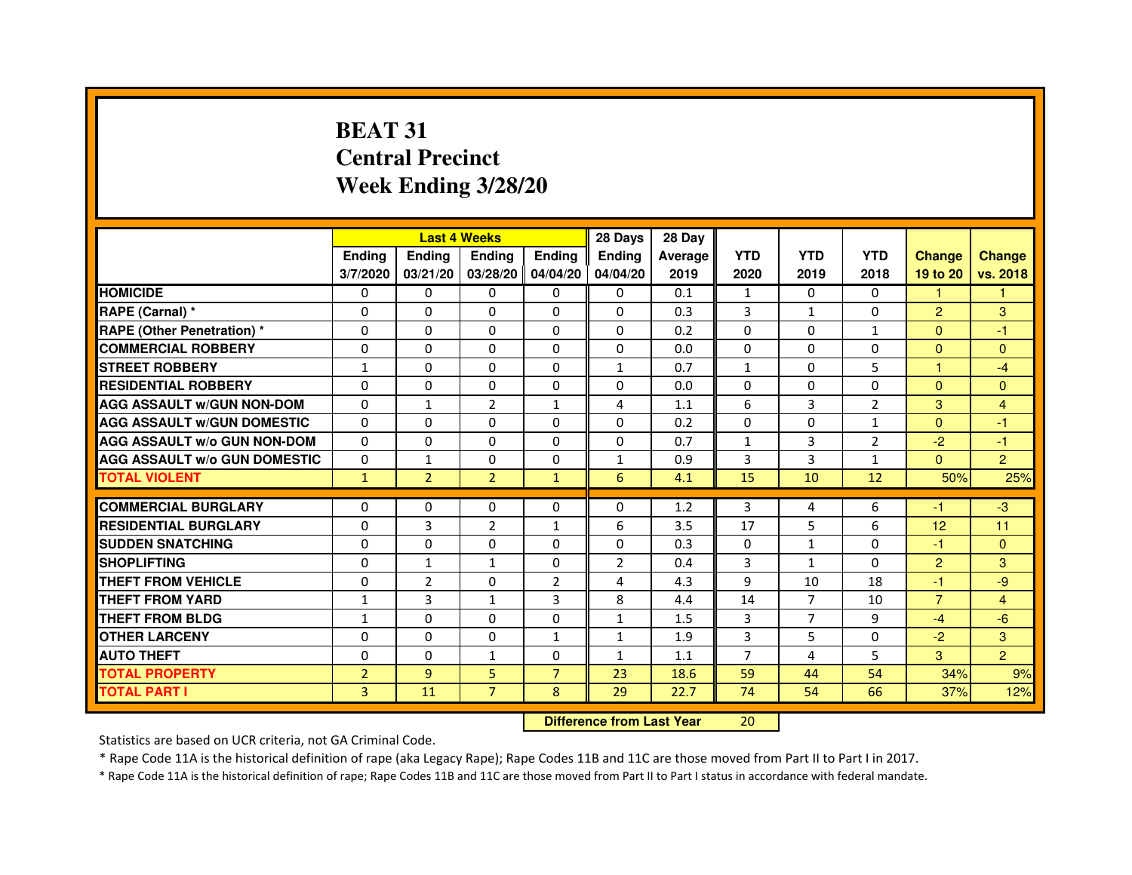# **BEAT 31 Central PrecinctWeek Ending 3/28/20**

|                                     |                | <b>Last 4 Weeks</b> |                   |                | 28 Days                          | 28 Day  |                |                |                |                |                         |
|-------------------------------------|----------------|---------------------|-------------------|----------------|----------------------------------|---------|----------------|----------------|----------------|----------------|-------------------------|
|                                     | <b>Ending</b>  | Ending              | <b>Ending</b>     | <b>Ending</b>  | <b>Ending</b>                    | Average | <b>YTD</b>     | <b>YTD</b>     | <b>YTD</b>     | <b>Change</b>  | <b>Change</b>           |
|                                     | 3/7/2020       | 03/21/20            | 03/28/20 04/04/20 |                | 04/04/20                         | 2019    | 2020           | 2019           | 2018           | 19 to 20       | vs. 2018                |
| <b>HOMICIDE</b>                     | 0              | $\Omega$            | $\Omega$          | $\Omega$       | 0                                | 0.1     | $\mathbf{1}$   | $\Omega$       | $\Omega$       | 1.             | 1.                      |
| RAPE (Carnal) *                     | 0              | 0                   | 0                 | 0              | 0                                | 0.3     | 3              | $\mathbf{1}$   | 0              | $\overline{2}$ | 3                       |
| <b>RAPE (Other Penetration) *</b>   | 0              | 0                   | $\Omega$          | 0              | $\Omega$                         | 0.2     | $\Omega$       | $\Omega$       | $\mathbf{1}$   | $\Omega$       | $-1$                    |
| <b>COMMERCIAL ROBBERY</b>           | $\Omega$       | $\Omega$            | $\Omega$          | $\Omega$       | $\Omega$                         | 0.0     | $\Omega$       | $\Omega$       | $\Omega$       | $\Omega$       | $\Omega$                |
| <b>STREET ROBBERY</b>               | $\mathbf{1}$   | $\Omega$            | $\Omega$          | $\Omega$       | $\mathbf{1}$                     | 0.7     | $\mathbf{1}$   | $\Omega$       | 5              | $\mathbf{1}$   | $-4$                    |
| <b>RESIDENTIAL ROBBERY</b>          | $\Omega$       | $\Omega$            | $\Omega$          | $\Omega$       | 0                                | 0.0     | $\Omega$       | $\mathbf{0}$   | 0              | $\Omega$       | $\Omega$                |
| <b>AGG ASSAULT w/GUN NON-DOM</b>    | $\Omega$       | $\mathbf{1}$        | $\overline{2}$    | $\mathbf{1}$   | 4                                | 1.1     | 6              | 3              | $\overline{2}$ | 3              | $\overline{\mathbf{4}}$ |
| <b>AGG ASSAULT w/GUN DOMESTIC</b>   | $\Omega$       | $\Omega$            | $\Omega$          | 0              | $\Omega$                         | 0.2     | $\Omega$       | $\Omega$       | $\mathbf{1}$   | $\Omega$       | $-1$                    |
| <b>AGG ASSAULT W/o GUN NON-DOM</b>  | 0              | 0                   | 0                 | 0              | 0                                | 0.7     | $\mathbf{1}$   | 3              | 2              | $-2$           | $-1$                    |
| <b>AGG ASSAULT w/o GUN DOMESTIC</b> | $\Omega$       | $\mathbf{1}$        | $\Omega$          | 0              | $\mathbf{1}$                     | 0.9     | 3              | 3              | $\mathbf{1}$   | $\Omega$       | $\overline{2}$          |
| <b>TOTAL VIOLENT</b>                | $\mathbf{1}$   | $\overline{2}$      | $\overline{2}$    | $\mathbf{1}$   | 6                                | 4.1     | 15             | 10             | 12             | 50%            | 25%                     |
| <b>COMMERCIAL BURGLARY</b>          | $\Omega$       | $\Omega$            | 0                 | $\Omega$       | 0                                | 1.2     | 3              | 4              | 6              | -1             | $-3$                    |
| <b>RESIDENTIAL BURGLARY</b>         | $\Omega$       | 3                   | $\overline{2}$    | $\mathbf{1}$   | 6                                | 3.5     | 17             | 5              | 6              | 12             | 11                      |
| <b>SUDDEN SNATCHING</b>             | $\Omega$       | $\mathbf 0$         | $\Omega$          | $\Omega$       | $\Omega$                         | 0.3     | $\Omega$       | $\mathbf{1}$   | $\Omega$       | $-1$           | $\Omega$                |
| <b>SHOPLIFTING</b>                  | 0              | $\mathbf{1}$        | $\mathbf{1}$      | 0              | 2                                | 0.4     | 3              | $\mathbf{1}$   | $\Omega$       | $\overline{2}$ | 3                       |
| <b>THEFT FROM VEHICLE</b>           | $\Omega$       | $\overline{2}$      | 0                 | $\overline{2}$ | 4                                | 4.3     | 9              | 10             | 18             | $-1$           | -9                      |
| <b>THEFT FROM YARD</b>              | $\mathbf{1}$   | 3                   | $\mathbf{1}$      | 3              | 8                                | 4.4     | 14             | $\overline{7}$ | 10             | $\overline{7}$ | $\overline{4}$          |
| <b>THEFT FROM BLDG</b>              | $\mathbf{1}$   | $\Omega$            | $\Omega$          | 0              | 1                                | 1.5     | 3              | $\overline{7}$ | 9              | $-4$           | $-6$                    |
| <b>OTHER LARCENY</b>                | $\mathbf 0$    | $\Omega$            | $\mathbf 0$       | $\mathbf{1}$   | $\mathbf{1}$                     | 1.9     | 3              | 5              | $\Omega$       | $-2$           | 3                       |
| <b>AUTO THEFT</b>                   | $\Omega$       | $\Omega$            | $\mathbf{1}$      | $\Omega$       | $\mathbf{1}$                     | 1.1     | $\overline{7}$ | 4              | 5              | 3              | $\overline{2}$          |
| <b>TOTAL PROPERTY</b>               | $\overline{2}$ | 9                   | 5                 | $\overline{7}$ | 23                               | 18.6    | 59             | 44             | 54             | 34%            | 9%                      |
| <b>TOTAL PART I</b>                 | $\overline{3}$ | 11                  | $\overline{7}$    | 8              | 29                               | 22.7    | 74             | 54             | 66             | 37%            | 12%                     |
|                                     |                |                     |                   |                | <b>Difference from Last Year</b> |         | 20             |                |                |                |                         |

 **Difference from Last Year**

Statistics are based on UCR criteria, not GA Criminal Code.

\* Rape Code 11A is the historical definition of rape (aka Legacy Rape); Rape Codes 11B and 11C are those moved from Part II to Part I in 2017.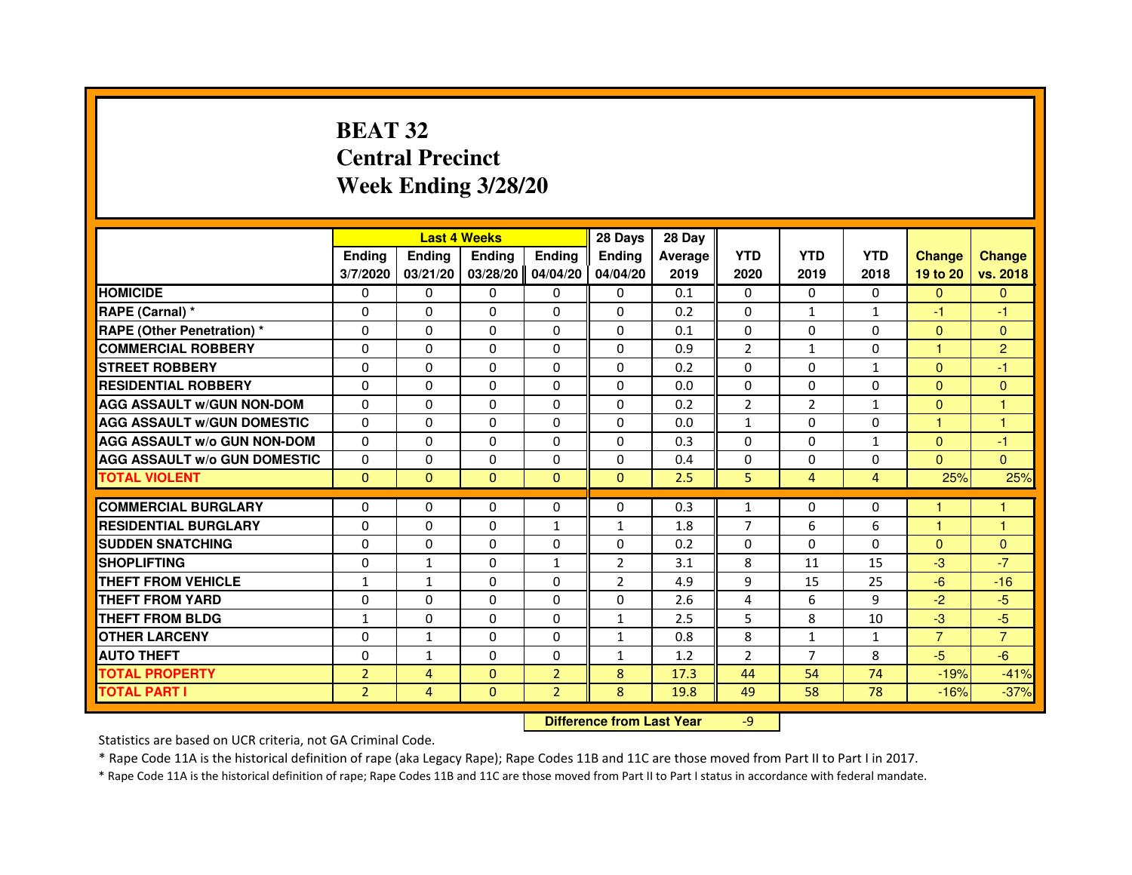# **BEAT 32 Central PrecinctWeek Ending 3/28/20**

|                                     |                | <b>Last 4 Weeks</b>              |               |                | 28 Days        | 28 Day  |                |                |                |                |                |
|-------------------------------------|----------------|----------------------------------|---------------|----------------|----------------|---------|----------------|----------------|----------------|----------------|----------------|
|                                     | <b>Ending</b>  | Ending                           | <b>Ending</b> | <b>Ending</b>  | Ending         | Average | <b>YTD</b>     | <b>YTD</b>     | <b>YTD</b>     | <b>Change</b>  | <b>Change</b>  |
|                                     | 3/7/2020       | 03/21/20                         | 03/28/20      | 04/04/20       | 04/04/20       | 2019    | 2020           | 2019           | 2018           | 19 to 20       | vs. 2018       |
| <b>HOMICIDE</b>                     | 0              | $\Omega$                         | 0             | 0              | $\mathbf{0}$   | 0.1     | $\mathbf{0}$   | $\Omega$       | $\Omega$       | $\mathbf{0}$   | $\mathbf{0}$   |
| RAPE (Carnal) *                     | 0              | 0                                | 0             | 0              | 0              | 0.2     | 0              | $\mathbf{1}$   | $\mathbf{1}$   | $-1$           | -1             |
| RAPE (Other Penetration) *          | $\Omega$       | $\Omega$                         | $\Omega$      | $\Omega$       | $\Omega$       | 0.1     | $\Omega$       | $\Omega$       | $\Omega$       | $\Omega$       | $\overline{0}$ |
| <b>COMMERCIAL ROBBERY</b>           | 0              | $\Omega$                         | $\Omega$      | $\Omega$       | $\Omega$       | 0.9     | $\overline{2}$ | $\mathbf{1}$   | $\Omega$       | $\mathbf{1}$   | $\overline{2}$ |
| <b>STREET ROBBERY</b>               | $\Omega$       | $\Omega$                         | $\Omega$      | $\Omega$       | $\Omega$       | 0.2     | $\Omega$       | $\Omega$       | $\mathbf{1}$   | $\Omega$       | $-1$           |
| <b>RESIDENTIAL ROBBERY</b>          | 0              | 0                                | 0             | 0              | 0              | 0.0     | 0              | 0              | 0              | $\overline{0}$ | $\mathbf{0}$   |
| <b>AGG ASSAULT w/GUN NON-DOM</b>    | $\Omega$       | $\Omega$                         | $\Omega$      | $\Omega$       | $\Omega$       | 0.2     | $\overline{2}$ | $\overline{2}$ | $\mathbf{1}$   | $\Omega$       | $\mathbf{1}$   |
| <b>AGG ASSAULT W/GUN DOMESTIC</b>   | $\Omega$       | $\Omega$                         | $\Omega$      | $\Omega$       | $\Omega$       | 0.0     | $\mathbf{1}$   | $\Omega$       | $\Omega$       | $\mathbf{1}$   | $\mathbf{1}$   |
| <b>AGG ASSAULT W/o GUN NON-DOM</b>  | $\Omega$       | $\Omega$                         | $\Omega$      | $\Omega$       | $\Omega$       | 0.3     | $\Omega$       | $\Omega$       | $\mathbf{1}$   | $\Omega$       | $-1$           |
| <b>AGG ASSAULT w/o GUN DOMESTIC</b> | $\Omega$       | $\Omega$                         | $\Omega$      | $\Omega$       | $\Omega$       | 0.4     | $\Omega$       | $\Omega$       | $\Omega$       | $\Omega$       | $\Omega$       |
| <b>TOTAL VIOLENT</b>                | $\mathbf{0}$   | $\mathbf{0}$                     | $\mathbf{0}$  | $\overline{0}$ | $\mathbf{0}$   | 2.5     | 5              | $\overline{4}$ | $\overline{4}$ | 25%            | 25%            |
| <b>COMMERCIAL BURGLARY</b>          | 0              | 0                                | 0             | 0              | 0              | 0.3     | $\mathbf{1}$   | 0              | 0              | 1              | 1              |
| <b>RESIDENTIAL BURGLARY</b>         | 0              | $\Omega$                         | $\Omega$      | 1              | $\mathbf{1}$   | 1.8     | $\overline{7}$ | 6              | 6              | $\mathbf{1}$   | $\mathbf{1}$   |
| <b>SUDDEN SNATCHING</b>             | $\Omega$       | $\Omega$                         | $\Omega$      | $\Omega$       | $\Omega$       | 0.2     | $\Omega$       | $\Omega$       | $\Omega$       | $\Omega$       | $\mathbf{0}$   |
| <b>SHOPLIFTING</b>                  | 0              | 1                                | 0             | 1              | 2              | 3.1     | 8              | 11             | 15             | $-3$           | $-7$           |
| <b>THEFT FROM VEHICLE</b>           | 1              | $\mathbf{1}$                     | $\Omega$      | $\Omega$       | $\overline{2}$ | 4.9     | 9              | 15             | 25             | $-6$           | $-16$          |
| <b>THEFT FROM YARD</b>              | $\Omega$       | $\Omega$                         | $\Omega$      | $\Omega$       | $\Omega$       | 2.6     | $\overline{4}$ | 6              | 9              | $-2$           | $-5$           |
| <b>THEFT FROM BLDG</b>              | $\mathbf{1}$   | $\Omega$                         | $\Omega$      | $\Omega$       | $\mathbf{1}$   | 2.5     | 5              | 8              | 10             | $-3$           | $-5$           |
| <b>OTHER LARCENY</b>                | 0              | $\mathbf{1}$                     | 0             | $\Omega$       | $\mathbf{1}$   | 0.8     | 8              | $\mathbf{1}$   | 1              | $\overline{7}$ | $\overline{7}$ |
| <b>AUTO THEFT</b>                   | $\Omega$       | $\mathbf{1}$                     | $\Omega$      | $\Omega$       | $\mathbf{1}$   | 1.2     | $\overline{2}$ | $\overline{7}$ | 8              | $-5$           | $-6$           |
| <b>TOTAL PROPERTY</b>               | $\overline{2}$ | $\overline{4}$                   | $\Omega$      | $\overline{2}$ | 8              | 17.3    | 44             | 54             | 74             | $-19%$         | $-41%$         |
| <b>TOTAL PART I</b>                 | $\overline{2}$ | $\overline{4}$                   | $\mathbf{0}$  | $\overline{2}$ | 8              | 19.8    | 49             | 58             | 78             | $-16%$         | $-37%$         |
|                                     |                | <b>Difference from Last Year</b> |               | $-9$           |                |         |                |                |                |                |                |

 **Difference from Last Year**

Statistics are based on UCR criteria, not GA Criminal Code.

\* Rape Code 11A is the historical definition of rape (aka Legacy Rape); Rape Codes 11B and 11C are those moved from Part II to Part I in 2017.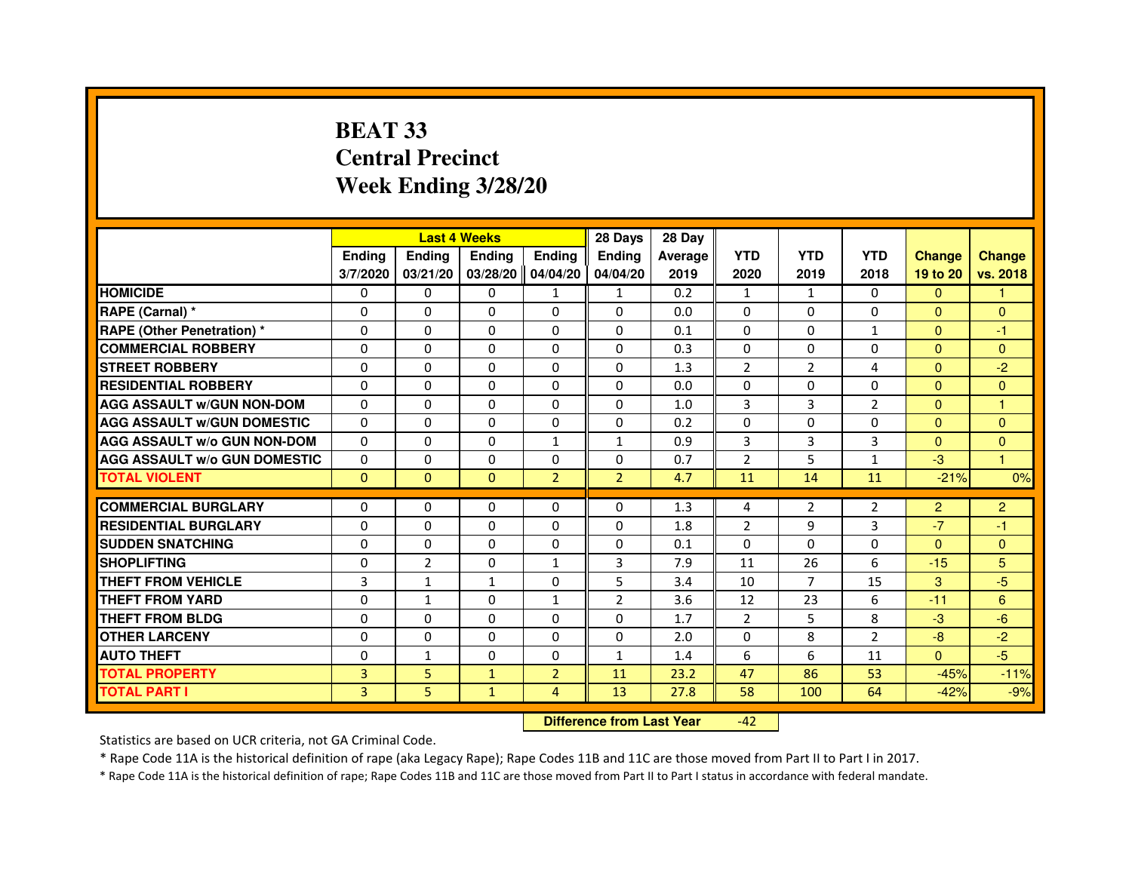# **BEAT 33 Central PrecinctWeek Ending 3/28/20**

|                                     |               |                | <b>Last 4 Weeks</b> |                     | 28 Days        | 28 Day  |                |                |                |                |                |
|-------------------------------------|---------------|----------------|---------------------|---------------------|----------------|---------|----------------|----------------|----------------|----------------|----------------|
|                                     | <b>Ending</b> | <b>Ending</b>  | <b>Ending</b>       | <b>Endina</b>       | <b>Endina</b>  | Average | <b>YTD</b>     | <b>YTD</b>     | <b>YTD</b>     | <b>Change</b>  | <b>Change</b>  |
|                                     | 3/7/2020      | 03/21/20       |                     | 03/28/20   04/04/20 | 04/04/20       | 2019    | 2020           | 2019           | 2018           | 19 to 20       | vs. 2018       |
| <b>HOMICIDE</b>                     | 0             | 0              | 0                   | $\mathbf{1}$        | 1              | 0.2     | $\mathbf{1}$   | $\mathbf{1}$   | 0              | $\Omega$       |                |
| RAPE (Carnal) *                     | $\Omega$      | $\Omega$       | $\Omega$            | $\Omega$            | $\Omega$       | 0.0     | $\Omega$       | $\Omega$       | $\Omega$       | $\Omega$       | $\Omega$       |
| <b>RAPE (Other Penetration)*</b>    | $\Omega$      | $\Omega$       | $\Omega$            | $\Omega$            | $\Omega$       | 0.1     | $\Omega$       | $\Omega$       | $\mathbf{1}$   | $\Omega$       | $-1$           |
| <b>COMMERCIAL ROBBERY</b>           | 0             | $\Omega$       | 0                   | 0                   | $\Omega$       | 0.3     | $\Omega$       | 0              | 0              | $\mathbf{0}$   | $\mathbf{0}$   |
| <b>STREET ROBBERY</b>               | 0             | 0              | 0                   | 0                   | 0              | 1.3     | $\overline{2}$ | 2              | 4              | $\mathbf{0}$   | $-2$           |
| <b>RESIDENTIAL ROBBERY</b>          | $\Omega$      | $\Omega$       | 0                   | $\Omega$            | $\Omega$       | 0.0     | $\Omega$       | $\Omega$       | $\Omega$       | $\Omega$       | $\Omega$       |
| <b>AGG ASSAULT W/GUN NON-DOM</b>    | $\Omega$      | $\Omega$       | $\Omega$            | $\Omega$            | $\Omega$       | 1.0     | 3              | 3              | $\overline{2}$ | $\Omega$       | $\overline{1}$ |
| <b>AGG ASSAULT W/GUN DOMESTIC</b>   | $\Omega$      | $\Omega$       | $\Omega$            | 0                   | $\Omega$       | 0.2     | $\Omega$       | $\Omega$       | $\Omega$       | $\Omega$       | $\Omega$       |
| <b>AGG ASSAULT W/o GUN NON-DOM</b>  | $\Omega$      | $\Omega$       | $\Omega$            | $\mathbf{1}$        | 1              | 0.9     | 3              | 3              | 3              | $\Omega$       | $\mathbf{0}$   |
| <b>AGG ASSAULT W/o GUN DOMESTIC</b> | $\Omega$      | $\Omega$       | 0                   | 0                   | 0              | 0.7     | $\overline{2}$ | 5              | $\mathbf{1}$   | $-3$           | 1              |
| <b>TOTAL VIOLENT</b>                | $\Omega$      | $\Omega$       | $\Omega$            | $\overline{2}$      | $\overline{2}$ | 4.7     | 11             | 14             | 11             | $-21%$         | 0%             |
|                                     |               |                |                     |                     |                |         |                |                |                |                |                |
| <b>COMMERCIAL BURGLARY</b>          | 0             | 0              | 0                   | 0                   | $\Omega$       | 1.3     | 4              | 2              | $\overline{2}$ | $\overline{2}$ | $\overline{2}$ |
| <b>RESIDENTIAL BURGLARY</b>         | $\Omega$      | 0              | 0                   | $\Omega$            | 0              | 1.8     | $\overline{2}$ | 9              | 3              | $-7$           | -1             |
| <b>SUDDEN SNATCHING</b>             | $\Omega$      | $\Omega$       | $\Omega$            | $\Omega$            | $\Omega$       | 0.1     | $\Omega$       | $\Omega$       | $\Omega$       | $\Omega$       | $\Omega$       |
| <b>SHOPLIFTING</b>                  | $\Omega$      | $\overline{2}$ | $\overline{0}$      | $\mathbf{1}$        | 3              | 7.9     | 11             | 26             | 6              | $-15$          | 5              |
| <b>THEFT FROM VEHICLE</b>           | 3             | $\mathbf{1}$   | $\mathbf{1}$        | 0                   | 5              | 3.4     | 10             | $\overline{7}$ | 15             | 3              | $-5$           |
| <b>THEFT FROM YARD</b>              | $\Omega$      | $\mathbf{1}$   | $\Omega$            | $\mathbf{1}$        | $\overline{2}$ | 3.6     | 12             | 23             | 6              | $-11$          | 6              |
| THEFT FROM BLDG                     | $\Omega$      | $\Omega$       | 0                   | $\mathbf{0}$        | $\Omega$       | 1.7     | $\overline{2}$ | 5              | 8              | $-3$           | $-6$           |
| <b>OTHER LARCENY</b>                | $\Omega$      | $\Omega$       | $\Omega$            | $\Omega$            | $\Omega$       | 2.0     | $\Omega$       | 8              | $\overline{2}$ | $-8$           | $-2$           |
| <b>AUTO THEFT</b>                   | 0             | 1              | 0                   | $\Omega$            | $\mathbf{1}$   | 1.4     | 6              | 6              | 11             | $\Omega$       | $-5$           |
| <b>TOTAL PROPERTY</b>               | 3             | 5              | $\mathbf{1}$        | $\overline{2}$      | 11             | 23.2    | 47             | 86             | 53             | $-45%$         | $-11%$         |
| <b>TOTAL PART I</b>                 | 3             | 5              | $\mathbf{1}$        | $\overline{4}$      | 13             | 27.8    | 58             | 100            | 64             | $-42%$         | $-9%$          |

 **Difference from Last Year**-42

Statistics are based on UCR criteria, not GA Criminal Code.

\* Rape Code 11A is the historical definition of rape (aka Legacy Rape); Rape Codes 11B and 11C are those moved from Part II to Part I in 2017.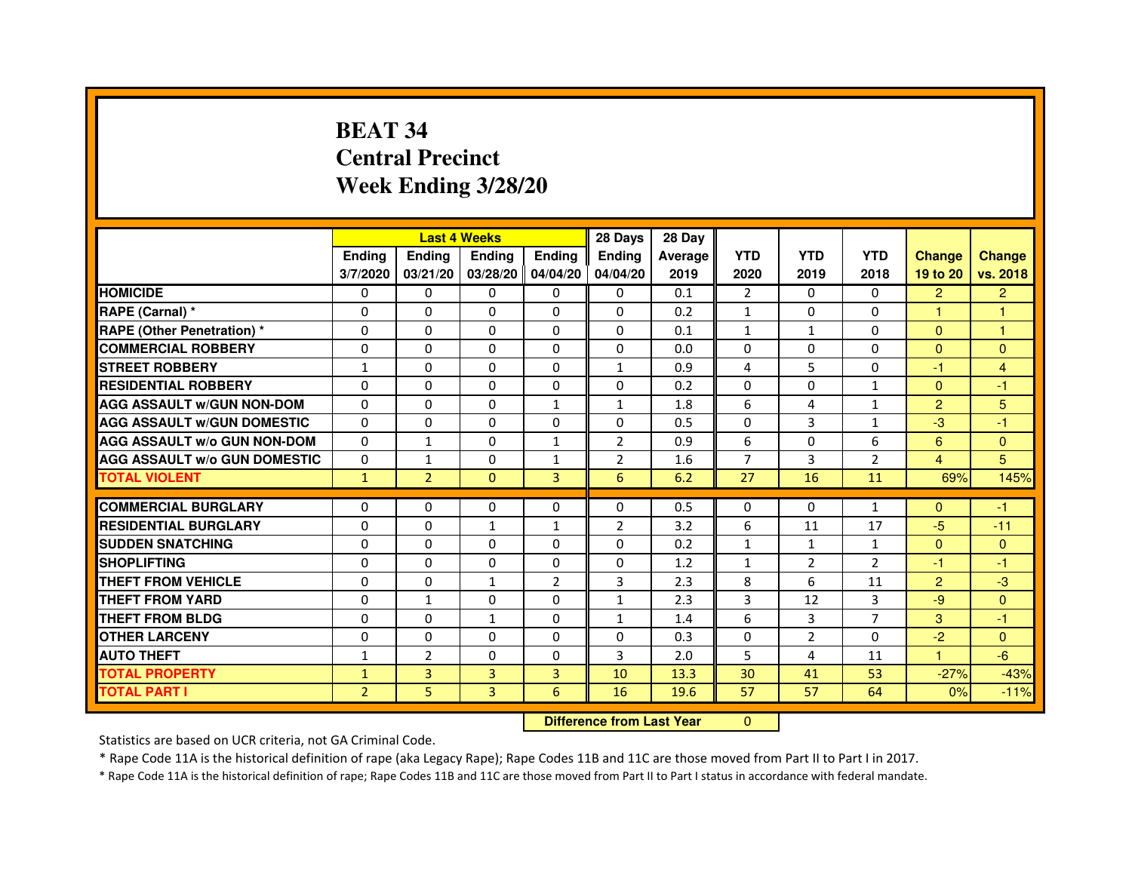# **BEAT 34 Central PrecinctWeek Ending 3/28/20**

|                                     |                | <b>Last 4 Weeks</b> |                |                | 28 Days                          | 28 Day         |                |                |                |                |                |
|-------------------------------------|----------------|---------------------|----------------|----------------|----------------------------------|----------------|----------------|----------------|----------------|----------------|----------------|
|                                     | <b>Ending</b>  | <b>Ending</b>       | <b>Ending</b>  | <b>Ending</b>  | <b>Ending</b>                    | <b>Average</b> | <b>YTD</b>     | <b>YTD</b>     | <b>YTD</b>     | <b>Change</b>  | <b>Change</b>  |
|                                     | 3/7/2020       | 03/21/20            | 03/28/20       | 04/04/20       | 04/04/20                         | 2019           | 2020           | 2019           | 2018           | 19 to 20       | vs. 2018       |
| <b>HOMICIDE</b>                     | 0              | $\Omega$            | $\Omega$       | $\Omega$       | 0                                | 0.1            | $\overline{2}$ | $\Omega$       | 0              | $\overline{2}$ | $\overline{2}$ |
| RAPE (Carnal) *                     | 0              | $\Omega$            | 0              | $\Omega$       | $\mathbf{0}$                     | 0.2            | $\mathbf{1}$   | $\Omega$       | 0              | 1.             | 1              |
| <b>RAPE (Other Penetration) *</b>   | $\mathbf 0$    | 0                   | $\Omega$       | $\Omega$       | $\Omega$                         | 0.1            | $\mathbf{1}$   | $\mathbf{1}$   | $\Omega$       | $\Omega$       | $\mathbf{1}$   |
| <b>COMMERCIAL ROBBERY</b>           | $\mathbf 0$    | $\mathbf{0}$        | $\Omega$       | $\mathbf{0}$   | $\mathbf{0}$                     | 0.0            | $\Omega$       | $\mathbf{0}$   | $\Omega$       | $\Omega$       | $\Omega$       |
| <b>STREET ROBBERY</b>               | $\mathbf{1}$   | $\Omega$            | $\Omega$       | $\Omega$       | $\mathbf{1}$                     | 0.9            | 4              | 5              | $\Omega$       | $-1$           | $\overline{4}$ |
| <b>RESIDENTIAL ROBBERY</b>          | 0              | $\Omega$            | 0              | $\Omega$       | $\Omega$                         | 0.2            | $\Omega$       | $\Omega$       | $\mathbf{1}$   | $\Omega$       | $-1$           |
| <b>AGG ASSAULT W/GUN NON-DOM</b>    | $\Omega$       | 0                   | $\Omega$       | $\mathbf{1}$   | $\mathbf{1}$                     | 1.8            | 6              | $\overline{4}$ | $\mathbf{1}$   | $\overline{2}$ | 5              |
| <b>AGG ASSAULT W/GUN DOMESTIC</b>   | $\Omega$       | $\Omega$            | $\Omega$       | $\Omega$       | $\Omega$                         | 0.5            | $\Omega$       | $\overline{3}$ | $\mathbf{1}$   | $-3$           | $-1$           |
| <b>AGG ASSAULT W/o GUN NON-DOM</b>  | $\Omega$       | 1                   | 0              | $\mathbf{1}$   | $\overline{2}$                   | 0.9            | 6              | 0              | 6              | 6              | $\mathbf{0}$   |
| <b>AGG ASSAULT W/o GUN DOMESTIC</b> | $\Omega$       | 1                   | 0              | $\mathbf{1}$   | $\overline{2}$                   | 1.6            | 7              | 3              | $\overline{2}$ | 4              | 5              |
| <b>TOTAL VIOLENT</b>                | $\mathbf{1}$   | $\overline{2}$      | $\mathbf{0}$   | 3              | 6                                | 6.2            | 27             | 16             | 11             | 69%            | 145%           |
| <b>COMMERCIAL BURGLARY</b>          | 0              | 0                   | 0              | 0              | 0                                | 0.5            | 0              | 0              | $\mathbf{1}$   | $\Omega$       | $-1$           |
| <b>RESIDENTIAL BURGLARY</b>         | $\Omega$       | $\Omega$            | $\mathbf{1}$   | $\mathbf{1}$   | $\overline{2}$                   | 3.2            | 6              | 11             | 17             | $-5$           | $-11$          |
| <b>SUDDEN SNATCHING</b>             | $\Omega$       | $\Omega$            | $\Omega$       | $\Omega$       | $\Omega$                         | 0.2            | $\mathbf{1}$   | $\mathbf{1}$   | $\mathbf{1}$   | $\Omega$       | $\Omega$       |
| <b>SHOPLIFTING</b>                  | 0              | 0                   | 0              | $\mathbf{0}$   | $\mathbf{0}$                     | 1.2            | $\mathbf{1}$   | $\overline{2}$ | 2              | $-1$           | $-1$           |
| THEFT FROM VEHICLE                  | 0              | $\Omega$            | $\mathbf{1}$   | $\overline{2}$ | 3                                | 2.3            | 8              | 6              | 11             | $\overline{2}$ | $-3$           |
| <b>THEFT FROM YARD</b>              | $\mathbf 0$    | $\mathbf{1}$        | $\Omega$       | 0              | $\mathbf{1}$                     | 2.3            | 3              | 12             | 3              | $-9$           | $\mathbf{0}$   |
| <b>THEFT FROM BLDG</b>              | 0              | $\Omega$            | $\mathbf{1}$   | $\Omega$       | $\mathbf{1}$                     | 1.4            | 6              | 3              | $\overline{7}$ | 3              | $-1$           |
| <b>OTHER LARCENY</b>                | 0              | $\Omega$            | 0              | $\Omega$       | $\Omega$                         | 0.3            | $\Omega$       | $\overline{2}$ | $\Omega$       | $-2$           | $\Omega$       |
| <b>AUTO THEFT</b>                   | $\mathbf{1}$   | $\overline{2}$      | $\Omega$       | $\Omega$       | 3                                | 2.0            | 5              | 4              | 11             | $\mathbf{1}$   | $-6$           |
| <b>TOTAL PROPERTY</b>               | $\mathbf{1}$   | 3                   | $\overline{3}$ | 3              | 10                               | 13.3           | 30             | 41             | 53             | $-27%$         | $-43%$         |
| <b>TOTAL PART I</b>                 | $\overline{2}$ | 5                   | 3              | 6              | 16                               | 19.6           | 57             | 57             | 64             | 0%             | $-11%$         |
|                                     |                |                     |                |                | <b>Difference from Last Year</b> |                | $\Omega$       |                |                |                |                |

 **Difference from Last Year**

Statistics are based on UCR criteria, not GA Criminal Code.

\* Rape Code 11A is the historical definition of rape (aka Legacy Rape); Rape Codes 11B and 11C are those moved from Part II to Part I in 2017.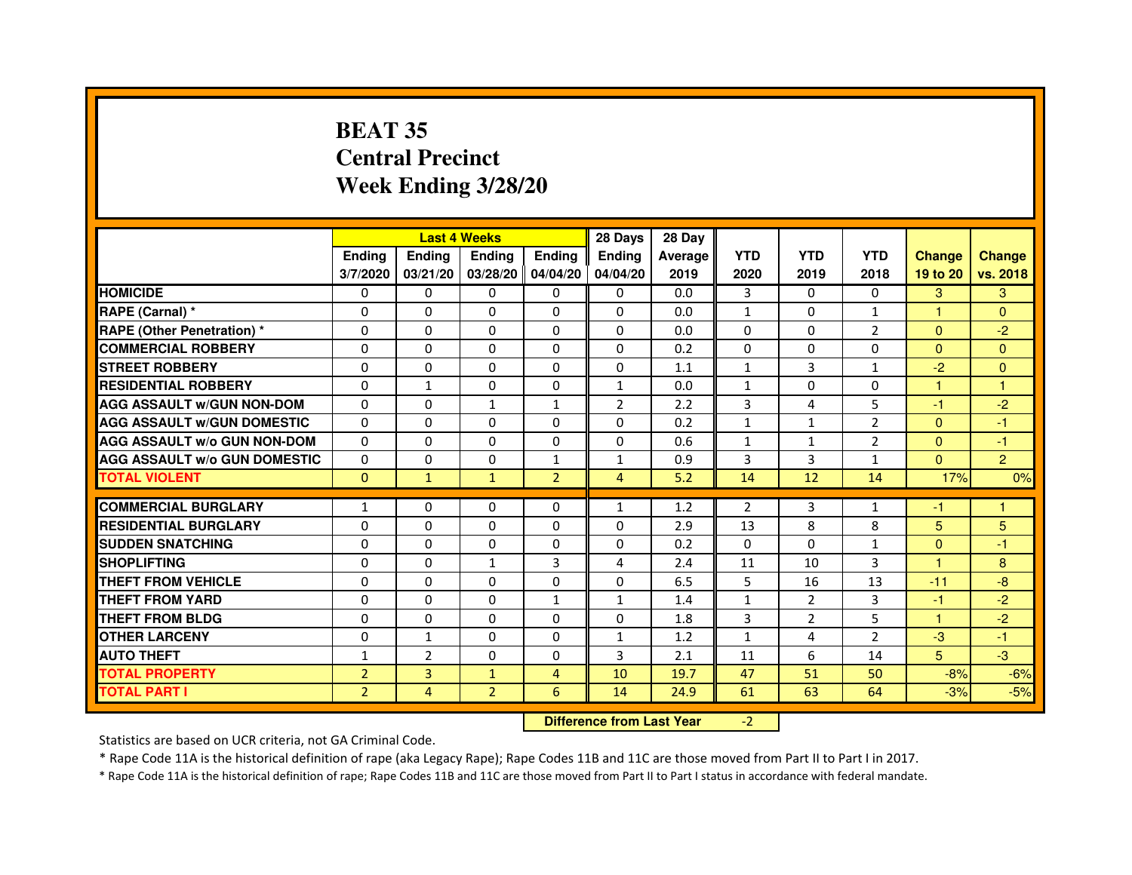# **BEAT 35 Central PrecinctWeek Ending 3/28/20**

|                                     |                |                | <b>Last 4 Weeks</b>              |                | 28 Days        | 28 Day  |                |                |                |                |                |
|-------------------------------------|----------------|----------------|----------------------------------|----------------|----------------|---------|----------------|----------------|----------------|----------------|----------------|
|                                     | <b>Endina</b>  | <b>Ending</b>  | <b>Endina</b>                    | <b>Ending</b>  | <b>Ending</b>  | Average | <b>YTD</b>     | <b>YTD</b>     | <b>YTD</b>     | <b>Change</b>  | <b>Change</b>  |
|                                     | 3/7/2020       | 03/21/20       | 03/28/20 04/04/20                |                | 04/04/20       | 2019    | 2020           | 2019           | 2018           | 19 to 20       | vs. 2018       |
| <b>HOMICIDE</b>                     | 0              | $\Omega$       | $\mathbf{0}$                     | $\Omega$       | 0              | 0.0     | 3              | $\Omega$       | $\Omega$       | 3              | 3              |
| RAPE (Carnal) *                     | 0              | 0              | 0                                | 0              | 0              | 0.0     | $\mathbf{1}$   | $\mathbf{0}$   | $\mathbf{1}$   | 1              | $\mathbf{0}$   |
| <b>RAPE (Other Penetration) *</b>   | $\mathbf 0$    | 0              | 0                                | $\mathbf 0$    | 0              | 0.0     | $\Omega$       | $\mathbf{0}$   | $\overline{2}$ | $\Omega$       | $-2$           |
| <b>COMMERCIAL ROBBERY</b>           | $\Omega$       | $\Omega$       | $\Omega$                         | 0              | $\Omega$       | 0.2     | $\Omega$       | $\mathbf{0}$   | 0              | $\Omega$       | $\Omega$       |
| <b>STREET ROBBERY</b>               | 0              | 0              | 0                                | 0              | 0              | 1.1     | $\mathbf{1}$   | 3              | $\mathbf{1}$   | $-2$           | $\mathbf{0}$   |
| <b>RESIDENTIAL ROBBERY</b>          | 0              | 1              | $\Omega$                         | 0              | $\mathbf{1}$   | 0.0     | $\mathbf{1}$   | $\mathbf{0}$   | 0              | $\mathbf{1}$   | $\mathbf{1}$   |
| <b>AGG ASSAULT w/GUN NON-DOM</b>    | $\Omega$       | 0              | $\mathbf{1}$                     | $\mathbf{1}$   | $\overline{2}$ | 2.2     | 3              | 4              | 5              | $-1$           | $-2$           |
| <b>AGG ASSAULT W/GUN DOMESTIC</b>   | $\Omega$       | $\Omega$       | $\Omega$                         | $\Omega$       | $\Omega$       | 0.2     | $\mathbf{1}$   | $\mathbf{1}$   | $\overline{2}$ | $\Omega$       | $-1$           |
| <b>AGG ASSAULT w/o GUN NON-DOM</b>  | 0              | 0              | 0                                | 0              | 0              | 0.6     | $\mathbf{1}$   | 1              | 2              | $\mathbf{0}$   | $-1$           |
| <b>AGG ASSAULT w/o GUN DOMESTIC</b> | $\Omega$       | $\mathbf 0$    | 0                                | $\mathbf{1}$   | $\mathbf{1}$   | 0.9     | 3              | 3              | $\mathbf{1}$   | $\Omega$       | $\overline{2}$ |
| <b>TOTAL VIOLENT</b>                | $\mathbf{0}$   | $\mathbf{1}$   | $\mathbf{1}$                     | $\overline{2}$ | $\overline{4}$ | 5.2     | 14             | 12             | 14             | 17%            | 0%             |
| <b>COMMERCIAL BURGLARY</b>          | 1              | 0              | 0                                | 0              | $\mathbf{1}$   | 1.2     | $\overline{2}$ | 3              | $\mathbf{1}$   | $-1$           | 1              |
| <b>RESIDENTIAL BURGLARY</b>         | $\Omega$       | $\Omega$       | $\mathbf 0$                      | $\Omega$       | $\Omega$       | 2.9     | 13             | 8              | 8              | 5              | $\overline{5}$ |
| <b>SUDDEN SNATCHING</b>             | 0              | $\Omega$       | $\Omega$                         | $\Omega$       | $\Omega$       | 0.2     | $\Omega$       | $\Omega$       | $\mathbf{1}$   | $\Omega$       | $-1$           |
| <b>SHOPLIFTING</b>                  | $\Omega$       | $\Omega$       | $\mathbf{1}$                     | 3              | 4              | 2.4     | 11             | 10             | 3              | 1.             | 8              |
| <b>THEFT FROM VEHICLE</b>           | $\Omega$       | $\Omega$       | $\Omega$                         | 0              | $\Omega$       | 6.5     | 5              | 16             | 13             | $-11$          | $-8$           |
| <b>THEFT FROM YARD</b>              | $\Omega$       | $\Omega$       | $\Omega$                         | $\mathbf{1}$   | $\mathbf{1}$   | 1.4     | $\mathbf{1}$   | $\overline{2}$ | 3              | $-1$           | $-2$           |
| <b>THEFT FROM BLDG</b>              | 0              | $\Omega$       | $\Omega$                         | $\Omega$       | 0              | 1.8     | 3              | $\overline{2}$ | 5              | $\mathbf{1}$   | $-2$           |
| <b>OTHER LARCENY</b>                | 0              | $\mathbf{1}$   | $\Omega$                         | 0              | $\mathbf{1}$   | 1.2     | $\mathbf{1}$   | 4              | $\overline{2}$ | $-3$           | $-1$           |
| <b>AUTO THEFT</b>                   | $\mathbf{1}$   | $\overline{2}$ | $\mathbf 0$                      | 0              | 3              | 2.1     | 11             | 6              | 14             | 5 <sup>5</sup> | $-3$           |
| <b>TOTAL PROPERTY</b>               | $\overline{2}$ | 3              | $\mathbf{1}$                     | $\overline{4}$ | 10             | 19.7    | 47             | 51             | 50             | $-8%$          | $-6%$          |
| <b>TOTAL PART I</b>                 | $\overline{2}$ | 4              | $\overline{2}$                   | 6              | 14             | 24.9    | 61             | 63             | 64             | $-3%$          | $-5%$          |
|                                     |                |                | <b>Difference from Last Year</b> |                | $-2$           |         |                |                |                |                |                |

 **Difference from Last Year**

Statistics are based on UCR criteria, not GA Criminal Code.

\* Rape Code 11A is the historical definition of rape (aka Legacy Rape); Rape Codes 11B and 11C are those moved from Part II to Part I in 2017.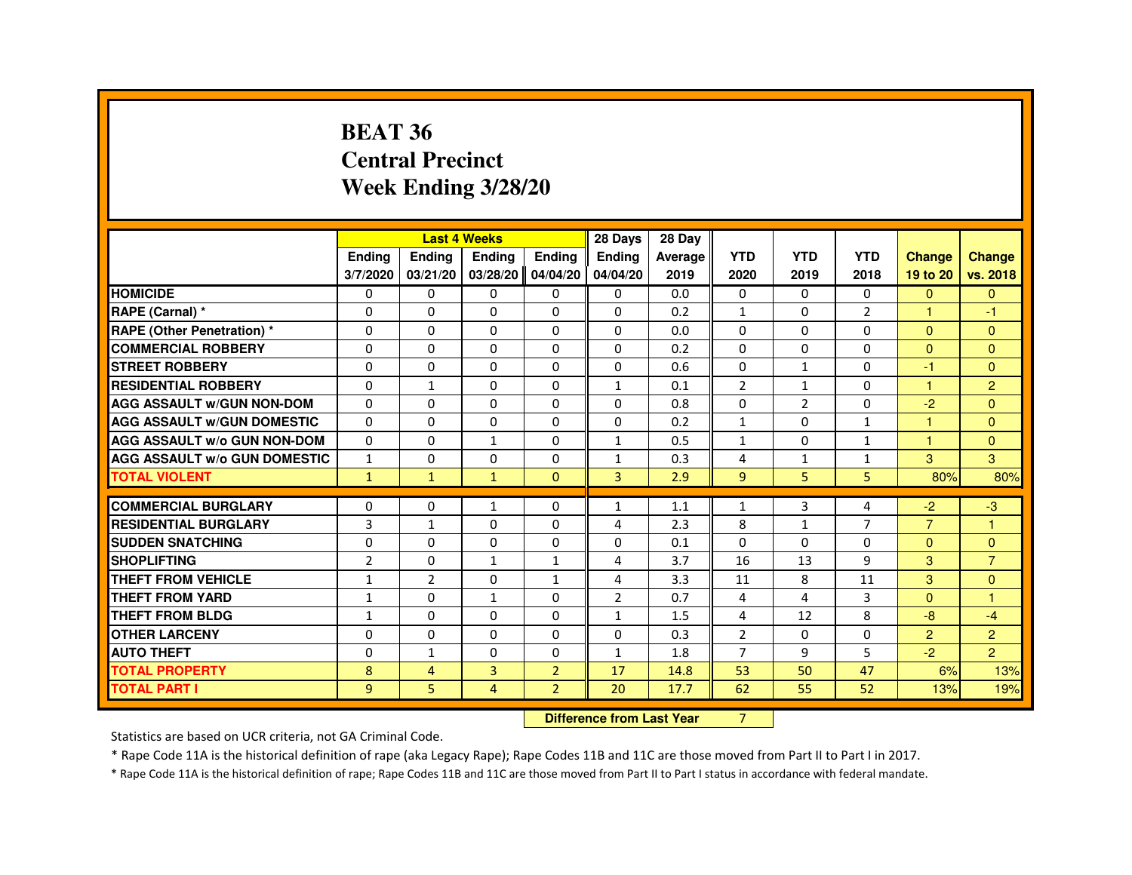#### **BEAT 36 Central PrecinctWeek Ending 3/28/20**

|                                     |                |                | <b>Last 4 Weeks</b> |                | 28 Days        | 28 Day  |                |                |                |                |                |
|-------------------------------------|----------------|----------------|---------------------|----------------|----------------|---------|----------------|----------------|----------------|----------------|----------------|
|                                     | Ending         | Ending         | Ending              | <b>Endina</b>  | Ending         | Average | <b>YTD</b>     | <b>YTD</b>     | <b>YTD</b>     | <b>Change</b>  | <b>Change</b>  |
|                                     | 3/7/2020       | 03/21/20       | 03/28/20 04/04/20   |                | 04/04/20       | 2019    | 2020           | 2019           | 2018           | 19 to 20       | vs. 2018       |
| <b>HOMICIDE</b>                     | 0              | $\Omega$       | $\Omega$            | 0              | $\Omega$       | 0.0     | 0              | $\Omega$       | $\Omega$       | $\Omega$       | $\Omega$       |
| RAPE (Carnal) *                     | 0              | $\Omega$       | $\Omega$            | 0              | $\Omega$       | 0.2     | $\mathbf{1}$   | 0              | $\overline{2}$ | 1              | -1             |
| <b>RAPE (Other Penetration) *</b>   | 0              | $\Omega$       | $\Omega$            | $\Omega$       | 0              | 0.0     | $\Omega$       | $\Omega$       | $\Omega$       | $\Omega$       | $\Omega$       |
| <b>COMMERCIAL ROBBERY</b>           | $\Omega$       | $\Omega$       | $\Omega$            | $\Omega$       | 0              | 0.2     | $\Omega$       | $\Omega$       | $\Omega$       | $\Omega$       | $\Omega$       |
| <b>STREET ROBBERY</b>               | $\Omega$       | $\mathbf 0$    | $\Omega$            | $\Omega$       | 0              | 0.6     | $\Omega$       | $\mathbf{1}$   | 0              | -1             | $\Omega$       |
| <b>RESIDENTIAL ROBBERY</b>          | $\Omega$       | $\mathbf{1}$   | $\Omega$            | $\Omega$       | $\mathbf{1}$   | 0.1     | $\overline{2}$ | $\mathbf{1}$   | $\Omega$       | $\overline{1}$ | 2              |
| <b>AGG ASSAULT W/GUN NON-DOM</b>    | $\Omega$       | $\Omega$       | 0                   | $\Omega$       | $\Omega$       | 0.8     | $\Omega$       | $\overline{2}$ | $\Omega$       | $-2$           | $\Omega$       |
| <b>AGG ASSAULT W/GUN DOMESTIC</b>   | $\Omega$       | 0              | 0                   | 0              | 0              | 0.2     | 1              | 0              | $\mathbf{1}$   |                | $\Omega$       |
| <b>AGG ASSAULT W/o GUN NON-DOM</b>  | $\Omega$       | $\Omega$       | $\mathbf{1}$        | 0              | $\mathbf{1}$   | 0.5     | $\mathbf{1}$   | 0              | $\mathbf{1}$   | и              | $\Omega$       |
| <b>AGG ASSAULT W/o GUN DOMESTIC</b> | $\mathbf{1}$   | $\Omega$       | $\Omega$            | $\Omega$       | $\mathbf{1}$   | 0.3     | $\overline{4}$ | $\mathbf{1}$   | $\mathbf{1}$   | 3              | 3              |
| <b>TOTAL VIOLENT</b>                | $\mathbf{1}$   | $\mathbf{1}$   | $\mathbf{1}$        | $\mathbf{0}$   | 3              | 2.9     | 9              | 5              | 5              | 80%            | 80%            |
|                                     |                |                |                     |                |                |         |                |                |                |                |                |
| <b>COMMERCIAL BURGLARY</b>          | 0              | 0              | $\mathbf{1}$        | 0              | 1              | 1.1     | $\mathbf{1}$   | 3              | 4              | $-2$           | $-3$           |
| <b>RESIDENTIAL BURGLARY</b>         | 3              | $\mathbf{1}$   | 0                   | 0              | $\overline{4}$ | 2.3     | 8              | $\mathbf{1}$   | $\overline{7}$ | $\overline{7}$ | -1             |
| <b>SUDDEN SNATCHING</b>             | $\Omega$       | $\mathbf 0$    | 0                   | $\Omega$       | 0              | 0.1     | $\Omega$       | $\Omega$       | 0              | $\Omega$       | $\Omega$       |
| <b>SHOPLIFTING</b>                  | $\overline{2}$ | 0              | $\mathbf{1}$        | $\mathbf{1}$   | $\overline{4}$ | 3.7     | 16             | 13             | 9              | $\mathcal{B}$  | $\overline{7}$ |
| THEFT FROM VEHICLE                  | $\mathbf{1}$   | $\overline{2}$ | $\Omega$            | $\mathbf{1}$   | 4              | 3.3     | 11             | 8              | 11             | 3              | $\Omega$       |
| THEFT FROM YARD                     | $\mathbf{1}$   | 0              | $\mathbf{1}$        | 0              | 2              | 0.7     | 4              | 4              | 3              | $\Omega$       | -1             |
| THEFT FROM BLDG                     | $\mathbf{1}$   | 0              | 0                   | 0              | $\mathbf{1}$   | 1.5     | 4              | 12             | 8              | -8             | $-4$           |
| <b>OTHER LARCENY</b>                | $\Omega$       | $\Omega$       | $\Omega$            | 0              | 0              | 0.3     | $\overline{2}$ | $\mathbf{0}$   | $\Omega$       | 2              | 2              |
| <b>AUTO THEFT</b>                   | $\Omega$       | $\mathbf{1}$   | $\Omega$            | 0              | $\mathbf{1}$   | 1.8     | $\overline{7}$ | 9              | 5              | $-2$           | $\overline{2}$ |
| <b>TOTAL PROPERTY</b>               | 8              | 4              | 3                   | $\overline{2}$ | 17             | 14.8    | 53             | 50             | 47             | 6%             | 13%            |
| <b>TOTAL PART I</b>                 | 9              | 5              | 4                   | $\overline{2}$ | 20             | 17.7    | 62             | 55             | 52             | 13%            | 19%            |

**Difference from Last Year** 7

Statistics are based on UCR criteria, not GA Criminal Code.

\* Rape Code 11A is the historical definition of rape (aka Legacy Rape); Rape Codes 11B and 11C are those moved from Part II to Part I in 2017.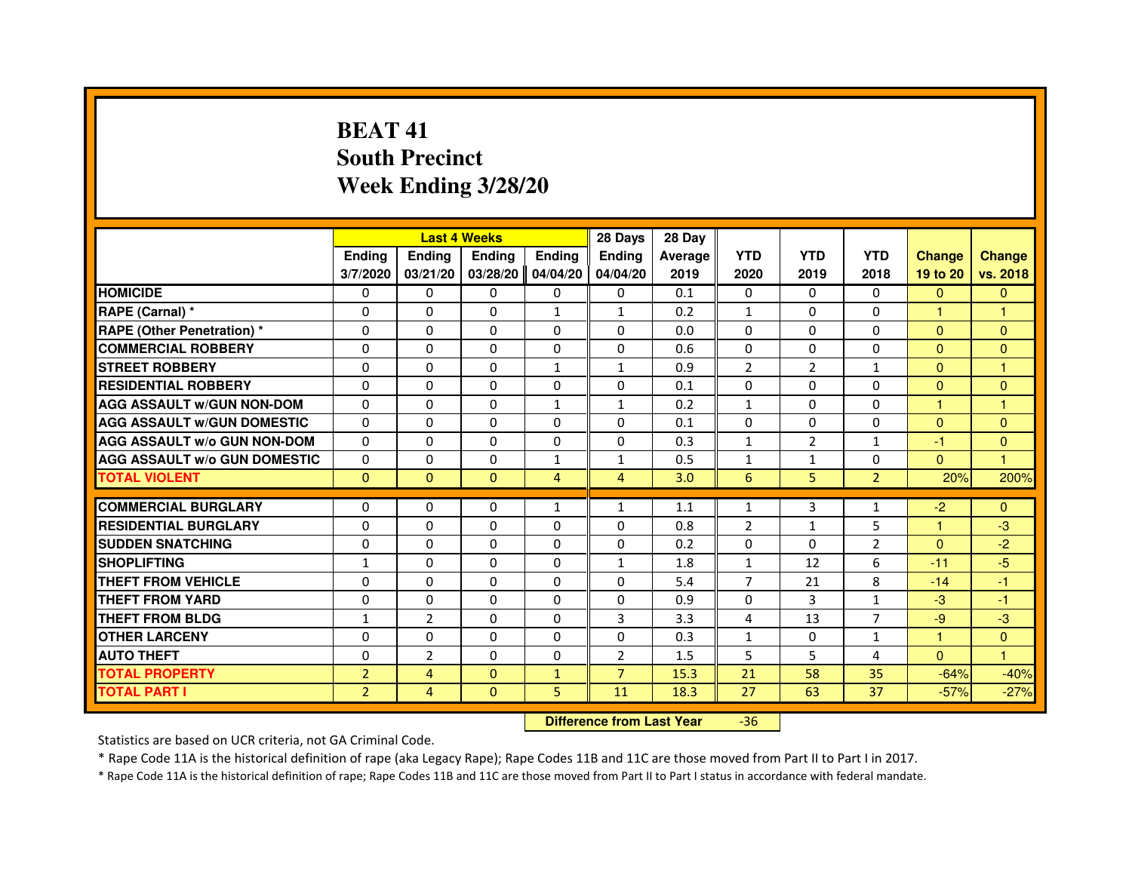# **BEAT 41 South PrecinctWeek Ending 3/28/20**

|                                     |                |                | <b>Last 4 Weeks</b> |               | 28 Days        | 28 Day  |                |                |                |                      |               |
|-------------------------------------|----------------|----------------|---------------------|---------------|----------------|---------|----------------|----------------|----------------|----------------------|---------------|
|                                     | <b>Ending</b>  | Ending         | <b>Ending</b>       | <b>Ending</b> | <b>Endina</b>  | Average | <b>YTD</b>     | <b>YTD</b>     | <b>YTD</b>     | <b>Change</b>        | <b>Change</b> |
|                                     | 3/7/2020       | 03/21/20       | 03/28/20            | 04/04/20      | 04/04/20       | 2019    | 2020           | 2019           | 2018           | 19 to 20             | vs. 2018      |
| <b>HOMICIDE</b>                     | 0              | 0              | 0                   | 0             | 0              | 0.1     | 0              | $\Omega$       | 0              | $\mathbf{0}$         | $\mathbf{0}$  |
| RAPE (Carnal) *                     | $\Omega$       | $\Omega$       | $\Omega$            | $\mathbf{1}$  | $\mathbf{1}$   | 0.2     | $\mathbf{1}$   | $\Omega$       | $\Omega$       | $\mathbf{1}$         | $\mathbf{1}$  |
| <b>RAPE (Other Penetration) *</b>   | 0              | 0              | 0                   | $\mathbf{0}$  | 0              | 0.0     | $\Omega$       | $\mathbf{0}$   | 0              | $\Omega$             | $\Omega$      |
| <b>COMMERCIAL ROBBERY</b>           | $\Omega$       | $\Omega$       | $\Omega$            | $\Omega$      | $\Omega$       | 0.6     | $\Omega$       | $\Omega$       | $\Omega$       | $\Omega$             | $\Omega$      |
| <b>STREET ROBBERY</b>               | $\Omega$       | $\Omega$       | $\Omega$            | $\mathbf{1}$  | 1              | 0.9     | $\overline{2}$ | $\overline{2}$ | $\mathbf{1}$   | $\Omega$             | 1             |
| <b>RESIDENTIAL ROBBERY</b>          | $\Omega$       | $\Omega$       | $\Omega$            | $\Omega$      | $\Omega$       | 0.1     | $\Omega$       | $\Omega$       | $\Omega$       | $\Omega$             | $\Omega$      |
| <b>AGG ASSAULT W/GUN NON-DOM</b>    | $\Omega$       | $\Omega$       | $\Omega$            | $\mathbf{1}$  | $\mathbf{1}$   | 0.2     | $\mathbf{1}$   | $\Omega$       | $\Omega$       | $\blacktriangleleft$ | $\mathbf{1}$  |
| <b>AGG ASSAULT W/GUN DOMESTIC</b>   | $\Omega$       | $\Omega$       | $\Omega$            | $\Omega$      | $\Omega$       | 0.1     | $\Omega$       | $\mathbf{0}$   | $\Omega$       | $\Omega$             | $\Omega$      |
| <b>AGG ASSAULT W/o GUN NON-DOM</b>  | $\Omega$       | $\Omega$       | $\Omega$            | $\Omega$      | $\Omega$       | 0.3     | $\mathbf{1}$   | $\overline{2}$ | $\mathbf{1}$   | $-1$                 | $\mathbf{0}$  |
| <b>AGG ASSAULT W/o GUN DOMESTIC</b> | $\Omega$       | $\Omega$       | $\Omega$            | $\mathbf{1}$  | 1              | 0.5     | $\mathbf{1}$   | 1              | $\Omega$       | $\Omega$             | 1             |
| <b>TOTAL VIOLENT</b>                | $\Omega$       | $\Omega$       | $\mathbf{0}$        | 4             | 4              | 3.0     | 6              | 5              | $\overline{2}$ | 20%                  | 200%          |
|                                     |                |                |                     |               |                |         |                |                |                |                      |               |
| <b>COMMERCIAL BURGLARY</b>          | 0              | 0              | 0                   | 1             | 1              | 1.1     | $\mathbf{1}$   | 3              | 1              | $-2$                 | $\mathbf{0}$  |
| <b>RESIDENTIAL BURGLARY</b>         | $\Omega$       | $\Omega$       | $\Omega$            | $\Omega$      | 0              | 0.8     | $\overline{2}$ | 1              | 5              | 1                    | $-3$          |
| <b>SUDDEN SNATCHING</b>             | 0              | $\Omega$       | 0                   | 0             | 0              | 0.2     | 0              | $\Omega$       | $\overline{2}$ | $\Omega$             | $-2$          |
| <b>SHOPLIFTING</b>                  | $\mathbf{1}$   | $\Omega$       | $\Omega$            | $\Omega$      | $\mathbf{1}$   | 1.8     | $\mathbf{1}$   | 12             | 6              | $-11$                | $-5$          |
| THEFT FROM VEHICLE                  | $\Omega$       | $\Omega$       | $\Omega$            | $\Omega$      | $\Omega$       | 5.4     | $\overline{7}$ | 21             | 8              | $-14$                | $-1$          |
| THEFT FROM YARD                     | $\Omega$       | $\Omega$       | $\Omega$            | $\Omega$      | $\Omega$       | 0.9     | $\Omega$       | 3              | $\mathbf{1}$   | $-3$                 | $-1$          |
| THEFT FROM BLDG                     | $\mathbf{1}$   | $\overline{2}$ | $\Omega$            | $\Omega$      | 3              | 3.3     | 4              | 13             | $\overline{7}$ | $-9$                 | $-3$          |
| <b>OTHER LARCENY</b>                | $\Omega$       | $\Omega$       | $\Omega$            | $\Omega$      | $\Omega$       | 0.3     | $\mathbf{1}$   | $\Omega$       | $\mathbf{1}$   | $\mathbf{1}$         | $\Omega$      |
| <b>AUTO THEFT</b>                   | $\Omega$       | $\overline{2}$ | $\Omega$            | $\Omega$      | $\overline{2}$ | 1.5     | 5              | 5.             | 4              | $\Omega$             | $\mathbf{1}$  |
| <b>TOTAL PROPERTY</b>               | $\overline{2}$ | $\overline{4}$ | $\Omega$            | $\mathbf{1}$  | $\overline{7}$ | 15.3    | 21             | 58             | 35             | $-64%$               | $-40%$        |
| <b>TOTAL PART I</b>                 | $\overline{2}$ | 4              | $\Omega$            | 5             | 11             | 18.3    | 27             | 63             | 37             | $-57%$               | $-27%$        |

 **Difference from Last Year**-36

Statistics are based on UCR criteria, not GA Criminal Code.

\* Rape Code 11A is the historical definition of rape (aka Legacy Rape); Rape Codes 11B and 11C are those moved from Part II to Part I in 2017.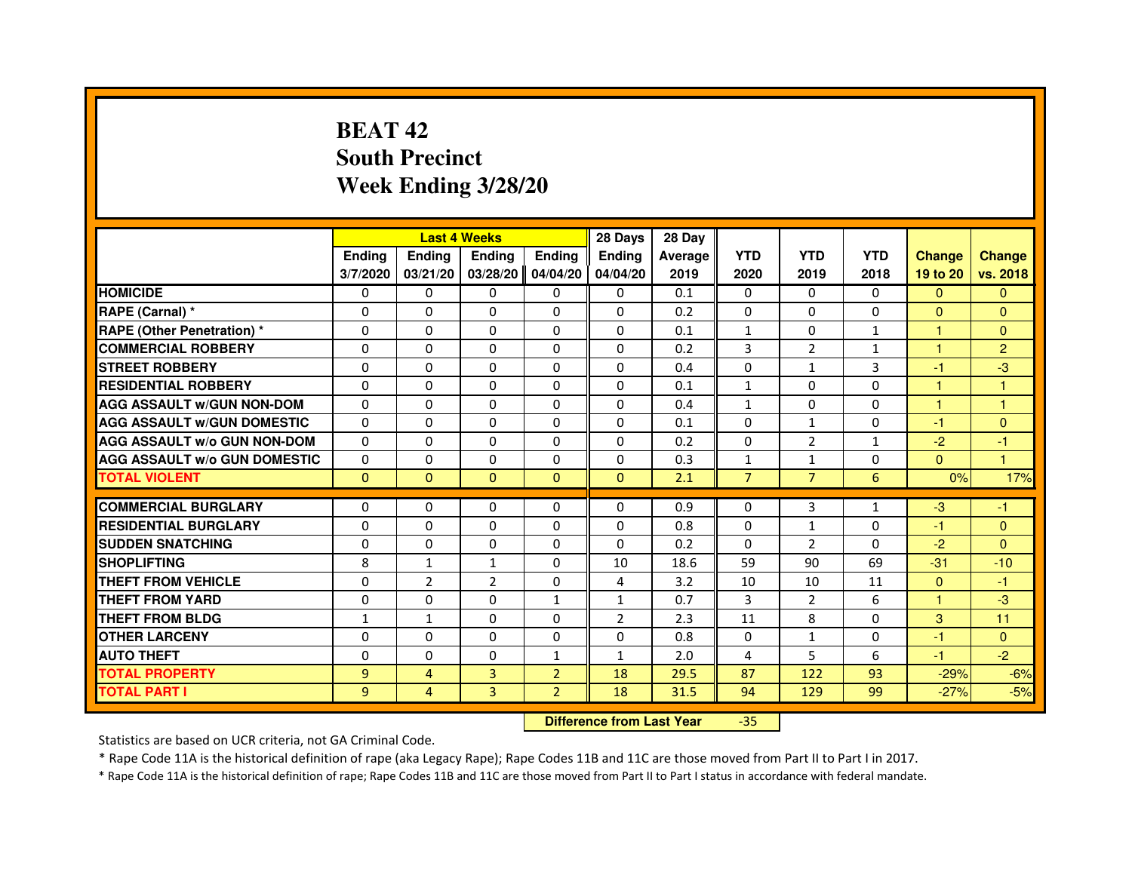# **BEAT 42 South PrecinctWeek Ending 3/28/20**

|                                     |                | <b>Last 4 Weeks</b> |                |                | 28 Days        | 28 Day  |                |                |              |               |                |
|-------------------------------------|----------------|---------------------|----------------|----------------|----------------|---------|----------------|----------------|--------------|---------------|----------------|
|                                     | <b>Ending</b>  | Ending              | <b>Ending</b>  | <b>Ending</b>  | <b>Endina</b>  | Average | <b>YTD</b>     | <b>YTD</b>     | <b>YTD</b>   | <b>Change</b> | <b>Change</b>  |
|                                     | 3/7/2020       | 03/21/20            | 03/28/20       | 04/04/20       | 04/04/20       | 2019    | 2020           | 2019           | 2018         | 19 to 20      | vs. 2018       |
| <b>HOMICIDE</b>                     | 0              | $\Omega$            | 0              | $\Omega$       | 0              | 0.1     | 0              | $\Omega$       | 0            | $\Omega$      | $\mathbf{0}$   |
| RAPE (Carnal) *                     | $\Omega$       | $\Omega$            | $\Omega$       | $\Omega$       | $\Omega$       | 0.2     | $\Omega$       | $\Omega$       | $\Omega$     | $\Omega$      | $\Omega$       |
| <b>RAPE (Other Penetration)*</b>    | 0              | $\Omega$            | 0              | $\mathbf{0}$   | $\mathbf{0}$   | 0.1     | $\mathbf{1}$   | 0              | $\mathbf{1}$ | $\mathbf{1}$  | $\Omega$       |
| <b>COMMERCIAL ROBBERY</b>           | 0              | $\Omega$            | 0              | $\Omega$       | $\Omega$       | 0.2     | 3              | $\overline{2}$ | 1            | 1             | $\overline{2}$ |
| <b>STREET ROBBERY</b>               | $\Omega$       | $\Omega$            | $\Omega$       | $\Omega$       | $\Omega$       | 0.4     | $\Omega$       | $\mathbf{1}$   | 3            | $-1$          | -3             |
| <b>RESIDENTIAL ROBBERY</b>          | $\Omega$       | $\Omega$            | $\Omega$       | $\Omega$       | $\Omega$       | 0.1     | $\mathbf{1}$   | $\Omega$       | $\Omega$     | $\mathbf{1}$  | $\mathbf{1}$   |
| <b>AGG ASSAULT W/GUN NON-DOM</b>    | $\Omega$       | $\Omega$            | $\Omega$       | $\Omega$       | $\Omega$       | 0.4     | $\mathbf{1}$   | $\Omega$       | $\Omega$     | $\mathbf{1}$  | $\mathbf{1}$   |
| <b>AGG ASSAULT W/GUN DOMESTIC</b>   | $\Omega$       | $\Omega$            | 0              | $\Omega$       | $\Omega$       | 0.1     | $\Omega$       | $\mathbf{1}$   | $\Omega$     | $-1$          | $\Omega$       |
| <b>AGG ASSAULT W/o GUN NON-DOM</b>  | $\Omega$       | $\Omega$            | 0              | 0              | $\Omega$       | 0.2     | $\Omega$       | $\overline{2}$ | $\mathbf{1}$ | $-2$          | $-1$           |
| <b>AGG ASSAULT W/o GUN DOMESTIC</b> | $\Omega$       | 0                   | 0              | $\Omega$       | 0              | 0.3     | $\mathbf{1}$   | $\mathbf{1}$   | $\Omega$     | $\Omega$      | 1              |
| <b>TOTAL VIOLENT</b>                | $\mathbf{0}$   | $\mathbf{0}$        | $\mathbf{0}$   | $\Omega$       | $\mathbf{0}$   | 2.1     | $\overline{7}$ | $\overline{7}$ | 6            | 0%            | 17%            |
|                                     |                |                     |                |                |                |         |                |                |              |               |                |
| <b>COMMERCIAL BURGLARY</b>          | 0              | 0                   | 0              | 0              | $\Omega$       | 0.9     | 0              | 3              | $\mathbf{1}$ | $-3$          | -1             |
| <b>RESIDENTIAL BURGLARY</b>         | $\Omega$       | $\Omega$            | 0              | $\Omega$       | $\Omega$       | 0.8     | $\Omega$       | $\mathbf{1}$   | $\Omega$     | $-1$          | $\Omega$       |
| <b>SUDDEN SNATCHING</b>             | 0              | 0                   | 0              | $\Omega$       | $\Omega$       | 0.2     | 0              | $\overline{2}$ | 0            | $-2$          | $\Omega$       |
| <b>SHOPLIFTING</b>                  | 8              | $\mathbf{1}$        | $\mathbf{1}$   | $\Omega$       | 10             | 18.6    | 59             | 90             | 69           | $-31$         | $-10$          |
| <b>THEFT FROM VEHICLE</b>           | $\Omega$       | $\overline{2}$      | $\overline{2}$ | $\Omega$       | 4              | 3.2     | 10             | 10             | 11           | $\Omega$      | $-1$           |
| <b>THEFT FROM YARD</b>              | 0              | $\Omega$            | $\Omega$       | $\mathbf{1}$   | $\mathbf{1}$   | 0.7     | 3              | 2              | 6            | $\mathbf{1}$  | -3             |
| THEFT FROM BLDG                     | $\mathbf{1}$   | $\mathbf{1}$        | 0              | $\Omega$       | $\overline{2}$ | 2.3     | 11             | 8              | $\Omega$     | 3             | 11             |
| <b>OTHER LARCENY</b>                | $\Omega$       | $\Omega$            | 0              | $\Omega$       | $\Omega$       | 0.8     | $\Omega$       | $\mathbf{1}$   | $\Omega$     | $-1$          | $\Omega$       |
| <b>AUTO THEFT</b>                   | $\Omega$       | $\Omega$            | $\Omega$       | $\mathbf{1}$   | $\mathbf{1}$   | 2.0     | 4              | 5              | 6            | $-1$          | $-2$           |
| <b>TOTAL PROPERTY</b>               | $\overline{9}$ | 4                   | 3              | $\overline{2}$ | 18             | 29.5    | 87             | 122            | 93           | $-29%$        | $-6%$          |
| TOTAL PART I                        | 9              | 4                   | 3              | $\overline{2}$ | 18             | 31.5    | 94             | 129            | 99           | $-27%$        | $-5%$          |

 **Difference from Last Year**-35

Statistics are based on UCR criteria, not GA Criminal Code.

\* Rape Code 11A is the historical definition of rape (aka Legacy Rape); Rape Codes 11B and 11C are those moved from Part II to Part I in 2017.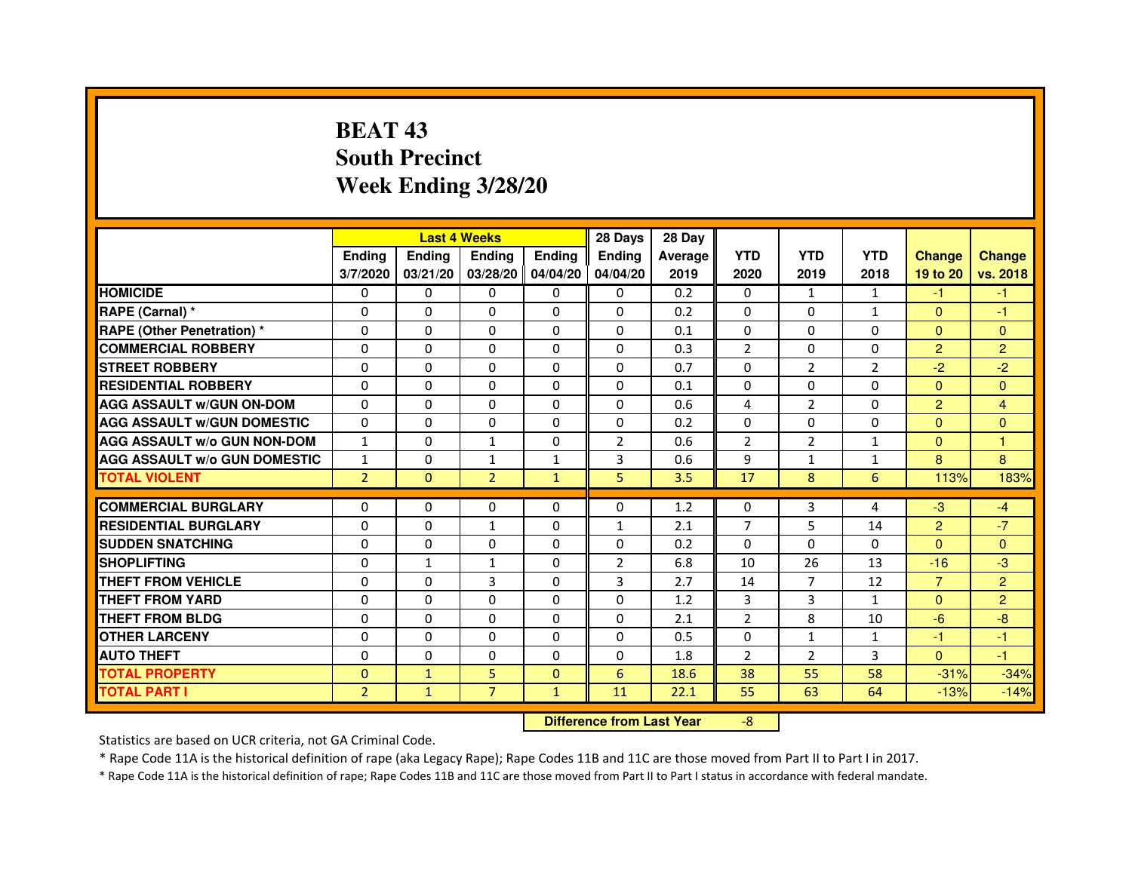# **BEAT 43 South PrecinctWeek Ending 3/28/20**

|                                     |                | <b>Last 4 Weeks</b> |                                  |               | 28 Days       | 28 Day  |                |                |                |                |                |
|-------------------------------------|----------------|---------------------|----------------------------------|---------------|---------------|---------|----------------|----------------|----------------|----------------|----------------|
|                                     | <b>Ending</b>  | Ending              | <b>Ending</b>                    | <b>Ending</b> | <b>Ending</b> | Average | <b>YTD</b>     | <b>YTD</b>     | <b>YTD</b>     | <b>Change</b>  | <b>Change</b>  |
|                                     | 3/7/2020       | 03/21/20            | 03/28/20 04/04/20                |               | 04/04/20      | 2019    | 2020           | 2019           | 2018           | 19 to 20       | vs. 2018       |
| <b>HOMICIDE</b>                     | 0              | $\Omega$            | $\Omega$                         | $\Omega$      | 0             | 0.2     | $\Omega$       | $\mathbf{1}$   | $\mathbf{1}$   | $-1$           | $-1$           |
| RAPE (Carnal) *                     | 0              | 0                   | 0                                | 0             | 0             | 0.2     | $\mathbf{0}$   | $\Omega$       | $\mathbf{1}$   | $\mathbf{0}$   | $-1$           |
| <b>RAPE (Other Penetration)*</b>    | 0              | 0                   | $\Omega$                         | 0             | $\Omega$      | 0.1     | $\Omega$       | $\mathbf{0}$   | 0              | $\Omega$       | $\Omega$       |
| <b>COMMERCIAL ROBBERY</b>           | $\Omega$       | $\Omega$            | $\Omega$                         | $\Omega$      | $\Omega$      | 0.3     | $\overline{2}$ | $\mathbf{0}$   | $\Omega$       | $\overline{2}$ | $\overline{2}$ |
| <b>STREET ROBBERY</b>               | $\Omega$       | $\Omega$            | $\Omega$                         | $\Omega$      | $\Omega$      | 0.7     | $\Omega$       | $\overline{2}$ | $\overline{2}$ | $-2$           | $-2$           |
| <b>RESIDENTIAL ROBBERY</b>          | $\Omega$       | $\Omega$            | $\Omega$                         | $\Omega$      | 0             | 0.1     | $\Omega$       | $\Omega$       | 0              | $\Omega$       | $\Omega$       |
| <b>AGG ASSAULT w/GUN ON-DOM</b>     | $\Omega$       | $\Omega$            | $\mathbf 0$                      | $\Omega$      | $\Omega$      | 0.6     | 4              | $\overline{2}$ | $\Omega$       | $\overline{2}$ | 4              |
| <b>AGG ASSAULT w/GUN DOMESTIC</b>   | $\Omega$       | $\Omega$            | $\Omega$                         | $\Omega$      | $\Omega$      | 0.2     | $\Omega$       | $\Omega$       | $\Omega$       | $\Omega$       | $\Omega$       |
| <b>AGG ASSAULT W/o GUN NON-DOM</b>  | $\mathbf{1}$   | 0                   | $\mathbf{1}$                     | 0             | 2             | 0.6     | 2              | $\overline{2}$ | $\mathbf{1}$   | $\Omega$       | 1              |
| <b>AGG ASSAULT w/o GUN DOMESTIC</b> | $\mathbf{1}$   | $\mathbf 0$         | $\mathbf{1}$                     | $\mathbf{1}$  | 3             | 0.6     | 9              | $\mathbf{1}$   | $\mathbf{1}$   | 8              | 8              |
| <b>TOTAL VIOLENT</b>                | $\overline{2}$ | $\mathbf 0$         | $\overline{2}$                   | $\mathbf{1}$  | 5             | 3.5     | 17             | 8              | 6              | 113%           | 183%           |
| <b>COMMERCIAL BURGLARY</b>          | $\Omega$       | $\Omega$            | 0                                | $\Omega$      | 0             | 1.2     | 0              | 3              | 4              | $-3$           | $-4$           |
| <b>RESIDENTIAL BURGLARY</b>         | $\Omega$       | $\Omega$            | $\mathbf{1}$                     | $\Omega$      | $\mathbf{1}$  | 2.1     | $\overline{7}$ | 5              | 14             | $\overline{2}$ | $-7$           |
| <b>SUDDEN SNATCHING</b>             | $\Omega$       | $\mathbf 0$         | $\Omega$                         | $\Omega$      | $\Omega$      | 0.2     | $\Omega$       | $\Omega$       | $\Omega$       | $\Omega$       | $\Omega$       |
| <b>SHOPLIFTING</b>                  | 0              | $\mathbf{1}$        | $\mathbf{1}$                     | 0             | 2             | 6.8     | 10             | 26             | 13             | $-16$          | $-3$           |
| <b>THEFT FROM VEHICLE</b>           | $\Omega$       | $\Omega$            | 3                                | $\Omega$      | 3             | 2.7     | 14             | $\overline{7}$ | 12             | $\overline{7}$ | $\overline{2}$ |
| <b>THEFT FROM YARD</b>              | $\mathbf 0$    | 0                   | $\mathbf 0$                      | 0             | $\mathbf 0$   | 1.2     | 3              | 3              | $\mathbf{1}$   | $\overline{0}$ | $\overline{2}$ |
| <b>THEFT FROM BLDG</b>              | $\Omega$       | $\Omega$            | $\Omega$                         | $\Omega$      | 0             | 2.1     | $\overline{2}$ | 8              | 10             | $-6$           | $-8$           |
| <b>OTHER LARCENY</b>                | $\Omega$       | $\Omega$            | $\mathbf 0$                      | $\Omega$      | 0             | 0.5     | $\Omega$       | $\mathbf{1}$   | $\mathbf{1}$   | $-1$           | $-1$           |
| <b>AUTO THEFT</b>                   | $\Omega$       | $\Omega$            | $\Omega$                         | $\Omega$      | $\Omega$      | 1.8     | $\overline{2}$ | $\overline{2}$ | 3              | $\Omega$       | $-1$           |
| <b>TOTAL PROPERTY</b>               | $\Omega$       | $\mathbf{1}$        | 5                                | $\mathbf{0}$  | 6             | 18.6    | 38             | 55             | 58             | $-31%$         | $-34%$         |
| <b>TOTAL PART I</b>                 | $\overline{2}$ | $\mathbf{1}$        | $\overline{7}$                   | $\mathbf{1}$  | 11            | 22.1    | 55             | 63             | 64             | $-13%$         | $-14%$         |
|                                     |                |                     | <b>Difference from Last Year</b> |               | $-8$          |         |                |                |                |                |                |

 **Difference from Last Year**

Statistics are based on UCR criteria, not GA Criminal Code.

\* Rape Code 11A is the historical definition of rape (aka Legacy Rape); Rape Codes 11B and 11C are those moved from Part II to Part I in 2017.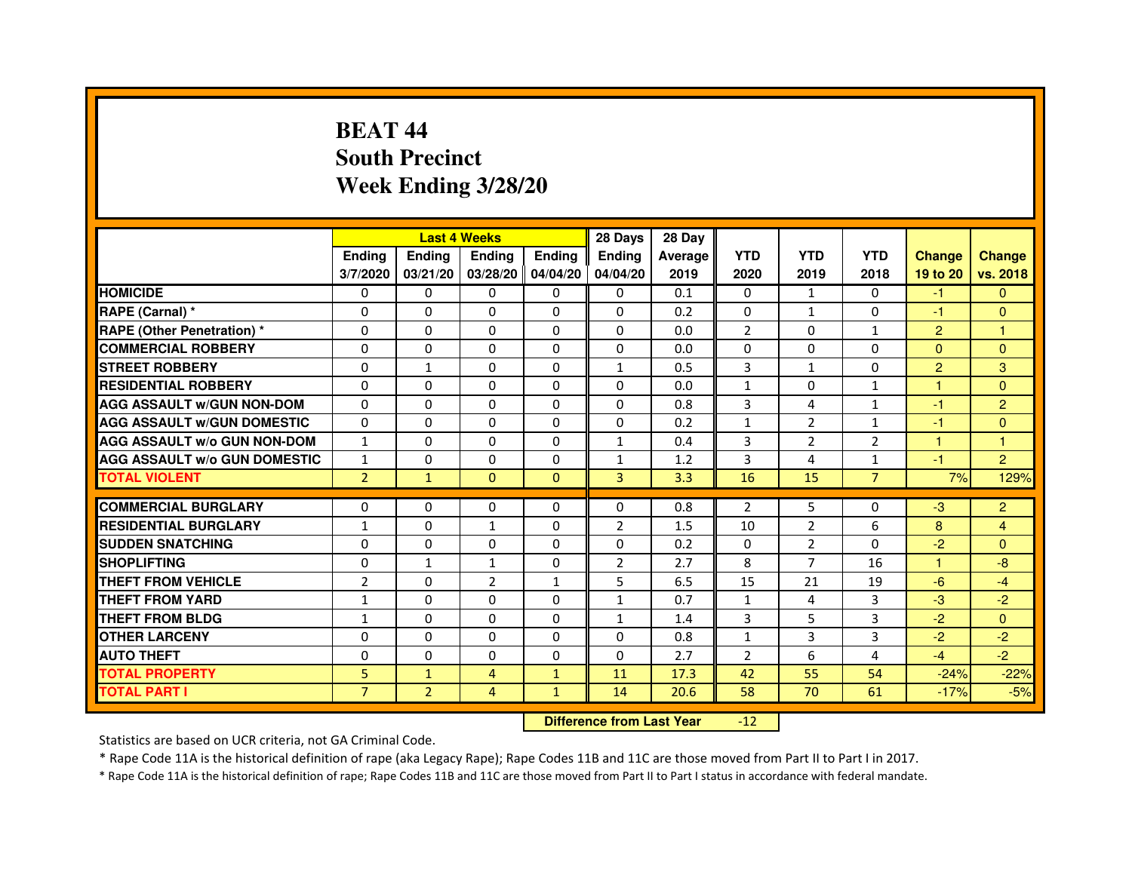# **BEAT 44 South PrecinctWeek Ending 3/28/20**

|                                     |                |                | <b>Last 4 Weeks</b> |               | 28 Days        | 28 Day  |                |                |                |                |                |
|-------------------------------------|----------------|----------------|---------------------|---------------|----------------|---------|----------------|----------------|----------------|----------------|----------------|
|                                     | <b>Endina</b>  | Ending         | <b>Endina</b>       | <b>Ending</b> | <b>Endina</b>  | Average | <b>YTD</b>     | <b>YTD</b>     | <b>YTD</b>     | <b>Change</b>  | <b>Change</b>  |
|                                     | 3/7/2020       | 03/21/20       | 03/28/20 04/04/20   |               | 04/04/20       | 2019    | 2020           | 2019           | 2018           | 19 to 20       | vs. 2018       |
| <b>HOMICIDE</b>                     | 0              | 0              | $\mathbf{0}$        | 0             | 0              | 0.1     | $\mathbf{0}$   | $\mathbf{1}$   | $\mathbf{0}$   | $-1$           | $\mathbf{0}$   |
| RAPE (Carnal) *                     | $\Omega$       | $\Omega$       | $\Omega$            | $\Omega$      | $\Omega$       | 0.2     | $\Omega$       | $\mathbf{1}$   | $\Omega$       | $-1$           | $\Omega$       |
| <b>RAPE (Other Penetration) *</b>   | $\Omega$       | $\Omega$       | $\Omega$            | $\Omega$      | 0              | 0.0     | $\overline{2}$ | $\Omega$       | $\mathbf{1}$   | $\overline{2}$ | $\mathbf{1}$   |
| <b>COMMERCIAL ROBBERY</b>           | 0              | 0              | 0                   | 0             | 0              | 0.0     | 0              | 0              | $\Omega$       | $\Omega$       | $\Omega$       |
| <b>STREET ROBBERY</b>               | 0              | 1              | $\Omega$            | 0             | $\mathbf{1}$   | 0.5     | 3              | 1              | $\Omega$       | 2              | 3              |
| <b>RESIDENTIAL ROBBERY</b>          | 0              | 0              | 0                   | 0             | 0              | 0.0     | 1              | $\Omega$       | $\mathbf{1}$   | $\mathbf{1}$   | $\Omega$       |
| <b>AGG ASSAULT w/GUN NON-DOM</b>    | $\Omega$       | $\Omega$       | $\mathbf 0$         | 0             | $\Omega$       | 0.8     | 3              | 4              | $\mathbf{1}$   | $-1$           | $\overline{2}$ |
| <b>AGG ASSAULT W/GUN DOMESTIC</b>   | $\Omega$       | 0              | 0                   | 0             | 0              | 0.2     | $\mathbf{1}$   | $\overline{2}$ | $\mathbf{1}$   | $-1$           | $\Omega$       |
| <b>AGG ASSAULT W/o GUN NON-DOM</b>  | $\mathbf{1}$   | $\Omega$       | $\Omega$            | 0             | 1              | 0.4     | 3              | $\overline{2}$ | $\overline{2}$ | $\mathbf{1}$   | 1              |
| <b>AGG ASSAULT W/o GUN DOMESTIC</b> | $\mathbf{1}$   | $\Omega$       | $\Omega$            | 0             | $\mathbf{1}$   | 1.2     | 3              | 4              | $\mathbf{1}$   | $-1$           | $\overline{2}$ |
| <b>TOTAL VIOLENT</b>                | $\overline{2}$ | $\mathbf{1}$   | $\Omega$            | $\Omega$      | 3              | 3.3     | 16             | 15             | $\overline{7}$ | 7%             | 129%           |
|                                     |                |                |                     |               |                |         |                |                |                |                |                |
| <b>COMMERCIAL BURGLARY</b>          | 0              | 0              | 0                   | 0             | 0              | 0.8     | $\overline{2}$ | 5.             | $\Omega$       | $-3$           | $\overline{2}$ |
| <b>RESIDENTIAL BURGLARY</b>         | $\mathbf{1}$   | 0              | $\mathbf{1}$        | 0             | $\overline{2}$ | 1.5     | 10             | 2              | 6              | 8              | 4              |
| <b>SUDDEN SNATCHING</b>             | 0              | $\Omega$       | 0                   | 0             | 0              | 0.2     | 0              | $\overline{2}$ | $\Omega$       | $-2$           | $\Omega$       |
| <b>SHOPLIFTING</b>                  | $\Omega$       | $\mathbf{1}$   | $\mathbf{1}$        | 0             | $\overline{2}$ | 2.7     | 8              | $\overline{7}$ | 16             | $\mathbf{1}$   | -8             |
| <b>THEFT FROM VEHICLE</b>           | $\overline{2}$ | $\Omega$       | $\overline{2}$      | $\mathbf{1}$  | 5              | 6.5     | 15             | 21             | 19             | $-6$           | $-4$           |
| <b>THEFT FROM YARD</b>              | $\mathbf{1}$   | 0              | $\Omega$            | $\Omega$      | 1              | 0.7     | $\mathbf{1}$   | 4              | 3              | $-3$           | $-2$           |
| <b>THEFT FROM BLDG</b>              | $\mathbf{1}$   | 0              | 0                   | 0             | 1              | 1.4     | 3              | 5              | 3              | $-2$           | $\Omega$       |
| <b>OTHER LARCENY</b>                | 0              | $\Omega$       | $\Omega$            | 0             | $\Omega$       | 0.8     | $\mathbf{1}$   | 3              | 3              | $-2$           | $-2$           |
| <b>AUTO THEFT</b>                   | $\mathbf 0$    | $\mathbf 0$    | $\Omega$            | 0             | $\Omega$       | 2.7     | $\overline{2}$ | 6              | 4              | $-4$           | $-2$           |
| <b>TOTAL PROPERTY</b>               | 5              | $\mathbf{1}$   | 4                   | $\mathbf{1}$  | 11             | 17.3    | 42             | 55             | 54             | $-24%$         | $-22%$         |
| <b>TOTAL PART I</b>                 | $\overline{7}$ | $\overline{2}$ | 4                   | $\mathbf{1}$  | 14             | 20.6    | 58             | 70             | 61             | $-17%$         | $-5%$          |

 **Difference from Last Year**-12

Statistics are based on UCR criteria, not GA Criminal Code.

\* Rape Code 11A is the historical definition of rape (aka Legacy Rape); Rape Codes 11B and 11C are those moved from Part II to Part I in 2017.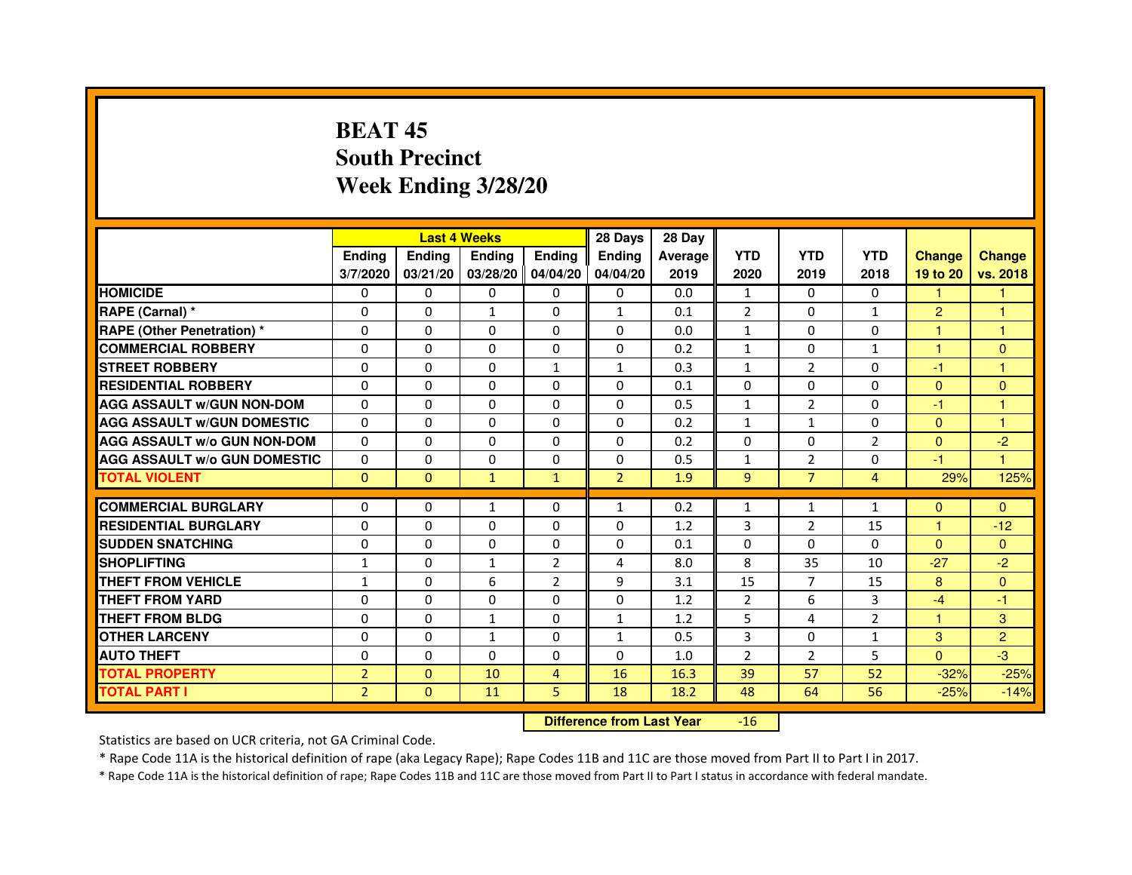# **BEAT 45 South PrecinctWeek Ending 3/28/20**

|                                     |                |              | <b>Last 4 Weeks</b> |                | 28 Days        | 28 Day  |                |                |                |                |                |
|-------------------------------------|----------------|--------------|---------------------|----------------|----------------|---------|----------------|----------------|----------------|----------------|----------------|
|                                     | <b>Endina</b>  | Ending       | <b>Endina</b>       | <b>Ending</b>  | <b>Endina</b>  | Average | <b>YTD</b>     | <b>YTD</b>     | <b>YTD</b>     | <b>Change</b>  | <b>Change</b>  |
|                                     | 3/7/2020       | 03/21/20     | 03/28/20 04/04/20   |                | 04/04/20       | 2019    | 2020           | 2019           | 2018           | 19 to 20       | vs. 2018       |
| <b>HOMICIDE</b>                     | 0              | 0            | 0                   | 0              | 0              | 0.0     | $\mathbf{1}$   | 0              | $\mathbf{0}$   | 1              |                |
| RAPE (Carnal) *                     | $\Omega$       | $\Omega$     | $\mathbf{1}$        | $\Omega$       | $\mathbf{1}$   | 0.1     | $\overline{2}$ | $\Omega$       | $\mathbf{1}$   | $\overline{2}$ | $\mathbf{1}$   |
| <b>RAPE (Other Penetration)*</b>    | $\Omega$       | $\Omega$     | $\Omega$            | $\Omega$       | 0              | 0.0     | $\mathbf{1}$   | $\Omega$       | $\Omega$       | 1              | $\mathbf{1}$   |
| <b>COMMERCIAL ROBBERY</b>           | 0              | 0            | 0                   | 0              | 0              | 0.2     | $\mathbf{1}$   | 0              | 1              | 1              | $\Omega$       |
| <b>STREET ROBBERY</b>               | $\Omega$       | 0            | $\Omega$            | $\mathbf{1}$   | 1              | 0.3     | $\mathbf{1}$   | $\overline{2}$ | 0              | $-1$           | 1              |
| <b>RESIDENTIAL ROBBERY</b>          | 0              | $\Omega$     | 0                   | 0              | 0              | 0.1     | $\Omega$       | $\Omega$       | $\Omega$       | $\Omega$       | $\Omega$       |
| <b>AGG ASSAULT w/GUN NON-DOM</b>    | $\Omega$       | $\Omega$     | $\mathbf 0$         | 0              | $\Omega$       | 0.5     | $\mathbf{1}$   | $\overline{2}$ | $\Omega$       | $-1$           | 1              |
| <b>AGG ASSAULT W/GUN DOMESTIC</b>   | $\Omega$       | 0            | 0                   | 0              | 0              | 0.2     | $\mathbf{1}$   | $\mathbf{1}$   | $\Omega$       | $\Omega$       | 1              |
| <b>AGG ASSAULT W/o GUN NON-DOM</b>  | $\Omega$       | $\Omega$     | $\Omega$            | $\Omega$       | $\Omega$       | 0.2     | $\Omega$       | $\Omega$       | $\overline{2}$ | $\Omega$       | $-2$           |
| <b>AGG ASSAULT W/o GUN DOMESTIC</b> | $\Omega$       | $\Omega$     | $\Omega$            | 0              | 0              | 0.5     | $\mathbf{1}$   | $\overline{2}$ | 0              | $-1$           | 1              |
| <b>TOTAL VIOLENT</b>                | $\Omega$       | $\Omega$     | $\mathbf{1}$        | $\mathbf{1}$   | $\overline{2}$ | 1.9     | 9              | $\overline{7}$ | $\overline{4}$ | 29%            | 125%           |
|                                     |                |              |                     |                |                |         |                |                |                |                |                |
| <b>COMMERCIAL BURGLARY</b>          | 0              | 0            | $\mathbf{1}$        | 0              | 1              | 0.2     | $\mathbf{1}$   | $\mathbf{1}$   | $\mathbf{1}$   | $\Omega$       | $\Omega$       |
| <b>RESIDENTIAL BURGLARY</b>         | 0              | 0            | 0                   | 0              | 0              | 1.2     | 3              | 2              | 15             | 1              | $-12$          |
| <b>SUDDEN SNATCHING</b>             | $\Omega$       | $\Omega$     | 0                   | 0              | 0              | 0.1     | 0              | $\Omega$       | $\Omega$       | $\Omega$       | $\Omega$       |
| <b>SHOPLIFTING</b>                  | $\mathbf{1}$   | $\mathbf 0$  | $\mathbf{1}$        | $\overline{2}$ | 4              | 8.0     | 8              | 35             | 10             | $-27$          | $-2$           |
| <b>THEFT FROM VEHICLE</b>           | $\mathbf{1}$   | $\Omega$     | 6                   | $\overline{2}$ | 9              | 3.1     | 15             | $\overline{7}$ | 15             | 8              | $\Omega$       |
| <b>THEFT FROM YARD</b>              | 0              | $\Omega$     | $\Omega$            | $\Omega$       | $\Omega$       | 1.2     | $\overline{2}$ | 6              | 3              | $-4$           | $-1$           |
| <b>THEFT FROM BLDG</b>              | $\Omega$       | 0            | $\mathbf{1}$        | 0              | 1              | 1.2     | 5              | 4              | $\overline{2}$ | 1.             | 3              |
| <b>OTHER LARCENY</b>                | 0              | $\Omega$     | $\mathbf{1}$        | 0              | 1              | 0.5     | 3              | $\Omega$       | $\mathbf{1}$   | 3              | $\overline{2}$ |
| <b>AUTO THEFT</b>                   | $\mathbf 0$    | $\mathbf 0$  | $\Omega$            | 0              | $\Omega$       | 1.0     | $\overline{2}$ | $\overline{2}$ | 5              | $\Omega$       | -3             |
| <b>TOTAL PROPERTY</b>               | $\overline{2}$ | $\mathbf{0}$ | 10                  | $\overline{4}$ | 16             | 16.3    | 39             | 57             | 52             | $-32%$         | $-25%$         |
| <b>TOTAL PART I</b>                 | $\overline{2}$ | $\mathbf{0}$ | 11                  | 5              | 18             | 18.2    | 48             | 64             | 56             | $-25%$         | $-14%$         |

 **Difference from Last Year**-16

Statistics are based on UCR criteria, not GA Criminal Code.

\* Rape Code 11A is the historical definition of rape (aka Legacy Rape); Rape Codes 11B and 11C are those moved from Part II to Part I in 2017.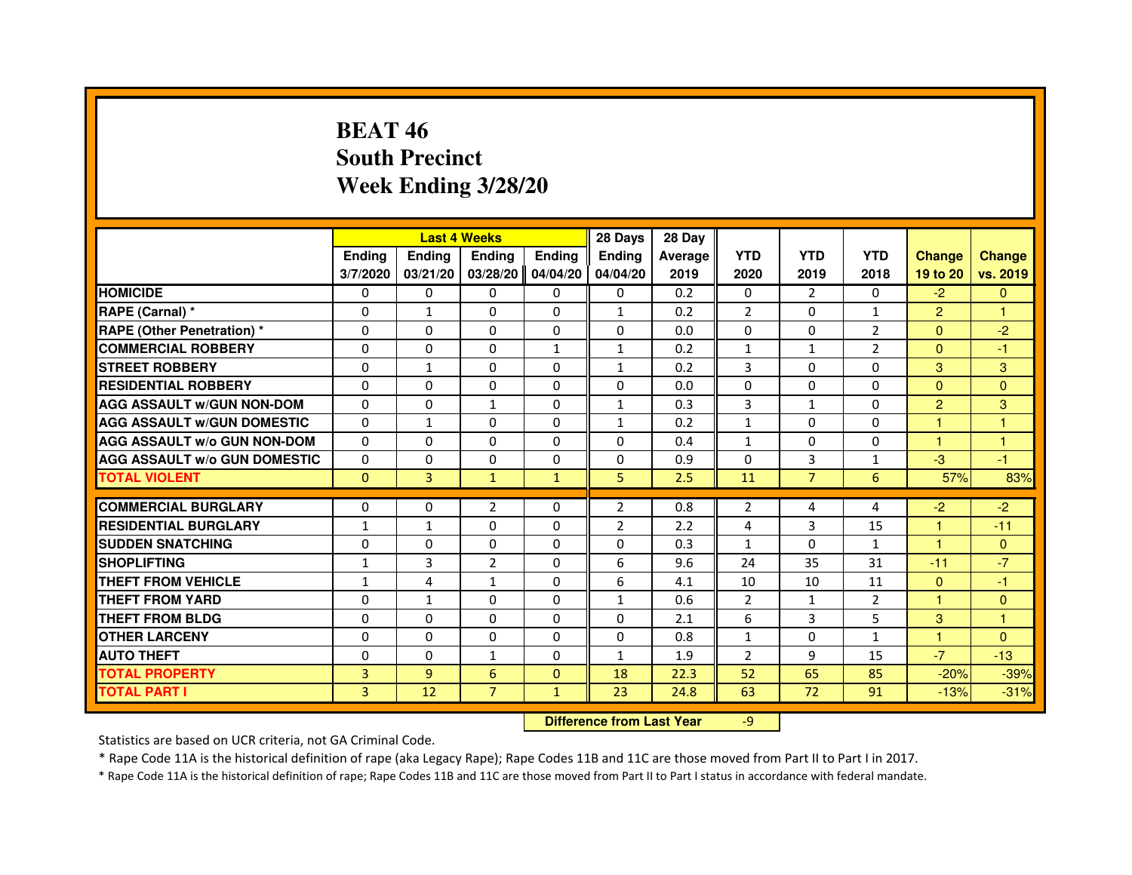# **BEAT 46 South PrecinctWeek Ending 3/28/20**

|                                     |                |                                  | <b>Last 4 Weeks</b> |               | 28 Days        | 28 Day  |                |                |                |                      |               |
|-------------------------------------|----------------|----------------------------------|---------------------|---------------|----------------|---------|----------------|----------------|----------------|----------------------|---------------|
|                                     | <b>Ending</b>  | <b>Ending</b>                    | <b>Ending</b>       | <b>Ending</b> | Ending         | Average | <b>YTD</b>     | <b>YTD</b>     | <b>YTD</b>     | <b>Change</b>        | <b>Change</b> |
|                                     | 3/7/2020       | 03/21/20                         | 03/28/20            | 04/04/20      | 04/04/20       | 2019    | 2020           | 2019           | 2018           | 19 to 20             | vs. 2019      |
| <b>HOMICIDE</b>                     | $\Omega$       | $\Omega$                         | $\Omega$            | $\Omega$      | $\mathbf{0}$   | 0.2     | $\Omega$       | 2              | $\Omega$       | $-2$                 | $\mathbf{0}$  |
| RAPE (Carnal) *                     | 0              | $\mathbf{1}$                     | 0                   | $\Omega$      | $\mathbf{1}$   | 0.2     | $\overline{2}$ | $\mathbf{0}$   | $\mathbf{1}$   | $\overline{2}$       | $\mathbf{1}$  |
| <b>RAPE (Other Penetration) *</b>   | $\Omega$       | $\Omega$                         | $\Omega$            | $\Omega$      | $\Omega$       | 0.0     | $\Omega$       | $\Omega$       | $\overline{2}$ | $\Omega$             | $-2$          |
| <b>COMMERCIAL ROBBERY</b>           | $\Omega$       | 0                                | $\Omega$            | $\mathbf{1}$  | $\mathbf{1}$   | 0.2     | $\mathbf{1}$   | $\mathbf{1}$   | $\overline{2}$ | $\Omega$             | $-1$          |
| <b>STREET ROBBERY</b>               | $\Omega$       | $\mathbf{1}$                     | $\Omega$            | $\Omega$      | $\mathbf{1}$   | 0.2     | 3              | $\Omega$       | $\Omega$       | 3                    | 3             |
| <b>RESIDENTIAL ROBBERY</b>          | $\Omega$       | $\Omega$                         | $\Omega$            | $\Omega$      | $\Omega$       | 0.0     | $\Omega$       | $\Omega$       | $\Omega$       | $\Omega$             | $\Omega$      |
| <b>AGG ASSAULT w/GUN NON-DOM</b>    | $\Omega$       | $\Omega$                         | $\mathbf{1}$        | $\Omega$      | $\mathbf{1}$   | 0.3     | 3              | $\mathbf{1}$   | $\Omega$       | $\overline{2}$       | 3             |
| <b>AGG ASSAULT w/GUN DOMESTIC</b>   | $\Omega$       | $\mathbf{1}$                     | $\Omega$            | $\Omega$      | $\mathbf{1}$   | 0.2     | $\mathbf{1}$   | $\Omega$       | $\Omega$       | $\mathbf{1}$         | $\mathbf{1}$  |
| <b>AGG ASSAULT W/o GUN NON-DOM</b>  | $\Omega$       | $\Omega$                         | $\Omega$            | 0             | $\Omega$       | 0.4     | $\mathbf{1}$   | 0              | 0              | $\mathbf{1}$         | 1             |
| <b>AGG ASSAULT w/o GUN DOMESTIC</b> | $\Omega$       | 0                                | $\Omega$            | $\Omega$      | $\Omega$       | 0.9     | $\Omega$       | 3              | 1              | $-3$                 | $-1$          |
| <b>TOTAL VIOLENT</b>                | $\mathbf{0}$   | 3                                | $\mathbf{1}$        | $\mathbf{1}$  | 5              | 2.5     | 11             | $\overline{7}$ | 6              | 57%                  | 83%           |
| <b>COMMERCIAL BURGLARY</b>          | $\Omega$       | 0                                | $\overline{2}$      | 0             | 2              | 0.8     | 2              | 4              | 4              | $-2$                 | $-2$          |
| <b>RESIDENTIAL BURGLARY</b>         | $\mathbf{1}$   | $\mathbf{1}$                     | $\Omega$            | $\Omega$      | $\overline{2}$ | 2.2     | 4              | 3              | 15             | $\mathbf{1}$         | $-11$         |
| <b>SUDDEN SNATCHING</b>             | $\Omega$       | $\Omega$                         | $\Omega$            | $\Omega$      | $\Omega$       | 0.3     | $\mathbf{1}$   | $\Omega$       | $\mathbf{1}$   | $\blacktriangleleft$ | $\mathbf{0}$  |
| <b>SHOPLIFTING</b>                  | $\mathbf{1}$   | 3                                | $\overline{2}$      | 0             | 6              | 9.6     | 24             | 35             | 31             | $-11$                | $-7$          |
| <b>THEFT FROM VEHICLE</b>           | $\mathbf{1}$   | 4                                | $\mathbf{1}$        | $\Omega$      | 6              | 4.1     | 10             | 10             | 11             | $\mathbf{0}$         | -1            |
| <b>THEFT FROM YARD</b>              | 0              | $\mathbf{1}$                     | $\Omega$            | 0             | $\mathbf{1}$   | 0.6     | $\overline{2}$ | $\mathbf{1}$   | $\overline{2}$ | $\mathbf{1}$         | $\mathbf{0}$  |
| <b>THEFT FROM BLDG</b>              | $\Omega$       | $\Omega$                         | $\Omega$            | $\Omega$      | $\Omega$       | 2.1     | 6              | 3              | 5              | 3                    | $\mathbf{1}$  |
| <b>OTHER LARCENY</b>                | $\Omega$       | $\Omega$                         | $\Omega$            | $\Omega$      | $\Omega$       | 0.8     | $\mathbf{1}$   | $\Omega$       | $\mathbf{1}$   | $\mathbf{1}$         | $\Omega$      |
| <b>AUTO THEFT</b>                   | $\Omega$       | $\Omega$                         | $\mathbf{1}$        | $\Omega$      | $\mathbf{1}$   | 1.9     | $\overline{2}$ | 9              | 15             | $-7$                 | $-13$         |
| <b>TOTAL PROPERTY</b>               | $\overline{3}$ | $\overline{9}$                   | 6                   | $\Omega$      | 18             | 22.3    | 52             | 65             | 85             | $-20%$               | $-39%$        |
| <b>TOTAL PART I</b>                 | $\overline{3}$ | 12                               | $\overline{7}$      | $\mathbf{1}$  | 23             | 24.8    | 63             | 72             | 91             | $-13%$               | $-31%$        |
|                                     |                | <b>Difference from Last Year</b> |                     | $-9$          |                |         |                |                |                |                      |               |

 **Difference from Last Year**

Statistics are based on UCR criteria, not GA Criminal Code.

\* Rape Code 11A is the historical definition of rape (aka Legacy Rape); Rape Codes 11B and 11C are those moved from Part II to Part I in 2017.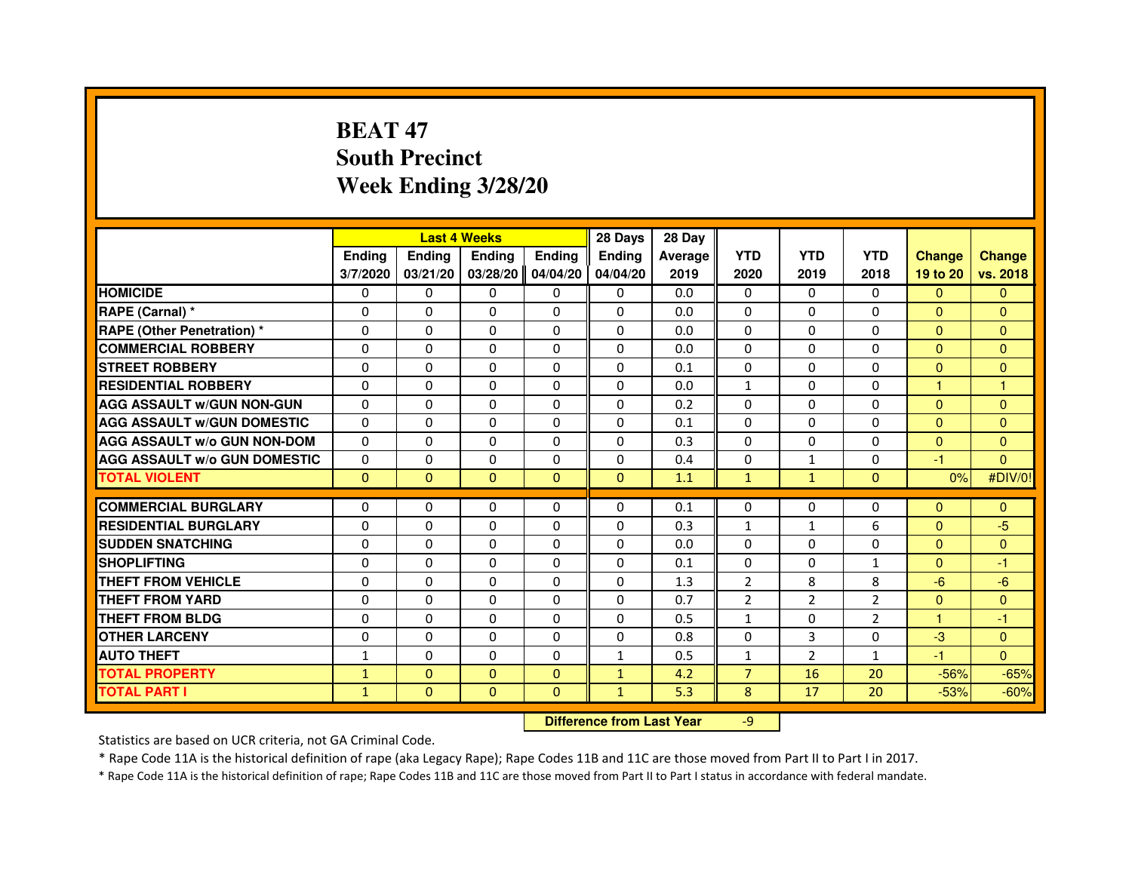# **BEAT 47 South PrecinctWeek Ending 3/28/20**

|                                     |               |                                  | <b>Last 4 Weeks</b> |               | 28 Days      | 28 Day  |                |                |                |                      |                |
|-------------------------------------|---------------|----------------------------------|---------------------|---------------|--------------|---------|----------------|----------------|----------------|----------------------|----------------|
|                                     | <b>Ending</b> | <b>Ending</b>                    | <b>Ending</b>       | <b>Ending</b> | Ending       | Average | <b>YTD</b>     | <b>YTD</b>     | <b>YTD</b>     | <b>Change</b>        | <b>Change</b>  |
|                                     | 3/7/2020      | 03/21/20                         | 03/28/20            | 04/04/20      | 04/04/20     | 2019    | 2020           | 2019           | 2018           | 19 to 20             | vs. 2018       |
| <b>HOMICIDE</b>                     | $\Omega$      | $\Omega$                         | $\Omega$            | $\Omega$      | $\Omega$     | 0.0     | $\Omega$       | $\Omega$       | $\Omega$       | $\Omega$             | $\mathbf{0}$   |
| RAPE (Carnal) *                     | 0             | $\Omega$                         | $\Omega$            | $\Omega$      | $\Omega$     | 0.0     | $\Omega$       | $\Omega$       | $\Omega$       | $\mathbf{0}$         | $\mathbf{0}$   |
| <b>RAPE (Other Penetration) *</b>   | $\Omega$      | $\Omega$                         | $\Omega$            | $\Omega$      | $\Omega$     | 0.0     | $\Omega$       | $\Omega$       | $\Omega$       | $\Omega$             | $\Omega$       |
| <b>COMMERCIAL ROBBERY</b>           | 0             | $\Omega$                         | $\Omega$            | $\Omega$      | $\Omega$     | 0.0     | $\Omega$       | $\Omega$       | $\Omega$       | $\Omega$             | $\mathbf{0}$   |
| <b>STREET ROBBERY</b>               | $\Omega$      | $\Omega$                         | $\Omega$            | $\Omega$      | $\Omega$     | 0.1     | $\Omega$       | $\Omega$       | $\Omega$       | $\overline{0}$       | $\mathbf{0}$   |
| <b>RESIDENTIAL ROBBERY</b>          | $\Omega$      | $\Omega$                         | $\Omega$            | $\Omega$      | $\Omega$     | 0.0     | $\mathbf{1}$   | $\Omega$       | $\Omega$       | $\blacktriangleleft$ | $\mathbf{1}$   |
| <b>AGG ASSAULT w/GUN NON-GUN</b>    | $\Omega$      | $\Omega$                         | $\Omega$            | $\Omega$      | $\Omega$     | 0.2     | $\Omega$       | $\Omega$       | $\Omega$       | $\Omega$             | $\mathbf{0}$   |
| <b>AGG ASSAULT w/GUN DOMESTIC</b>   | $\Omega$      | $\Omega$                         | $\Omega$            | $\Omega$      | $\Omega$     | 0.1     | $\Omega$       | $\Omega$       | $\Omega$       | $\Omega$             | $\mathbf{0}$   |
| <b>AGG ASSAULT W/o GUN NON-DOM</b>  | $\Omega$      | $\Omega$                         | $\Omega$            | 0             | $\Omega$     | 0.3     | $\Omega$       | 0              | 0              | $\Omega$             | $\mathbf{0}$   |
| <b>AGG ASSAULT w/o GUN DOMESTIC</b> | $\Omega$      | 0                                | $\Omega$            | $\Omega$      | $\Omega$     | 0.4     | $\Omega$       | $\mathbf{1}$   | $\Omega$       | -1                   | $\Omega$       |
| <b>TOTAL VIOLENT</b>                | $\mathbf{0}$  | $\mathbf{0}$                     | $\mathbf{0}$        | $\mathbf{0}$  | $\mathbf{0}$ | 1.1     | $\mathbf{1}$   | $\mathbf{1}$   | $\mathbf{0}$   | 0%                   | #DIV/0!        |
| <b>COMMERCIAL BURGLARY</b>          | $\Omega$      | 0                                | 0                   | 0             | $\Omega$     | 0.1     | $\Omega$       | 0              | 0              | $\Omega$             | $\Omega$       |
| <b>RESIDENTIAL BURGLARY</b>         | $\Omega$      | $\Omega$                         | $\Omega$            | $\Omega$      | $\Omega$     | 0.3     | $\mathbf{1}$   | $\mathbf{1}$   | 6              | $\Omega$             | $-5$           |
| <b>SUDDEN SNATCHING</b>             | $\Omega$      | $\Omega$                         | $\Omega$            | $\Omega$      | $\Omega$     | 0.0     | $\Omega$       | $\Omega$       | $\Omega$       | $\Omega$             | $\Omega$       |
| <b>SHOPLIFTING</b>                  | 0             | 0                                | 0                   | 0             | 0            | 0.1     | 0              | 0              | $\mathbf{1}$   | $\mathbf{0}$         | $-1$           |
| <b>THEFT FROM VEHICLE</b>           | $\Omega$      | $\Omega$                         | $\Omega$            | $\Omega$      | $\Omega$     | 1.3     | $\overline{2}$ | 8              | 8              | $-6$                 | $-6$           |
| <b>THEFT FROM YARD</b>              | 0             | $\Omega$                         | $\Omega$            | 0             | 0            | 0.7     | $\overline{2}$ | $\overline{2}$ | $\overline{2}$ | $\overline{0}$       | $\overline{0}$ |
| <b>THEFT FROM BLDG</b>              | $\Omega$      | $\Omega$                         | $\Omega$            | $\Omega$      | $\Omega$     | 0.5     | $\mathbf{1}$   | $\Omega$       | 2              | $\mathbf{1}$         | $-1$           |
| <b>OTHER LARCENY</b>                | $\Omega$      | $\Omega$                         | $\Omega$            | $\Omega$      | $\Omega$     | 0.8     | $\Omega$       | 3              | $\Omega$       | $-3$                 | $\Omega$       |
| <b>AUTO THEFT</b>                   | $\mathbf{1}$  | $\Omega$                         | $\Omega$            | $\Omega$      | $\mathbf{1}$ | 0.5     | $\mathbf{1}$   | $\overline{2}$ | $\mathbf{1}$   | $-1$                 | $\Omega$       |
| <b>TOTAL PROPERTY</b>               | $\mathbf{1}$  | $\Omega$                         | $\Omega$            | $\Omega$      | $\mathbf{1}$ | 4.2     | $\overline{7}$ | 16             | 20             | $-56%$               | $-65%$         |
| <b>TOTAL PART I</b>                 | $\mathbf{1}$  | $\mathbf{0}$                     | $\mathbf{0}$        | $\mathbf{0}$  | $\mathbf{1}$ | 5.3     | 8              | 17             | 20             | $-53%$               | $-60%$         |
|                                     |               | <b>Difference from Last Year</b> |                     | $-9$          |              |         |                |                |                |                      |                |

 **Difference from Last Year**

Statistics are based on UCR criteria, not GA Criminal Code.

\* Rape Code 11A is the historical definition of rape (aka Legacy Rape); Rape Codes 11B and 11C are those moved from Part II to Part I in 2017.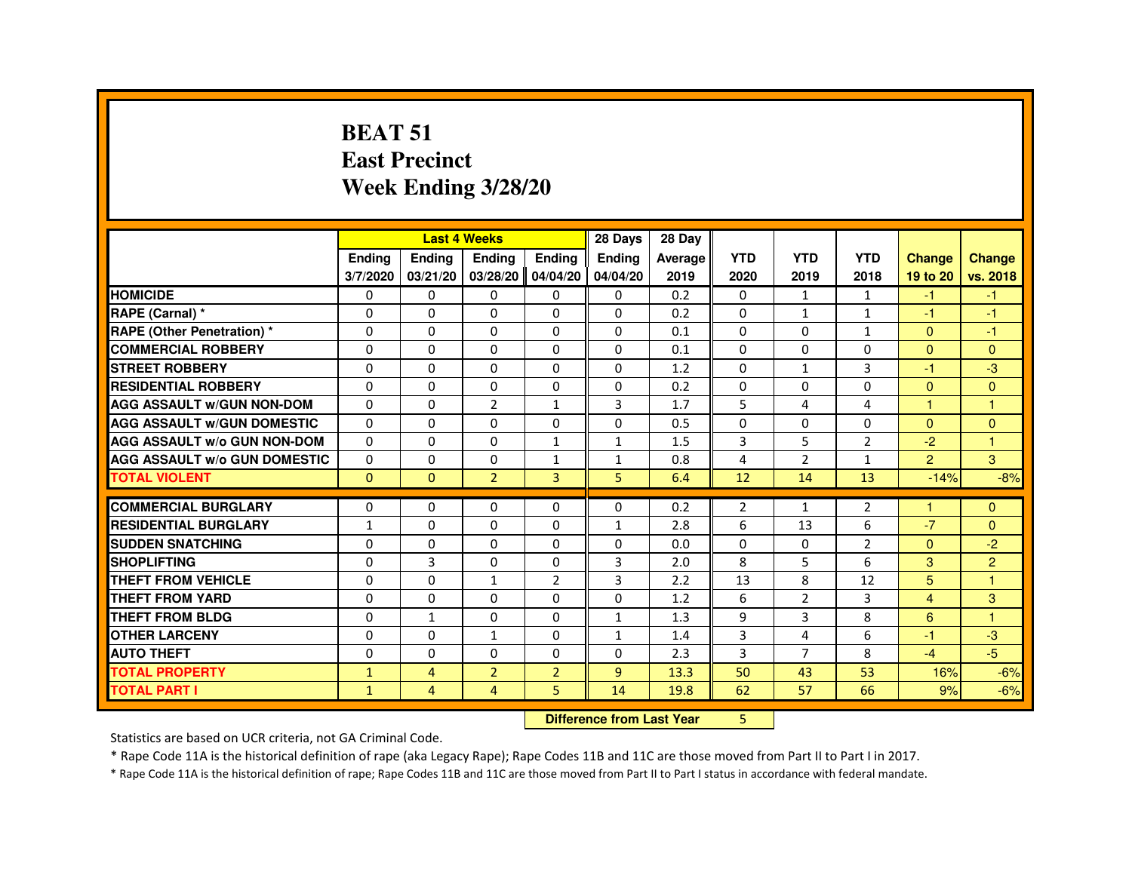#### **BEAT 51 East PrecinctWeek Ending 3/28/20**

|                                     |               |                | <b>Last 4 Weeks</b> |                | 28 Days                          | 28 Day  |                |                |                |                |                      |
|-------------------------------------|---------------|----------------|---------------------|----------------|----------------------------------|---------|----------------|----------------|----------------|----------------|----------------------|
|                                     | <b>Ending</b> | Ending         | Ending              | <b>Ending</b>  | Ending                           | Average | <b>YTD</b>     | <b>YTD</b>     | <b>YTD</b>     | <b>Change</b>  | <b>Change</b>        |
|                                     | 3/7/2020      | 03/21/20       | 03/28/20            | 04/04/20       | 04/04/20                         | 2019    | 2020           | 2019           | 2018           | 19 to 20       | vs. 2018             |
| <b>HOMICIDE</b>                     | 0             | $\mathbf{0}$   | $\Omega$            | $\mathbf{0}$   | $\mathbf{0}$                     | 0.2     | $\Omega$       | $\mathbf{1}$   | 1              | $-1$           | $-1$                 |
| RAPE (Carnal) *                     | 0             | 0              | 0                   | $\Omega$       | $\Omega$                         | 0.2     | 0              | $\mathbf{1}$   | $\mathbf{1}$   | $-1$           | $-1$                 |
| <b>RAPE (Other Penetration) *</b>   | $\Omega$      | $\Omega$       | $\Omega$            | $\Omega$       | $\Omega$                         | 0.1     | $\Omega$       | $\Omega$       | $\mathbf{1}$   | $\Omega$       | $-1$                 |
| <b>COMMERCIAL ROBBERY</b>           | $\Omega$      | $\Omega$       | $\Omega$            | $\Omega$       | $\Omega$                         | 0.1     | $\Omega$       | $\Omega$       | $\Omega$       | $\Omega$       | $\Omega$             |
| <b>STREET ROBBERY</b>               | $\Omega$      | $\Omega$       | $\Omega$            | $\Omega$       | $\Omega$                         | 1.2     | 0              | $\mathbf{1}$   | 3              | $-1$           | $-3$                 |
| <b>RESIDENTIAL ROBBERY</b>          | 0             | 0              | 0                   | $\Omega$       | $\Omega$                         | 0.2     | 0              | $\Omega$       | 0              | $\mathbf{0}$   | $\overline{0}$       |
| <b>AGG ASSAULT W/GUN NON-DOM</b>    | $\Omega$      | $\Omega$       | $\overline{2}$      | $\mathbf{1}$   | 3                                | 1.7     | 5              | 4              | 4              | $\overline{1}$ | $\overline{1}$       |
| <b>AGG ASSAULT W/GUN DOMESTIC</b>   | $\Omega$      | $\Omega$       | $\Omega$            | $\Omega$       | $\Omega$                         | 0.5     | $\Omega$       | $\Omega$       | 0              | $\Omega$       | $\overline{0}$       |
| <b>AGG ASSAULT W/o GUN NON-DOM</b>  | $\Omega$      | 0              | 0                   | 1              | 1                                | 1.5     | 3              | 5              | $\overline{2}$ | $-2$           | $\blacktriangleleft$ |
| <b>AGG ASSAULT W/o GUN DOMESTIC</b> | $\Omega$      | $\Omega$       | $\Omega$            | $\mathbf{1}$   | $\mathbf{1}$                     | 0.8     | 4              | $\overline{2}$ | $\mathbf{1}$   | $\overline{2}$ | 3                    |
| <b>TOTAL VIOLENT</b>                | $\Omega$      | $\mathbf{0}$   | $\overline{2}$      | 3              | 5                                | 6.4     | 12             | 14             | 13             | $-14%$         | $-8%$                |
| <b>COMMERCIAL BURGLARY</b>          | 0             | 0              | 0                   | $\Omega$       | $\Omega$                         | 0.2     | $\overline{2}$ | $\mathbf{1}$   | $\overline{2}$ | -1             | $\Omega$             |
| <b>RESIDENTIAL BURGLARY</b>         | $\mathbf{1}$  | $\Omega$       | $\Omega$            | $\Omega$       | $\mathbf{1}$                     | 2.8     | 6              | 13             | 6              | $-7$           | $\Omega$             |
| <b>SUDDEN SNATCHING</b>             | $\Omega$      | $\Omega$       | $\Omega$            | $\Omega$       | $\Omega$                         | 0.0     | 0              | $\Omega$       | $\overline{2}$ | $\Omega$       | $-2$                 |
| <b>SHOPLIFTING</b>                  | 0             | 3              | 0                   | $\Omega$       | 3                                | 2.0     | 8              | 5              | 6              | 3              | $\overline{2}$       |
| <b>THEFT FROM VEHICLE</b>           | 0             | $\Omega$       | $\mathbf{1}$        | 2              | 3                                | 2.2     | 13             | 8              | 12             | 5              | $\overline{1}$       |
| <b>THEFT FROM YARD</b>              | $\Omega$      | $\Omega$       | $\Omega$            | $\Omega$       | $\Omega$                         | 1.2     | 6              | $\overline{2}$ | 3              | $\overline{4}$ | 3                    |
| <b>THEFT FROM BLDG</b>              | 0             | $\mathbf{1}$   | $\Omega$            | $\Omega$       | $\mathbf{1}$                     | 1.3     | 9              | 3              | 8              | 6              | $\overline{1}$       |
| <b>OTHER LARCENY</b>                | $\Omega$      | $\Omega$       | $\mathbf{1}$        | $\Omega$       | $\mathbf{1}$                     | 1.4     | $\overline{3}$ | 4              | 6              | $-1$           | $-3$                 |
| <b>AUTO THEFT</b>                   | 0             | 0              | $\Omega$            | $\Omega$       | 0                                | 2.3     | 3              | $\overline{7}$ | 8              | $-4$           | $-5$                 |
| <b>TOTAL PROPERTY</b>               | $\mathbf{1}$  | $\overline{4}$ | $\overline{2}$      | $\overline{2}$ | $\overline{9}$                   | 13.3    | 50             | 43             | 53             | 16%            | $-6%$                |
| <b>TOTAL PART I</b>                 | $\mathbf{1}$  | 4              | $\overline{4}$      | 5              | 14                               | 19.8    | 62             | 57             | 66             | 9%             | $-6%$                |
|                                     |               |                |                     |                | <b>Difference from Last Year</b> |         | 5.             |                |                |                |                      |

 **Difference from Last Year**

Statistics are based on UCR criteria, not GA Criminal Code.

\* Rape Code 11A is the historical definition of rape (aka Legacy Rape); Rape Codes 11B and 11C are those moved from Part II to Part I in 2017.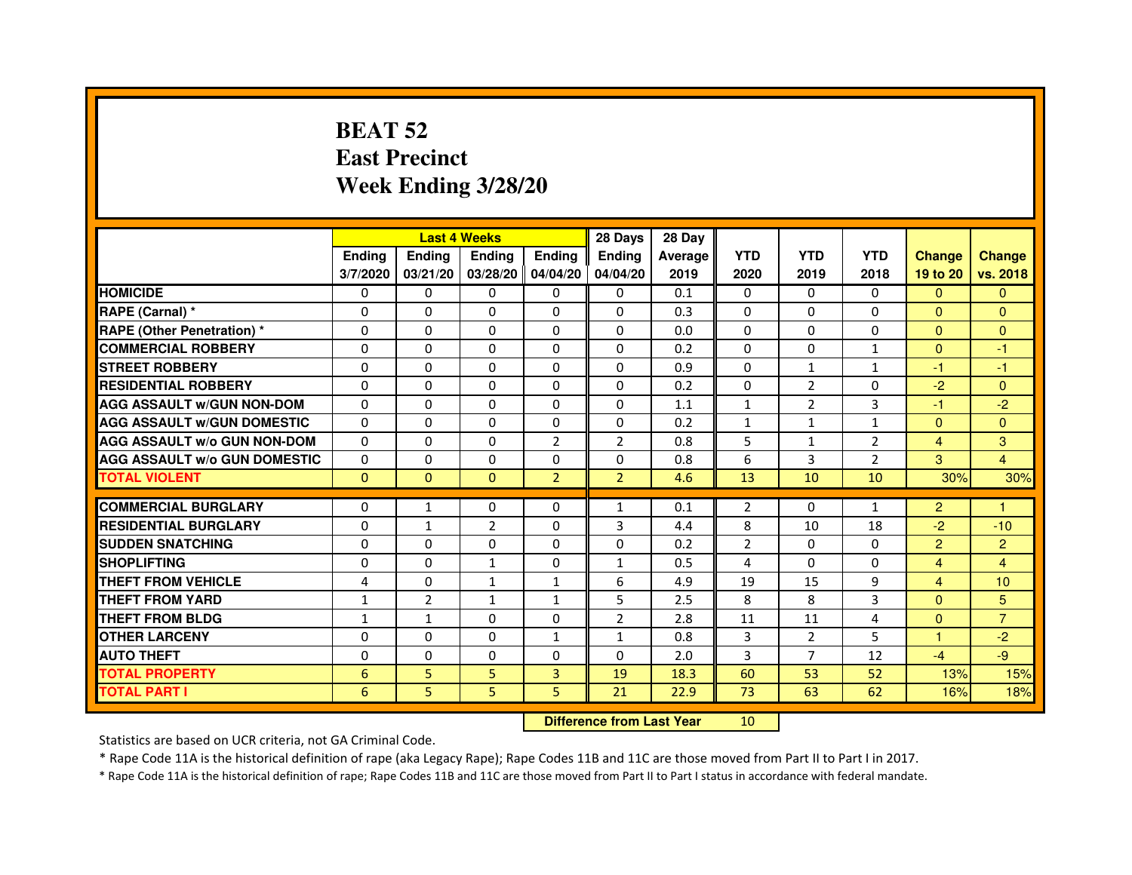# **BEAT 52 East PrecinctWeek Ending 3/28/20**

|                                     |               | <b>Last 4 Weeks</b> |                     |                | 28 Days        | 28 Day  |                |                |                |                |                |
|-------------------------------------|---------------|---------------------|---------------------|----------------|----------------|---------|----------------|----------------|----------------|----------------|----------------|
|                                     | <b>Ending</b> | <b>Ending</b>       | <b>Ending</b>       | <b>Endina</b>  | <b>Endina</b>  | Average | <b>YTD</b>     | <b>YTD</b>     | <b>YTD</b>     | <b>Change</b>  | <b>Change</b>  |
|                                     | 3/7/2020      | 03/21/20            | 03/28/20   04/04/20 |                | 04/04/20       | 2019    | 2020           | 2019           | 2018           | 19 to 20       | vs. 2018       |
| <b>HOMICIDE</b>                     | 0             | 0                   | 0                   | 0              | 0              | 0.1     | $\mathbf{0}$   | 0              | $\Omega$       | $\mathbf{0}$   | $\Omega$       |
| RAPE (Carnal) *                     | $\Omega$      | $\Omega$            | $\Omega$            | $\Omega$       | $\Omega$       | 0.3     | $\Omega$       | $\Omega$       | $\Omega$       | $\Omega$       | $\Omega$       |
| <b>RAPE (Other Penetration) *</b>   | $\Omega$      | $\Omega$            | $\Omega$            | $\Omega$       | $\Omega$       | 0.0     | $\Omega$       | $\Omega$       | $\Omega$       | $\Omega$       | $\Omega$       |
| <b>COMMERCIAL ROBBERY</b>           | 0             | 0                   | $\Omega$            | 0              | $\Omega$       | 0.2     | $\Omega$       | 0              | $\mathbf{1}$   | $\Omega$       | $-1$           |
| <b>STREET ROBBERY</b>               | $\Omega$      | 0                   | $\Omega$            | 0              | 0              | 0.9     | $\Omega$       | 1              | $\mathbf{1}$   | $-1$           | $-1$           |
| <b>RESIDENTIAL ROBBERY</b>          | $\Omega$      | $\Omega$            | $\Omega$            | $\Omega$       | 0              | 0.2     | 0              | $\overline{2}$ | $\Omega$       | $-2$           | $\Omega$       |
| <b>AGG ASSAULT w/GUN NON-DOM</b>    | $\Omega$      | 0                   | $\mathbf 0$         | 0              | $\Omega$       | 1.1     | $\mathbf{1}$   | $\overline{2}$ | 3              | $-1$           | $-2$           |
| <b>AGG ASSAULT W/GUN DOMESTIC</b>   | $\Omega$      | 0                   | $\Omega$            | 0              | 0              | 0.2     | $\mathbf{1}$   | $\mathbf{1}$   | $\mathbf{1}$   | $\Omega$       | $\Omega$       |
| <b>AGG ASSAULT W/o GUN NON-DOM</b>  | $\Omega$      | $\Omega$            | $\Omega$            | 2              | $\overline{2}$ | 0.8     | 5              | $\mathbf{1}$   | $\overline{2}$ | $\overline{4}$ | 3              |
| <b>AGG ASSAULT W/o GUN DOMESTIC</b> | $\Omega$      | $\Omega$            | $\Omega$            | 0              | 0              | 0.8     | 6              | 3              | $\overline{2}$ | 3              | $\overline{4}$ |
| <b>TOTAL VIOLENT</b>                | $\Omega$      | $\Omega$            | $\Omega$            | $\overline{2}$ | $\overline{2}$ | 4.6     | 13             | 10             | 10             | 30%            | 30%            |
|                                     |               |                     |                     |                |                |         |                |                |                |                |                |
| <b>COMMERCIAL BURGLARY</b>          | $\Omega$      | $\mathbf{1}$        | $\Omega$            | $\Omega$       | $\mathbf{1}$   | 0.1     | $\overline{2}$ | 0              | $\mathbf{1}$   | $\overline{2}$ | 1              |
| <b>RESIDENTIAL BURGLARY</b>         | $\Omega$      | 1                   | $\overline{2}$      | 0              | 3              | 4.4     | 8              | 10             | 18             | $-2$           | $-10$          |
| <b>SUDDEN SNATCHING</b>             | $\Omega$      | $\Omega$            | 0                   | 0              | 0              | 0.2     | $\overline{2}$ | $\Omega$       | $\Omega$       | 2              | $\overline{2}$ |
| <b>SHOPLIFTING</b>                  | 0             | $\mathbf 0$         | 1                   | 0              | $\mathbf{1}$   | 0.5     | 4              | $\Omega$       | $\mathbf 0$    | $\overline{4}$ | 4              |
| <b>THEFT FROM VEHICLE</b>           | 4             | $\Omega$            | $\mathbf{1}$        | $\mathbf{1}$   | 6              | 4.9     | 19             | 15             | 9              | $\overline{4}$ | 10             |
| <b>THEFT FROM YARD</b>              | $\mathbf{1}$  | $\overline{2}$      | 1                   | $\mathbf{1}$   | 5              | 2.5     | 8              | 8              | 3              | $\Omega$       | 5              |
| <b>THEFT FROM BLDG</b>              | $\mathbf{1}$  | $\mathbf{1}$        | 0                   | 0              | $\overline{2}$ | 2.8     | 11             | 11             | 4              | $\Omega$       | $\overline{7}$ |
| <b>OTHER LARCENY</b>                | $\Omega$      | $\Omega$            | $\Omega$            | $\mathbf{1}$   | 1              | 0.8     | 3              | $\overline{2}$ | 5              | 1              | $-2$           |
| <b>AUTO THEFT</b>                   | $\mathbf 0$   | $\mathbf 0$         | 0                   | 0              | $\Omega$       | 2.0     | 3              | $\overline{7}$ | 12             | $-4$           | $-9$           |
| <b>TOTAL PROPERTY</b>               | 6             | 5                   | 5                   | 3              | 19             | 18.3    | 60             | 53             | 52             | 13%            | 15%            |
| <b>TOTAL PART I</b>                 | 6             | 5                   | 5                   | 5              | 21             | 22.9    | 73             | 63             | 62             | 16%            | 18%            |

#### **Difference from Last Year**

<sup>10</sup>

Statistics are based on UCR criteria, not GA Criminal Code.

\* Rape Code 11A is the historical definition of rape (aka Legacy Rape); Rape Codes 11B and 11C are those moved from Part II to Part I in 2017.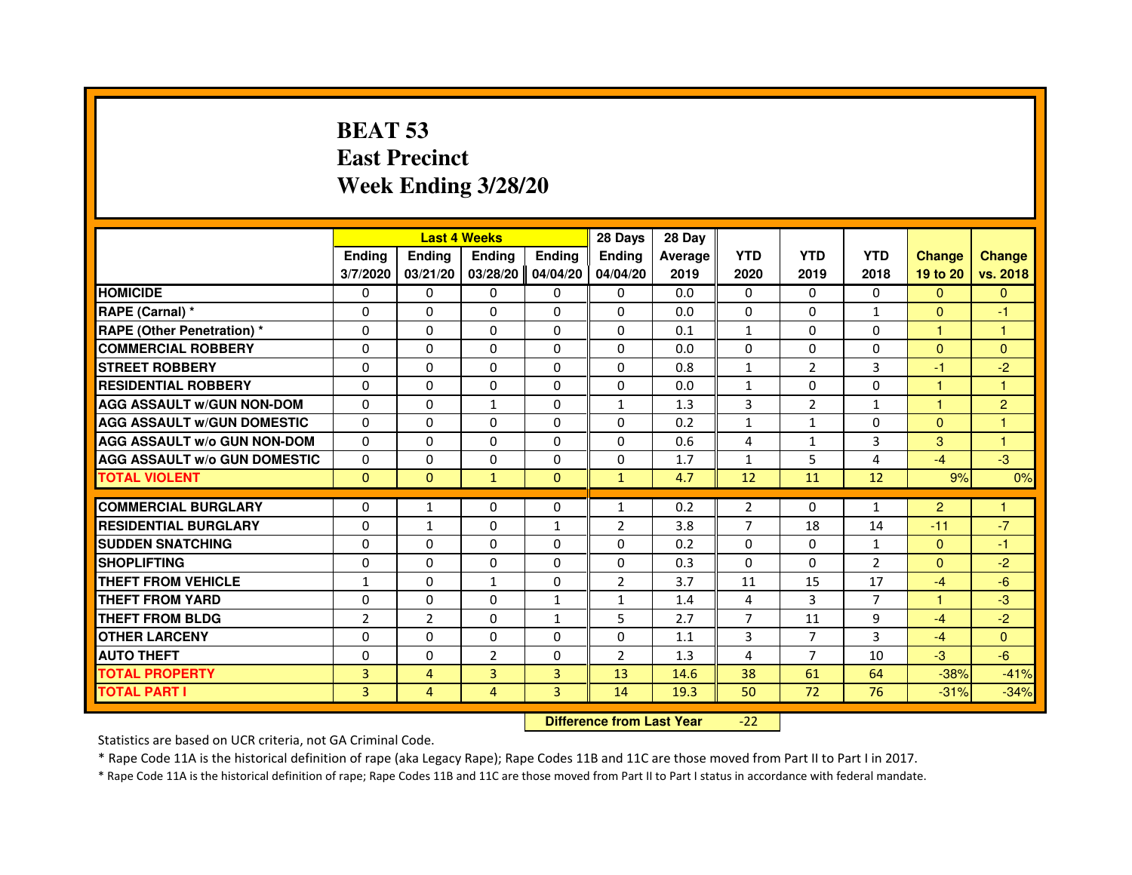# **BEAT 53 East PrecinctWeek Ending 3/28/20**

|                                     |                |                                  | <b>Last 4 Weeks</b> |               | 28 Days        | 28 Day  |                |                |                |                |                |
|-------------------------------------|----------------|----------------------------------|---------------------|---------------|----------------|---------|----------------|----------------|----------------|----------------|----------------|
|                                     | <b>Ending</b>  | Ending                           | Ending              | <b>Ending</b> | <b>Endina</b>  | Average | <b>YTD</b>     | <b>YTD</b>     | <b>YTD</b>     | <b>Change</b>  | <b>Change</b>  |
|                                     | 3/7/2020       | 03/21/20                         | 03/28/20            | 04/04/20      | 04/04/20       | 2019    | 2020           | 2019           | 2018           | 19 to 20       | vs. 2018       |
| <b>HOMICIDE</b>                     | $\Omega$       | $\Omega$                         | $\mathbf{0}$        | $\mathbf{0}$  | $\mathbf{0}$   | 0.0     | $\Omega$       | 0              | $\Omega$       | $\Omega$       | $\mathbf{0}$   |
| RAPE (Carnal) *                     | 0              | $\Omega$                         | $\Omega$            | $\Omega$      | $\Omega$       | 0.0     | $\Omega$       | $\Omega$       | $\mathbf{1}$   | $\Omega$       | $-1$           |
| <b>RAPE (Other Penetration) *</b>   | $\Omega$       | $\Omega$                         | $\Omega$            | $\Omega$      | $\Omega$       | 0.1     | $\mathbf{1}$   | $\Omega$       | $\Omega$       | $\mathbf{1}$   | 1              |
| <b>COMMERCIAL ROBBERY</b>           | 0              | $\Omega$                         | $\Omega$            | $\Omega$      | $\Omega$       | 0.0     | $\Omega$       | $\Omega$       | $\Omega$       | $\mathbf{0}$   | $\overline{0}$ |
| <b>STREET ROBBERY</b>               | $\Omega$       | $\Omega$                         | $\Omega$            | $\Omega$      | $\Omega$       | 0.8     | $\mathbf{1}$   | 2              | 3              | $-1$           | $-2$           |
| <b>RESIDENTIAL ROBBERY</b>          | $\Omega$       | $\Omega$                         | $\Omega$            | $\Omega$      | $\Omega$       | 0.0     | $\mathbf{1}$   | $\Omega$       | $\Omega$       | 1              | 1              |
| <b>AGG ASSAULT w/GUN NON-DOM</b>    | $\Omega$       | $\Omega$                         | $\mathbf{1}$        | $\Omega$      | $\mathbf{1}$   | 1.3     | $\overline{3}$ | $\overline{2}$ | $\mathbf{1}$   | $\mathbf{1}$   | $\overline{2}$ |
| <b>AGG ASSAULT W/GUN DOMESTIC</b>   | $\Omega$       | $\Omega$                         | $\Omega$            | $\Omega$      | $\Omega$       | 0.2     | $\mathbf{1}$   | $\mathbf{1}$   | $\Omega$       | $\Omega$       | 1              |
| <b>AGG ASSAULT w/o GUN NON-DOM</b>  | 0              | 0                                | 0                   | 0             | $\mathbf{0}$   | 0.6     | 4              | $\mathbf{1}$   | 3              | 3              | 1              |
| <b>AGG ASSAULT W/o GUN DOMESTIC</b> | $\Omega$       | 0                                | $\Omega$            | $\Omega$      | $\Omega$       | 1.7     | $\mathbf{1}$   | 5              | 4              | $-4$           | $-3$           |
| <b>TOTAL VIOLENT</b>                | $\mathbf{0}$   | $\mathbf{0}$                     | $\mathbf{1}$        | $\mathbf{0}$  | $\mathbf{1}$   | 4.7     | 12             | 11             | 12             | 9%             | 0%             |
| <b>COMMERCIAL BURGLARY</b>          | $\Omega$       | $\mathbf{1}$                     | 0                   | $\Omega$      | $\mathbf{1}$   | 0.2     | $\overline{2}$ | 0              | $\mathbf{1}$   | $\overline{2}$ | 1              |
| <b>RESIDENTIAL BURGLARY</b>         | $\Omega$       | $\mathbf{1}$                     | $\Omega$            | 1             | $\overline{2}$ | 3.8     | $\overline{7}$ | 18             | 14             | $-11$          | $-7$           |
| <b>SUDDEN SNATCHING</b>             | $\Omega$       | $\Omega$                         | $\Omega$            | $\Omega$      | $\Omega$       | 0.2     | $\Omega$       | $\Omega$       | $\mathbf{1}$   | $\Omega$       | $-1$           |
| <b>SHOPLIFTING</b>                  | 0              | 0                                | 0                   | 0             | 0              | 0.3     | 0              | 0              | 2              | $\Omega$       | $-2$           |
| <b>THEFT FROM VEHICLE</b>           | 1              | $\Omega$                         | 1                   | $\Omega$      | $\overline{2}$ | 3.7     | 11             | 15             | 17             | $-4$           | $-6$           |
| <b>THEFT FROM YARD</b>              | 0              | 0                                | 0                   | $\mathbf{1}$  | $\mathbf{1}$   | 1.4     | 4              | 3              | $\overline{7}$ | $\mathbf{1}$   | $-3$           |
| <b>THEFT FROM BLDG</b>              | $\overline{2}$ | $\overline{2}$                   | $\Omega$            | $\mathbf{1}$  | 5              | 2.7     | $\overline{7}$ | 11             | 9              | $-4$           | $-2$           |
| <b>OTHER LARCENY</b>                | $\Omega$       | $\Omega$                         | $\Omega$            | $\Omega$      | $\Omega$       | 1.1     | 3              | $\overline{7}$ | 3              | $-4$           | $\Omega$       |
| <b>AUTO THEFT</b>                   | $\Omega$       | $\Omega$                         | $\overline{2}$      | $\Omega$      | $\overline{2}$ | 1.3     | 4              | $\overline{7}$ | 10             | $-3$           | $-6$           |
| <b>TOTAL PROPERTY</b>               | $\overline{3}$ | $\overline{4}$                   | $\overline{3}$      | 3             | 13             | 14.6    | 38             | 61             | 64             | $-38%$         | $-41%$         |
| <b>TOTAL PART I</b>                 | $\overline{3}$ | $\overline{4}$                   | $\overline{4}$      | 3             | 14             | 19.3    | 50             | 72             | 76             | $-31%$         | $-34%$         |
|                                     |                | <b>Difference from Last Year</b> |                     | $-22$         |                |         |                |                |                |                |                |

 **Difference from Last Year**

Statistics are based on UCR criteria, not GA Criminal Code.

\* Rape Code 11A is the historical definition of rape (aka Legacy Rape); Rape Codes 11B and 11C are those moved from Part II to Part I in 2017.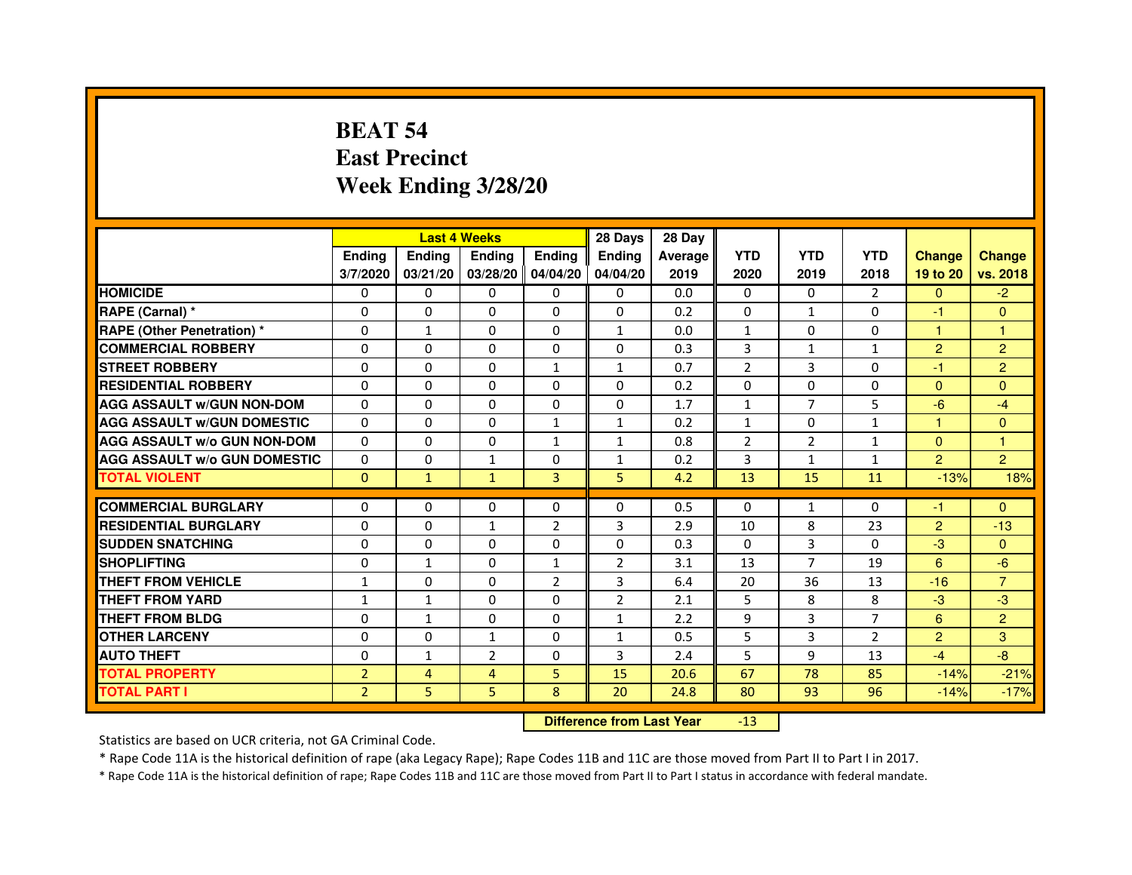# **BEAT 54 East PrecinctWeek Ending 3/28/20**

|                                     |                | <b>Last 4 Weeks</b> |                     |                | 28 Days        | 28 Day  |                |                |                |                |                |
|-------------------------------------|----------------|---------------------|---------------------|----------------|----------------|---------|----------------|----------------|----------------|----------------|----------------|
|                                     | <b>Ending</b>  | <b>Ending</b>       | <b>Ending</b>       | <b>Endina</b>  | <b>Endina</b>  | Average | <b>YTD</b>     | <b>YTD</b>     | <b>YTD</b>     | <b>Change</b>  | <b>Change</b>  |
|                                     | 3/7/2020       | 03/21/20            | 03/28/20   04/04/20 |                | 04/04/20       | 2019    | 2020           | 2019           | 2018           | 19 to 20       | vs. 2018       |
| <b>HOMICIDE</b>                     | 0              | 0                   | 0                   | 0              | 0              | 0.0     | $\mathbf{0}$   | 0              | 2              | $\mathbf{0}$   | $-2$           |
| RAPE (Carnal) *                     | $\Omega$       | $\Omega$            | $\Omega$            | $\Omega$       | $\Omega$       | 0.2     | $\Omega$       | $\mathbf{1}$   | $\Omega$       | $-1$           | $\Omega$       |
| <b>RAPE (Other Penetration) *</b>   | $\Omega$       | $\mathbf{1}$        | $\Omega$            | $\Omega$       | $\mathbf{1}$   | 0.0     | $\mathbf{1}$   | $\Omega$       | $\Omega$       | $\mathbf{1}$   | 1              |
| <b>COMMERCIAL ROBBERY</b>           | 0              | 0                   | $\Omega$            | 0              | $\Omega$       | 0.3     | 3              | $\mathbf{1}$   | $\mathbf{1}$   | 2              | $\overline{2}$ |
| <b>STREET ROBBERY</b>               | $\Omega$       | 0                   | $\Omega$            | $\mathbf{1}$   | $\mathbf{1}$   | 0.7     | $\overline{2}$ | 3              | 0              | $-1$           | $\overline{2}$ |
| <b>RESIDENTIAL ROBBERY</b>          | $\Omega$       | $\Omega$            | $\Omega$            | $\Omega$       | 0              | 0.2     | 0              | $\Omega$       | $\Omega$       | $\Omega$       | $\Omega$       |
| <b>AGG ASSAULT w/GUN NON-DOM</b>    | $\Omega$       | 0                   | $\mathbf 0$         | 0              | $\mathbf 0$    | 1.7     | $\mathbf{1}$   | $\overline{7}$ | 5              | $-6$           | $-4$           |
| <b>AGG ASSAULT W/GUN DOMESTIC</b>   | $\Omega$       | 0                   | $\Omega$            | $\mathbf{1}$   | $\mathbf{1}$   | 0.2     | $\mathbf{1}$   | $\mathbf{0}$   | $\mathbf{1}$   | $\mathbf{1}$   | $\Omega$       |
| <b>AGG ASSAULT W/o GUN NON-DOM</b>  | $\Omega$       | $\Omega$            | $\Omega$            | $\mathbf{1}$   | 1              | 0.8     | $\overline{2}$ | $\overline{2}$ | 1              | $\Omega$       | 1              |
| <b>AGG ASSAULT W/o GUN DOMESTIC</b> | $\Omega$       | $\Omega$            | $\mathbf{1}$        | 0              | 1              | 0.2     | 3              | 1              | 1              | $\overline{2}$ | $\overline{2}$ |
| <b>TOTAL VIOLENT</b>                | $\Omega$       | $\mathbf{1}$        | $\mathbf{1}$        | 3              | 5              | 4.2     | 13             | 15             | 11             | $-13%$         | 18%            |
|                                     |                |                     |                     |                |                |         |                |                |                |                |                |
| <b>COMMERCIAL BURGLARY</b>          | $\Omega$       | $\Omega$            | $\Omega$            | $\Omega$       | $\Omega$       | 0.5     | $\Omega$       | $\mathbf{1}$   | $\Omega$       | $-1$           | $\Omega$       |
| <b>RESIDENTIAL BURGLARY</b>         | $\Omega$       | $\Omega$            | 1                   | $\overline{2}$ | 3              | 2.9     | 10             | 8              | 23             | $\overline{2}$ | $-13$          |
| <b>SUDDEN SNATCHING</b>             | 0              | $\Omega$            | 0                   | 0              | 0              | 0.3     | $\Omega$       | 3              | $\Omega$       | $-3$           | $\Omega$       |
| <b>SHOPLIFTING</b>                  | 0              | 1                   | 0                   | $\mathbf{1}$   | $\overline{2}$ | 3.1     | 13             | $\overline{7}$ | 19             | 6              | $-6$           |
| <b>THEFT FROM VEHICLE</b>           | 1              | $\Omega$            | $\Omega$            | $\overline{2}$ | 3              | 6.4     | 20             | 36             | 13             | $-16$          | $\overline{7}$ |
| <b>THEFT FROM YARD</b>              | $\mathbf{1}$   | $\mathbf{1}$        | $\Omega$            | $\Omega$       | $\overline{2}$ | 2.1     | 5              | 8              | 8              | $-3$           | $-3$           |
| <b>THEFT FROM BLDG</b>              | $\Omega$       | $\mathbf{1}$        | 0                   | 0              | 1              | 2.2     | 9              | 3              | $\overline{7}$ | 6              | $\overline{2}$ |
| <b>OTHER LARCENY</b>                | $\Omega$       | $\Omega$            | $\mathbf{1}$        | 0              | 1              | 0.5     | 5              | 3              | $\overline{2}$ | $\overline{2}$ | 3              |
| <b>AUTO THEFT</b>                   | $\mathbf 0$    | 1                   | $\overline{2}$      | 0              | 3              | 2.4     | 5              | 9              | 13             | $-4$           | $-8$           |
| <b>TOTAL PROPERTY</b>               | $\overline{2}$ | 4                   | 4                   | 5              | 15             | 20.6    | 67             | 78             | 85             | $-14%$         | $-21%$         |
| <b>TOTAL PART I</b>                 | $\overline{2}$ | 5                   | 5                   | 8              | 20             | 24.8    | 80             | 93             | 96             | $-14%$         | $-17%$         |

 **Difference from Last Year**-13

Statistics are based on UCR criteria, not GA Criminal Code.

\* Rape Code 11A is the historical definition of rape (aka Legacy Rape); Rape Codes 11B and 11C are those moved from Part II to Part I in 2017.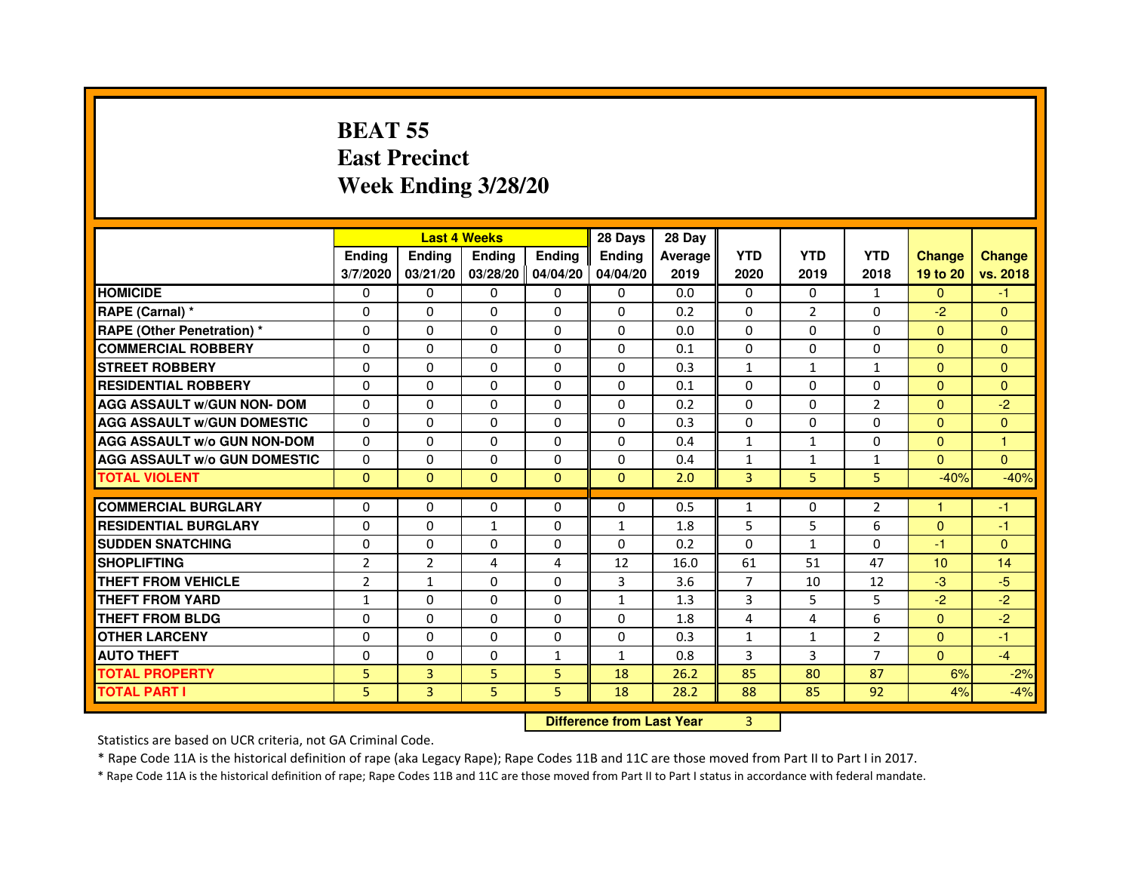# **BEAT 55 East PrecinctWeek Ending 3/28/20**

|                                     |                |                                  | <b>Last 4 Weeks</b> |                | 28 Days      | 28 Day  |                |                |                |               |                |
|-------------------------------------|----------------|----------------------------------|---------------------|----------------|--------------|---------|----------------|----------------|----------------|---------------|----------------|
|                                     | <b>Ending</b>  | <b>Ending</b>                    | <b>Ending</b>       | <b>Ending</b>  | Ending       | Average | <b>YTD</b>     | <b>YTD</b>     | <b>YTD</b>     | <b>Change</b> | <b>Change</b>  |
|                                     | 3/7/2020       | 03/21/20                         | 03/28/20            | 04/04/20       | 04/04/20     | 2019    | 2020           | 2019           | 2018           | 19 to 20      | vs. 2018       |
| <b>HOMICIDE</b>                     | $\Omega$       | $\Omega$                         | 0                   | 0              | 0            | 0.0     | $\Omega$       | $\Omega$       | $\mathbf{1}$   | $\Omega$      | $-1$           |
| RAPE (Carnal) *                     | $\Omega$       | $\mathbf{0}$                     | 0                   | 0              | 0            | 0.2     | 0              | $\overline{2}$ | 0              | $-2$          | $\mathbf{0}$   |
| RAPE (Other Penetration) *          | $\Omega$       | 0                                | $\Omega$            | $\Omega$       | $\Omega$     | 0.0     | $\Omega$       | $\Omega$       | $\Omega$       | $\Omega$      | $\overline{0}$ |
| <b>COMMERCIAL ROBBERY</b>           | $\Omega$       | $\Omega$                         | $\Omega$            | $\Omega$       | $\Omega$     | 0.1     | 0              | $\Omega$       | $\Omega$       | $\mathbf{0}$  | $\mathbf{0}$   |
| <b>STREET ROBBERY</b>               | $\Omega$       | $\Omega$                         | $\Omega$            | $\Omega$       | $\Omega$     | 0.3     | $\mathbf{1}$   | $\mathbf{1}$   | $\mathbf{1}$   | $\Omega$      | $\Omega$       |
| <b>RESIDENTIAL ROBBERY</b>          | 0              | 0                                | 0                   | 0              | 0            | 0.1     | 0              | $\Omega$       | $\Omega$       | $\Omega$      | $\overline{0}$ |
| <b>AGG ASSAULT w/GUN NON- DOM</b>   | $\Omega$       | $\Omega$                         | $\Omega$            | $\Omega$       | $\Omega$     | 0.2     | $\Omega$       | $\Omega$       | $\overline{2}$ | $\Omega$      | $-2$           |
| <b>AGG ASSAULT W/GUN DOMESTIC</b>   | $\Omega$       | $\Omega$                         | $\Omega$            | $\Omega$       | $\Omega$     | 0.3     | $\Omega$       | $\Omega$       | $\Omega$       | $\Omega$      | $\overline{0}$ |
| <b>AGG ASSAULT W/o GUN NON-DOM</b>  | $\Omega$       | $\Omega$                         | $\Omega$            | $\Omega$       | $\Omega$     | 0.4     | $\mathbf{1}$   | $\mathbf{1}$   | $\Omega$       | $\Omega$      | 1              |
| <b>AGG ASSAULT W/o GUN DOMESTIC</b> | $\Omega$       | $\Omega$                         | $\Omega$            | $\Omega$       | $\Omega$     | 0.4     | $\mathbf{1}$   | $\mathbf{1}$   | 1              | $\Omega$      | $\Omega$       |
| <b>TOTAL VIOLENT</b>                | $\mathbf{0}$   | $\mathbf{0}$                     | $\mathbf{0}$        | $\mathbf{0}$   | $\mathbf{0}$ | 2.0     | 3              | 5              | 5              | $-40%$        | $-40%$         |
| <b>COMMERCIAL BURGLARY</b>          | $\mathbf{0}$   | 0                                | 0                   | 0              | 0            | 0.5     | $\mathbf{1}$   | 0              | 2              | 1             | -1             |
| <b>RESIDENTIAL BURGLARY</b>         | $\Omega$       | $\Omega$                         | $\mathbf{1}$        | $\Omega$       | $\mathbf{1}$ | 1.8     | 5              | 5              | 6              | $\Omega$      | $-1$           |
| <b>SUDDEN SNATCHING</b>             | $\Omega$       | $\Omega$                         | $\Omega$            | $\Omega$       | $\Omega$     | 0.2     | $\Omega$       | $\mathbf{1}$   | $\Omega$       | $-1$          | $\Omega$       |
| <b>SHOPLIFTING</b>                  | $\overline{2}$ | $\overline{2}$                   | 4                   | 4              | 12           | 16.0    | 61             | 51             | 47             | 10            | 14             |
| THEFT FROM VEHICLE                  | $\overline{2}$ | 1                                | $\Omega$            | $\Omega$       | 3            | 3.6     | $\overline{7}$ | 10             | 12             | $-3$          | $-5$           |
| <b>THEFT FROM YARD</b>              | $\mathbf{1}$   | $\Omega$                         | $\Omega$            | $\Omega$       | $\mathbf{1}$ | 1.3     | 3              | 5              | 5              | $-2$          | $-2$           |
| <b>THEFT FROM BLDG</b>              | $\Omega$       | $\Omega$                         | $\Omega$            | $\Omega$       | $\Omega$     | 1.8     | 4              | 4              | 6              | $\Omega$      | $-2$           |
| <b>OTHER LARCENY</b>                | $\mathbf{0}$   | $\Omega$                         | $\Omega$            | $\Omega$       | $\Omega$     | 0.3     | $\mathbf{1}$   | $\mathbf{1}$   | $\overline{2}$ | $\mathbf{0}$  | $-1$           |
| <b>AUTO THEFT</b>                   | $\Omega$       | $\Omega$                         | $\Omega$            | $\mathbf{1}$   | $\mathbf{1}$ | 0.8     | 3              | 3              | $\overline{7}$ | $\Omega$      | $-4$           |
| <b>TOTAL PROPERTY</b>               | 5              | 3                                | 5                   | 5              | 18           | 26.2    | 85             | 80             | 87             | 6%            | $-2%$          |
| <b>TOTAL PART I</b>                 | 5              | $\overline{3}$                   | 5                   | 5              | 18           | 28.2    | 88             | 85             | 92             | 4%            | $-4%$          |
|                                     |                | <b>Difference from Last Year</b> |                     | $\overline{3}$ |              |         |                |                |                |               |                |

 **Difference from Last Year**

Statistics are based on UCR criteria, not GA Criminal Code.

\* Rape Code 11A is the historical definition of rape (aka Legacy Rape); Rape Codes 11B and 11C are those moved from Part II to Part I in 2017.